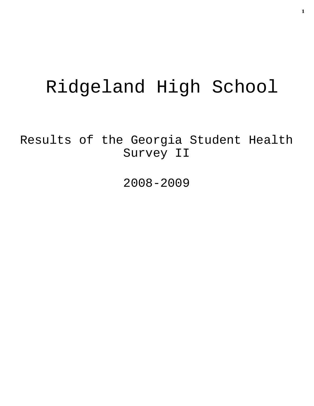# Ridgeland High School

Results of the Georgia Student Health Survey II

2008-2009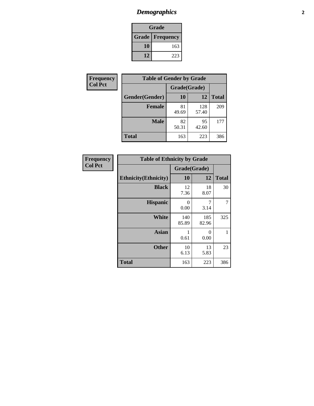# *Demographics* **2**

| Grade                    |     |  |  |  |
|--------------------------|-----|--|--|--|
| <b>Grade   Frequency</b> |     |  |  |  |
| 10                       | 163 |  |  |  |
| 12                       | 223 |  |  |  |

| Frequency      | <b>Table of Gender by Grade</b> |              |              |              |  |
|----------------|---------------------------------|--------------|--------------|--------------|--|
| <b>Col Pct</b> |                                 | Grade(Grade) |              |              |  |
|                | Gender(Gender)                  | 10           | 12           | <b>Total</b> |  |
|                | <b>Female</b>                   | 81<br>49.69  | 128<br>57.40 | 209          |  |
|                | <b>Male</b>                     | 82<br>50.31  | 95<br>42.60  | 177          |  |
|                | <b>Total</b>                    | 163          | 223          | 386          |  |

| <b>Frequency</b><br>Col Pct |
|-----------------------------|
|                             |

| <b>Table of Ethnicity by Grade</b> |              |              |              |  |  |  |
|------------------------------------|--------------|--------------|--------------|--|--|--|
|                                    | Grade(Grade) |              |              |  |  |  |
| <b>Ethnicity</b> (Ethnicity)       | 10           | 12           | <b>Total</b> |  |  |  |
| <b>Black</b>                       | 12<br>7.36   | 18<br>8.07   | 30           |  |  |  |
| <b>Hispanic</b>                    | 0<br>0.00    | 7<br>3.14    |              |  |  |  |
| White                              | 140<br>85.89 | 185<br>82.96 | 325          |  |  |  |
| <b>Asian</b>                       | 1<br>0.61    | 0<br>0.00    | 1            |  |  |  |
| <b>Other</b>                       | 10<br>6.13   | 13<br>5.83   | 23           |  |  |  |
| <b>Total</b>                       | 163          | 223          | 386          |  |  |  |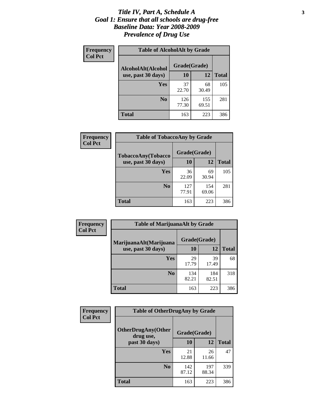#### *Title IV, Part A, Schedule A* **3** *Goal 1: Ensure that all schools are drug-free Baseline Data: Year 2008-2009 Prevalence of Drug Use*

| Frequency<br><b>Col Pct</b> | <b>Table of AlcoholAlt by Grade</b> |              |              |              |  |  |  |
|-----------------------------|-------------------------------------|--------------|--------------|--------------|--|--|--|
|                             | AlcoholAlt(Alcohol                  | Grade(Grade) |              |              |  |  |  |
|                             | use, past 30 days)                  | 10           | 12           | <b>Total</b> |  |  |  |
|                             | Yes                                 | 37<br>22.70  | 68<br>30.49  | 105          |  |  |  |
|                             | N <sub>0</sub>                      | 126<br>77.30 | 155<br>69.51 | 281          |  |  |  |
|                             | <b>Total</b>                        | 163          | 223          | 386          |  |  |  |

| Frequency<br><b>Col Pct</b> | <b>Table of TobaccoAny by Grade</b> |              |              |              |  |  |
|-----------------------------|-------------------------------------|--------------|--------------|--------------|--|--|
|                             | TobaccoAny(Tobacco                  | Grade(Grade) |              |              |  |  |
|                             | use, past 30 days)                  | 10           | 12           | <b>Total</b> |  |  |
|                             | Yes                                 | 36<br>22.09  | 69<br>30.94  | 105          |  |  |
|                             | N <sub>0</sub>                      | 127<br>77.91 | 154<br>69.06 | 281          |  |  |
|                             | <b>Total</b>                        | 163          | 223          | 386          |  |  |

| Frequency      | <b>Table of MarijuanaAlt by Grade</b> |              |              |              |  |  |
|----------------|---------------------------------------|--------------|--------------|--------------|--|--|
| <b>Col Pct</b> | MarijuanaAlt(Marijuana                | Grade(Grade) |              |              |  |  |
|                | use, past 30 days)                    | 10           | 12           | <b>Total</b> |  |  |
|                | Yes                                   | 29<br>17.79  | 39<br>17.49  | 68           |  |  |
|                | N <sub>0</sub>                        | 134<br>82.21 | 184<br>82.51 | 318          |  |  |
|                | <b>Total</b>                          | 163          | 223          | 386          |  |  |

| Frequency      | <b>Table of OtherDrugAny by Grade</b>  |              |              |              |  |
|----------------|----------------------------------------|--------------|--------------|--------------|--|
| <b>Col Pct</b> | <b>OtherDrugAny(Other</b><br>drug use, | Grade(Grade) |              |              |  |
|                | past 30 days)                          | 10           | 12           | <b>Total</b> |  |
|                | Yes                                    | 21<br>12.88  | 26<br>11.66  | 47           |  |
|                | N <sub>0</sub>                         | 142<br>87.12 | 197<br>88.34 | 339          |  |
|                | <b>Total</b>                           | 163          | 223          | 386          |  |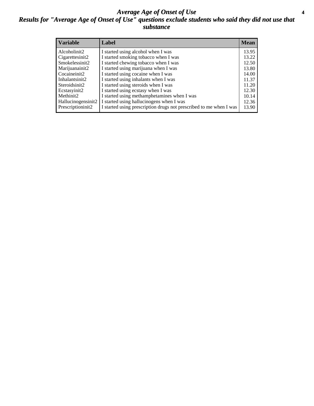#### *Average Age of Onset of Use* **4** *Results for "Average Age of Onset of Use" questions exclude students who said they did not use that substance*

| <b>Variable</b>    | Label                                                              | <b>Mean</b> |
|--------------------|--------------------------------------------------------------------|-------------|
| Alcoholinit2       | I started using alcohol when I was                                 | 13.95       |
| Cigarettesinit2    | I started smoking tobacco when I was                               | 13.22       |
| Smokelessinit2     | I started chewing tobacco when I was                               | 12.50       |
| Marijuanainit2     | I started using marijuana when I was                               | 13.80       |
| Cocaineinit2       | I started using cocaine when I was                                 | 14.00       |
| Inhalantsinit2     | I started using inhalants when I was                               | 11.37       |
| Steroidsinit2      | I started using steroids when I was                                | 11.20       |
| Ecstasyinit2       | I started using ecstasy when I was                                 | 12.30       |
| Methinit2          | I started using methamphetamines when I was                        | 10.14       |
| Hallucinogensinit2 | I started using hallucinogens when I was                           | 12.36       |
| Prescriptioninit2  | I started using prescription drugs not prescribed to me when I was | 13.90       |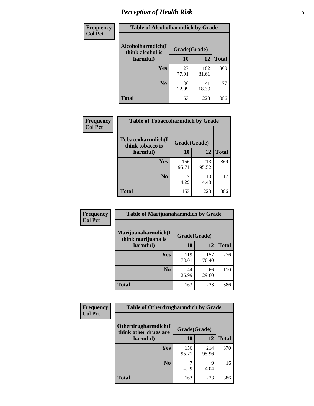# *Perception of Health Risk* **5**

| <b>Frequency</b> | <b>Table of Alcoholharmdich by Grade</b> |              |              |              |  |
|------------------|------------------------------------------|--------------|--------------|--------------|--|
| <b>Col Pct</b>   | Alcoholharmdich(I<br>think alcohol is    | Grade(Grade) |              |              |  |
|                  | harmful)                                 | 10           | 12           | <b>Total</b> |  |
|                  | <b>Yes</b>                               | 127<br>77.91 | 182<br>81.61 | 309          |  |
|                  | N <sub>0</sub>                           | 36<br>22.09  | 41<br>18.39  | 77           |  |
|                  | <b>Total</b>                             | 163          | 223          | 386          |  |

| <b>Frequency</b> | <b>Table of Tobaccoharmdich by Grade</b> |              |              |              |  |
|------------------|------------------------------------------|--------------|--------------|--------------|--|
| <b>Col Pct</b>   | Tobaccoharmdich(I<br>think tobacco is    | Grade(Grade) |              |              |  |
|                  | harmful)                                 | 10           | 12           | <b>Total</b> |  |
|                  | <b>Yes</b>                               | 156<br>95.71 | 213<br>95.52 | 369          |  |
|                  | N <sub>0</sub>                           | 4.29         | 10<br>4.48   | 17           |  |
|                  | <b>Total</b>                             | 163          | 223          | 386          |  |

| Frequency      | <b>Table of Marijuanaharmdich by Grade</b>                |              |              |              |  |  |
|----------------|-----------------------------------------------------------|--------------|--------------|--------------|--|--|
| <b>Col Pct</b> | Marijuanaharmdich(I<br>Grade(Grade)<br>think marijuana is |              |              |              |  |  |
|                | harmful)                                                  | 10           | 12           | <b>Total</b> |  |  |
|                | <b>Yes</b>                                                | 119<br>73.01 | 157<br>70.40 | 276          |  |  |
|                | N <sub>0</sub>                                            | 44<br>26.99  | 66<br>29.60  | 110          |  |  |
|                | <b>Total</b>                                              | 163          | 223          | 386          |  |  |

| Frequency      | <b>Table of Otherdrugharmdich by Grade</b>   |              |              |              |  |  |  |
|----------------|----------------------------------------------|--------------|--------------|--------------|--|--|--|
| <b>Col Pct</b> | Otherdrugharmdich(I<br>think other drugs are | Grade(Grade) |              |              |  |  |  |
|                | harmful)                                     | 10           | 12           | <b>Total</b> |  |  |  |
|                | Yes                                          | 156<br>95.71 | 214<br>95.96 | 370          |  |  |  |
|                | N <sub>0</sub>                               | 4.29         | Q<br>4.04    | 16           |  |  |  |
|                | <b>Total</b>                                 | 163          | 223          | 386          |  |  |  |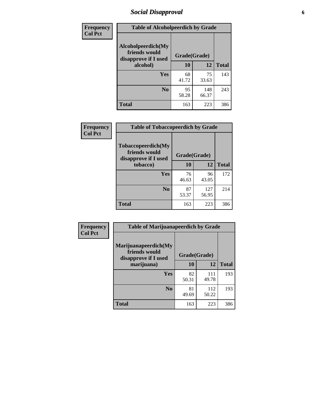# *Social Disapproval* **6**

| <b>Frequency</b> | <b>Table of Alcoholpeerdich by Grade</b>                    |              |              |              |
|------------------|-------------------------------------------------------------|--------------|--------------|--------------|
| <b>Col Pct</b>   | Alcoholpeerdich(My<br>friends would<br>disapprove if I used | Grade(Grade) |              |              |
|                  | alcohol)                                                    | 10           | 12           | <b>Total</b> |
|                  | <b>Yes</b>                                                  | 68<br>41.72  | 75<br>33.63  | 143          |
|                  | N <sub>0</sub>                                              | 95<br>58.28  | 148<br>66.37 | 243          |
|                  | <b>Total</b>                                                | 163          | 223          | 386          |

| <b>Frequency</b> |
|------------------|
| <b>Col Pct</b>   |

|                                                                    | <b>Table of Tobaccopeerdich by Grade</b> |              |              |  |  |  |
|--------------------------------------------------------------------|------------------------------------------|--------------|--------------|--|--|--|
| <b>Tobaccopeerdich(My</b><br>friends would<br>disapprove if I used | Grade(Grade)                             |              |              |  |  |  |
| tobacco)                                                           | 10                                       | 12           | <b>Total</b> |  |  |  |
| Yes                                                                | 76<br>46.63                              | 96<br>43.05  | 172          |  |  |  |
| N <sub>0</sub>                                                     | 87<br>53.37                              | 127<br>56.95 | 214          |  |  |  |
| <b>Total</b>                                                       | 163                                      | 223          | 386          |  |  |  |

| <b>Frequency</b> | <b>Table of Marijuanapeerdich by Grade</b>                    |              |              |              |  |  |  |
|------------------|---------------------------------------------------------------|--------------|--------------|--------------|--|--|--|
| <b>Col Pct</b>   | Marijuanapeerdich(My<br>friends would<br>disapprove if I used | Grade(Grade) |              |              |  |  |  |
|                  | marijuana)                                                    | 10           | 12           | <b>Total</b> |  |  |  |
|                  | <b>Yes</b>                                                    | 82<br>50.31  | 111<br>49.78 | 193          |  |  |  |
|                  | N <sub>0</sub>                                                | 81<br>49.69  | 112<br>50.22 | 193          |  |  |  |
|                  | <b>Total</b>                                                  | 163          | 223          | 386          |  |  |  |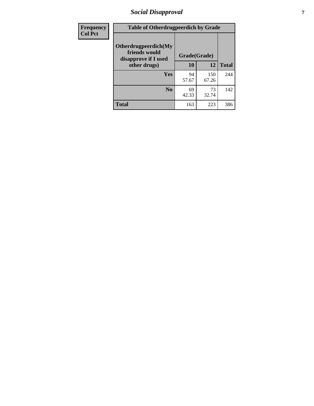# *Social Disapproval* **7**

| Frequency      | <b>Table of Otherdrugpeerdich by Grade</b>                    |              |              |              |  |  |  |
|----------------|---------------------------------------------------------------|--------------|--------------|--------------|--|--|--|
| <b>Col Pct</b> | Otherdrugpeerdich(My<br>friends would<br>disapprove if I used | Grade(Grade) |              |              |  |  |  |
|                | other drugs)                                                  | 10           | 12           | <b>Total</b> |  |  |  |
|                | Yes                                                           | 94<br>57.67  | 150<br>67.26 | 244          |  |  |  |
|                | N <sub>0</sub>                                                | 69<br>42.33  | 73<br>32.74  | 142          |  |  |  |
|                | <b>Total</b>                                                  | 163          | 223          | 386          |  |  |  |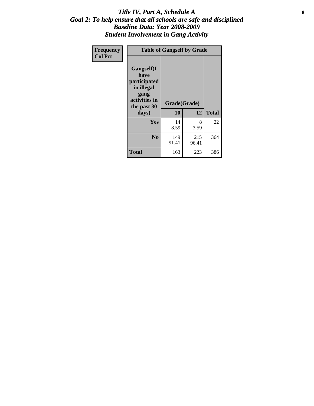#### Title IV, Part A, Schedule A **8** *Goal 2: To help ensure that all schools are safe and disciplined Baseline Data: Year 2008-2009 Student Involvement in Gang Activity*

| Frequency      |                                                                                                   | <b>Table of Gangself by Grade</b> |              |              |
|----------------|---------------------------------------------------------------------------------------------------|-----------------------------------|--------------|--------------|
| <b>Col Pct</b> | Gangself(I<br>have<br>participated<br>in illegal<br>gang<br>activities in<br>the past 30<br>days) | Grade(Grade)<br>10                | 12           | <b>Total</b> |
|                | Yes                                                                                               | 14<br>8.59                        | 8<br>3.59    | 22           |
|                | N <sub>0</sub>                                                                                    | 149<br>91.41                      | 215<br>96.41 | 364          |
|                | <b>Total</b>                                                                                      | 163                               | 223          | 386          |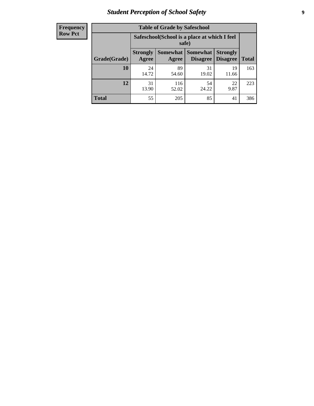# *Student Perception of School Safety* **9**

| <b>Frequency</b><br>Row Pct |
|-----------------------------|
|                             |

| <b>Table of Grade by Safeschool</b> |                                                        |                          |                                    |                                    |              |  |  |
|-------------------------------------|--------------------------------------------------------|--------------------------|------------------------------------|------------------------------------|--------------|--|--|
|                                     | Safeschool (School is a place at which I feel<br>safe) |                          |                                    |                                    |              |  |  |
| Grade(Grade)                        | <b>Strongly</b><br>Agree                               | <b>Somewhat</b><br>Agree | <b>Somewhat</b><br><b>Disagree</b> | <b>Strongly</b><br><b>Disagree</b> | <b>Total</b> |  |  |
| <b>10</b>                           | 24<br>14.72                                            | 89<br>54.60              | 31<br>19.02                        | 19<br>11.66                        | 163          |  |  |
| 12                                  | 31<br>13.90                                            | 116<br>52.02             | 54<br>24.22                        | 22<br>9.87                         | 223          |  |  |
| <b>Total</b>                        | 55                                                     | 205                      | 85                                 | 41                                 | 386          |  |  |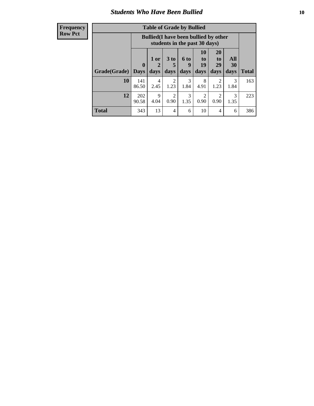### *Students Who Have Been Bullied* **10**

#### **Frequency Row Pct**

| <b>Table of Grade by Bullied</b> |              |                                                                               |                              |                          |                        |                        |                   |              |
|----------------------------------|--------------|-------------------------------------------------------------------------------|------------------------------|--------------------------|------------------------|------------------------|-------------------|--------------|
|                                  |              | <b>Bullied</b> (I have been bullied by other<br>students in the past 30 days) |                              |                          |                        |                        |                   |              |
| Grade(Grade)   Days              | $\bf{0}$     | 1 or<br>2<br>days                                                             | 3 <sub>to</sub><br>5<br>days | <b>6 to</b><br>9<br>days | 10<br>to<br>19<br>days | 20<br>to<br>29<br>days | All<br>30<br>days | <b>Total</b> |
| 10                               | 141<br>86.50 | 4<br>2.45                                                                     | 2<br>1.23                    | 3<br>1.84                | 8<br>4.91              | 2<br>1.23              | 3<br>1.84         | 163          |
| 12                               | 202<br>90.58 | 9<br>4.04                                                                     | $\overline{2}$<br>0.90       | 3<br>1.35                | 2<br>0.90              | 2<br>0.90              | 3<br>1.35         | 223          |
| <b>Total</b>                     | 343          | 13                                                                            | 4                            | 6                        | 10                     | 4                      | 6                 | 386          |

 $\blacksquare$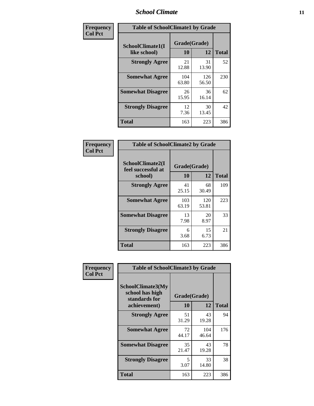### *School Climate* **11**

| Frequency      | <b>Table of SchoolClimate1 by Grade</b> |                    |              |              |  |
|----------------|-----------------------------------------|--------------------|--------------|--------------|--|
| <b>Col Pct</b> | SchoolClimate1(I<br>like school)        | Grade(Grade)<br>10 | 12           | <b>Total</b> |  |
|                | <b>Strongly Agree</b>                   | 21<br>12.88        | 31<br>13.90  | 52           |  |
|                | <b>Somewhat Agree</b>                   | 104<br>63.80       | 126<br>56.50 | 230          |  |
|                | <b>Somewhat Disagree</b>                | 26<br>15.95        | 36<br>16.14  | 62           |  |
|                | <b>Strongly Disagree</b>                | 12<br>7.36         | 30<br>13.45  | 42           |  |
|                | <b>Total</b>                            | 163                | 223          | 386          |  |

| Frequency<br>Col Pct |  |
|----------------------|--|

| <b>Table of SchoolClimate2 by Grade</b>           |                    |              |              |  |  |
|---------------------------------------------------|--------------------|--------------|--------------|--|--|
| SchoolClimate2(I<br>feel successful at<br>school) | Grade(Grade)<br>10 | 12           | <b>Total</b> |  |  |
| <b>Strongly Agree</b>                             | 41<br>25.15        | 68<br>30.49  | 109          |  |  |
| <b>Somewhat Agree</b>                             | 103<br>63.19       | 120<br>53.81 | 223          |  |  |
| <b>Somewhat Disagree</b>                          | 13<br>7.98         | 20<br>8.97   | 33           |  |  |
| <b>Strongly Disagree</b>                          | 6<br>3.68          | 15<br>6.73   | 21           |  |  |
| <b>Total</b>                                      | 163                | 223          | 386          |  |  |

| Frequency      | <b>Table of SchoolClimate3 by Grade</b>                                      |                    |              |              |  |
|----------------|------------------------------------------------------------------------------|--------------------|--------------|--------------|--|
| <b>Col Pct</b> | <b>SchoolClimate3(My</b><br>school has high<br>standards for<br>achievement) | Grade(Grade)<br>10 | 12           | <b>Total</b> |  |
|                |                                                                              |                    |              |              |  |
|                | <b>Strongly Agree</b>                                                        | 51<br>31.29        | 43<br>19.28  | 94           |  |
|                | <b>Somewhat Agree</b>                                                        | 72<br>44.17        | 104<br>46.64 | 176          |  |
|                | <b>Somewhat Disagree</b>                                                     | 35<br>21.47        | 43<br>19.28  | 78           |  |
|                | <b>Strongly Disagree</b>                                                     | 5<br>3.07          | 33<br>14.80  | 38           |  |
|                | Total                                                                        | 163                | 223          | 386          |  |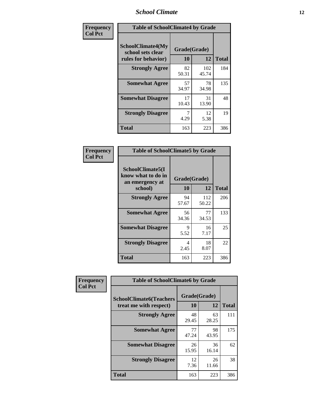### *School Climate* **12**

| Frequency      | <b>Table of SchoolClimate4 by Grade</b>                              |                           |              |              |
|----------------|----------------------------------------------------------------------|---------------------------|--------------|--------------|
| <b>Col Pct</b> | <b>SchoolClimate4(My</b><br>school sets clear<br>rules for behavior) | Grade(Grade)<br><b>10</b> | 12           | <b>Total</b> |
|                | <b>Strongly Agree</b>                                                | 82<br>50.31               | 102<br>45.74 | 184          |
|                | <b>Somewhat Agree</b>                                                | 57<br>34.97               | 78<br>34.98  | 135          |
|                | <b>Somewhat Disagree</b>                                             | 17<br>10.43               | 31<br>13.90  | 48           |
|                | <b>Strongly Disagree</b>                                             | 7<br>4.29                 | 12<br>5.38   | 19           |
|                | Total                                                                | 163                       | 223          | 386          |

| <b>Table of SchoolClimate5 by Grade</b>                   |              |              |              |  |  |
|-----------------------------------------------------------|--------------|--------------|--------------|--|--|
| SchoolClimate5(I<br>know what to do in<br>an emergency at | Grade(Grade) |              |              |  |  |
| school)                                                   | 10           | 12           | <b>Total</b> |  |  |
| <b>Strongly Agree</b>                                     | 94<br>57.67  | 112<br>50.22 | 206          |  |  |
| <b>Somewhat Agree</b>                                     | 56<br>34.36  | 77<br>34.53  | 133          |  |  |
| <b>Somewhat Disagree</b>                                  | 9<br>5.52    | 16<br>7.17   | 25           |  |  |
| <b>Strongly Disagree</b>                                  | 4<br>2.45    | 18<br>8.07   | 22           |  |  |
| Total                                                     | 163          | 223          | 386          |  |  |

| Frequency      | <b>Table of SchoolClimate6 by Grade</b>                  |                    |             |              |
|----------------|----------------------------------------------------------|--------------------|-------------|--------------|
| <b>Col Pct</b> | <b>SchoolClimate6(Teachers</b><br>treat me with respect) | Grade(Grade)<br>10 | 12          | <b>Total</b> |
|                | <b>Strongly Agree</b>                                    | 48<br>29.45        | 63<br>28.25 | 111          |
|                | <b>Somewhat Agree</b>                                    | 77<br>47.24        | 98<br>43.95 | 175          |
|                | <b>Somewhat Disagree</b>                                 | 26<br>15.95        | 36<br>16.14 | 62           |
|                | <b>Strongly Disagree</b>                                 | 12<br>7.36         | 26<br>11.66 | 38           |
|                | <b>Total</b>                                             | 163                | 223         | 386          |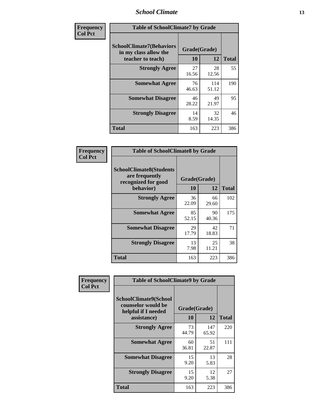### *School Climate* **13**

| Frequency      | <b>Table of SchoolClimate7 by Grade</b>                                       |                           |              |              |
|----------------|-------------------------------------------------------------------------------|---------------------------|--------------|--------------|
| <b>Col Pct</b> | <b>SchoolClimate7(Behaviors</b><br>in my class allow the<br>teacher to teach) | Grade(Grade)<br><b>10</b> | 12           | <b>Total</b> |
|                | <b>Strongly Agree</b>                                                         | 27<br>16.56               | 28<br>12.56  | 55           |
|                | <b>Somewhat Agree</b>                                                         | 76<br>46.63               | 114<br>51.12 | 190          |
|                | <b>Somewhat Disagree</b>                                                      | 46<br>28.22               | 49<br>21.97  | 95           |
|                | <b>Strongly Disagree</b>                                                      | 14<br>8.59                | 32<br>14.35  | 46           |
|                | <b>Total</b>                                                                  | 163                       | 223          | 386          |

| Frequency      | <b>Table of SchoolClimate8 by Grade</b>                                              |                    |             |              |
|----------------|--------------------------------------------------------------------------------------|--------------------|-------------|--------------|
| <b>Col Pct</b> | <b>SchoolClimate8(Students</b><br>are frequently<br>recognized for good<br>behavior) | Grade(Grade)<br>10 | 12          | <b>Total</b> |
|                | <b>Strongly Agree</b>                                                                | 36<br>22.09        | 66<br>29.60 | 102          |
|                | <b>Somewhat Agree</b>                                                                | 85<br>52.15        | 90<br>40.36 | 175          |
|                | <b>Somewhat Disagree</b>                                                             | 29<br>17.79        | 42<br>18.83 | 71           |
|                | <b>Strongly Disagree</b>                                                             | 13<br>7.98         | 25<br>11.21 | 38           |
|                | <b>Total</b>                                                                         | 163                | 223         | 386          |

| Frequency      | <b>Table of SchoolClimate9 by Grade</b>                                           |                    |              |              |
|----------------|-----------------------------------------------------------------------------------|--------------------|--------------|--------------|
| <b>Col Pct</b> | SchoolClimate9(School<br>counselor would be<br>helpful if I needed<br>assistance) | Grade(Grade)<br>10 | 12           | <b>Total</b> |
|                | <b>Strongly Agree</b>                                                             | 73<br>44.79        | 147<br>65.92 | 220          |
|                | <b>Somewhat Agree</b>                                                             | 60<br>36.81        | 51<br>22.87  | 111          |
|                | <b>Somewhat Disagree</b>                                                          | 15<br>9.20         | 13<br>5.83   | 28           |
|                | <b>Strongly Disagree</b>                                                          | 15<br>9.20         | 12<br>5.38   | 27           |
|                | Total                                                                             | 163                | 223          | 386          |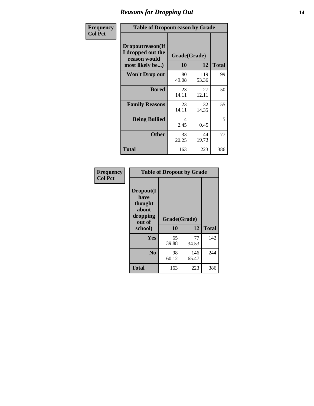### *Reasons for Dropping Out* **14**

| Frequency      | <b>Table of Dropoutreason by Grade</b>                                   |                    |              |              |
|----------------|--------------------------------------------------------------------------|--------------------|--------------|--------------|
| <b>Col Pct</b> | Dropoutreason(If<br>I dropped out the<br>reason would<br>most likely be) | Grade(Grade)<br>10 | 12           | <b>Total</b> |
|                | Won't Drop out                                                           | 80<br>49.08        | 119<br>53.36 | 199          |
|                | <b>Bored</b>                                                             | 23<br>14.11        | 27<br>12.11  | 50           |
|                | <b>Family Reasons</b>                                                    | 23<br>14.11        | 32<br>14.35  | 55           |
|                | <b>Being Bullied</b>                                                     | 4<br>2.45          | 0.45         | 5            |
|                | <b>Other</b>                                                             | 33<br>20.25        | 44<br>19.73  | 77           |
|                | <b>Total</b>                                                             | 163                | 223          | 386          |

| Frequency      | <b>Table of Dropout by Grade</b>                                       |                    |              |              |  |
|----------------|------------------------------------------------------------------------|--------------------|--------------|--------------|--|
| <b>Col Pct</b> | Dropout(I<br>have<br>thought<br>about<br>dropping<br>out of<br>school) | Grade(Grade)<br>10 | 12           | <b>Total</b> |  |
|                | Yes                                                                    | 65<br>39.88        | 77<br>34.53  | 142          |  |
|                | N <sub>0</sub>                                                         | 98<br>60.12        | 146<br>65.47 | 244          |  |
|                | <b>Total</b>                                                           | 163                | 223          | 386          |  |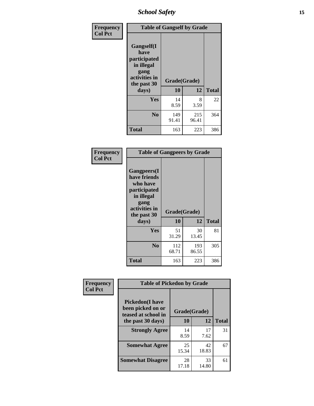*School Safety* **15**

| Frequency      |                                                                                                   | <b>Table of Gangself by Grade</b> |              |              |  |
|----------------|---------------------------------------------------------------------------------------------------|-----------------------------------|--------------|--------------|--|
| <b>Col Pct</b> | Gangself(I<br>have<br>participated<br>in illegal<br>gang<br>activities in<br>the past 30<br>days) | Grade(Grade)<br>10<br>12          |              | <b>Total</b> |  |
|                | Yes                                                                                               | 14<br>8.59                        | 8<br>3.59    | 22           |  |
|                | N <sub>0</sub>                                                                                    | 149<br>91.41                      | 215<br>96.41 | 364          |  |
|                | <b>Total</b>                                                                                      | 163                               | 223          | 386          |  |

| Frequency<br><b>Col Pct</b> | <b>Table of Gangpeers by Grade</b>                                                                                             |                    |              |              |
|-----------------------------|--------------------------------------------------------------------------------------------------------------------------------|--------------------|--------------|--------------|
|                             | <b>Gangpeers</b> (I<br>have friends<br>who have<br>participated<br>in illegal<br>gang<br>activities in<br>the past 30<br>days) | Grade(Grade)<br>10 | 12           | <b>Total</b> |
|                             | <b>Yes</b>                                                                                                                     | 51<br>31.29        | 30<br>13.45  | 81           |
|                             | N <sub>0</sub>                                                                                                                 | 112<br>68.71       | 193<br>86.55 | 305          |
|                             | Total                                                                                                                          | 163                | 223          | 386          |

| Frequency      | <b>Table of Pickedon by Grade</b>                                   |              |       |              |  |  |  |  |  |
|----------------|---------------------------------------------------------------------|--------------|-------|--------------|--|--|--|--|--|
| <b>Col Pct</b> | <b>Pickedon</b> (I have<br>been picked on or<br>teased at school in | Grade(Grade) |       |              |  |  |  |  |  |
|                | the past 30 days)                                                   | 10           | 12    | <b>Total</b> |  |  |  |  |  |
|                | <b>Strongly Agree</b>                                               | 14           | 17    | 31           |  |  |  |  |  |
|                |                                                                     | 8.59         | 7.62  |              |  |  |  |  |  |
|                | <b>Somewhat Agree</b>                                               | 25           | 42    | 67           |  |  |  |  |  |
|                |                                                                     | 15.34        | 18.83 |              |  |  |  |  |  |
|                | <b>Somewhat Disagree</b>                                            | 28           | 33    | 61           |  |  |  |  |  |
|                |                                                                     | 17.18        | 14.80 |              |  |  |  |  |  |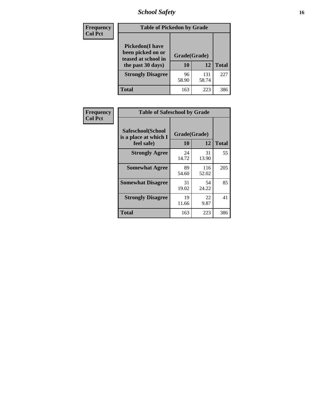# *School Safety* **16**

| <b>Frequency</b> | <b>Table of Pickedon by Grade</b>                                                       |                    |              |              |
|------------------|-----------------------------------------------------------------------------------------|--------------------|--------------|--------------|
| <b>Col Pct</b>   | <b>Pickedon(I have</b><br>been picked on or<br>teased at school in<br>the past 30 days) | Grade(Grade)<br>10 | 12           | <b>Total</b> |
|                  | <b>Strongly Disagree</b>                                                                | 96<br>58.90        | 131<br>58.74 | 227          |
|                  | Total                                                                                   | 163                | 223          | 386          |

| Frequency      | <b>Table of Safeschool by Grade</b>                      |                    |              |     |  |  |  |  |  |
|----------------|----------------------------------------------------------|--------------------|--------------|-----|--|--|--|--|--|
| <b>Col Pct</b> | Safeschool(School<br>is a place at which I<br>feel safe) | Grade(Grade)<br>10 | <b>Total</b> |     |  |  |  |  |  |
|                | <b>Strongly Agree</b>                                    | 24<br>14.72        | 31<br>13.90  | 55  |  |  |  |  |  |
|                | <b>Somewhat Agree</b>                                    | 89<br>54.60        | 116<br>52.02 | 205 |  |  |  |  |  |
|                | <b>Somewhat Disagree</b>                                 | 31<br>19.02        | 54<br>24.22  | 85  |  |  |  |  |  |
|                | <b>Strongly Disagree</b>                                 | 19<br>11.66        | 22<br>9.87   | 41  |  |  |  |  |  |
|                | Total                                                    | 163                | 223          | 386 |  |  |  |  |  |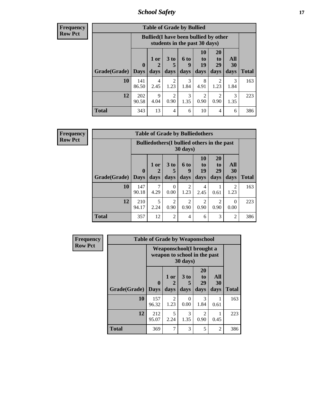*School Safety* **17**

**Frequency Row Pct**

| <b>Table of Grade by Bullied</b> |              |                                                                               |                              |                   |                        |                               |                          |              |  |  |
|----------------------------------|--------------|-------------------------------------------------------------------------------|------------------------------|-------------------|------------------------|-------------------------------|--------------------------|--------------|--|--|
|                                  |              | <b>Bullied</b> (I have been bullied by other<br>students in the past 30 days) |                              |                   |                        |                               |                          |              |  |  |
| Grade(Grade)                     | 0<br>  Days  | 1 or<br>2<br>days                                                             | 3 <sub>to</sub><br>5<br>days | 6 to<br>9<br>days | 10<br>to<br>19<br>days | <b>20</b><br>to<br>29<br>days | All<br><b>30</b><br>days | <b>Total</b> |  |  |
| 10                               | 141<br>86.50 | 4<br>2.45                                                                     | 2<br>1.23                    | 3<br>1.84         | 8<br>4.91              | 2<br>1.23                     | 3<br>1.84                | 163          |  |  |
| 12                               | 202<br>90.58 | 9<br>4.04                                                                     | $\overline{2}$<br>0.90       | 3<br>1.35         | 2<br>0.90              | 2<br>0.90                     | $\mathcal{R}$<br>1.35    | 223          |  |  |
| <b>Total</b>                     | 343          | 13                                                                            | 4                            | 6                 | 10                     | 4                             | 6                        | 386          |  |  |

| <b>Frequency</b> |
|------------------|
| <b>Row Pct</b>   |

| <b>Table of Grade by Bulliedothers</b> |              |                                                                |                              |                        |                               |                               |                        |              |  |  |
|----------------------------------------|--------------|----------------------------------------------------------------|------------------------------|------------------------|-------------------------------|-------------------------------|------------------------|--------------|--|--|
|                                        |              | <b>Bulliedothers</b> (I bullied others in the past<br>30 days) |                              |                        |                               |                               |                        |              |  |  |
| Grade(Grade)   Days                    | $\bf{0}$     | $1$ or<br>2<br>days                                            | 3 <sub>to</sub><br>5<br>days | 6 to<br>9<br>days      | <b>10</b><br>to<br>19<br>days | <b>20</b><br>to<br>29<br>days | All<br>30<br>days      | <b>Total</b> |  |  |
| 10                                     | 147<br>90.18 | 7<br>4.29                                                      | $\Omega$<br>0.00             | 2<br>1.23              | 4<br>2.45                     | 0.61                          | $\overline{2}$<br>1.23 | 163          |  |  |
| 12                                     | 210<br>94.17 | 5<br>2.24                                                      | 2<br>0.90                    | $\overline{c}$<br>0.90 | 2<br>0.90                     | $\overline{2}$<br>0.90        | 0<br>0.00              | 223          |  |  |
| <b>Total</b>                           | 357          | 12                                                             | $\overline{2}$               | $\overline{4}$         | 6                             | 3                             | $\overline{c}$         | 386          |  |  |

| Frequency      | <b>Table of Grade by Weaponschool</b> |                         |                                                                  |                     |                        |                          |              |  |  |  |
|----------------|---------------------------------------|-------------------------|------------------------------------------------------------------|---------------------|------------------------|--------------------------|--------------|--|--|--|
| <b>Row Pct</b> |                                       |                         | <b>Weaponschool</b> (I brought a<br>weapon to school in the past | 30 days)            |                        |                          |              |  |  |  |
|                | Grade(Grade)                          | $\bf{0}$<br><b>Days</b> | 1 or<br>days                                                     | $3$ to<br>5<br>days | 20<br>to<br>29<br>days | All<br><b>30</b><br>days | <b>Total</b> |  |  |  |
|                | 10                                    | 157<br>96.32            | $\overline{2}$<br>1.23                                           | $\Omega$<br>0.00    | 3<br>1.84              | 0.61                     | 163          |  |  |  |
|                | 12                                    | 212<br>95.07            | 5<br>2.24                                                        | 3<br>1.35           | 2<br>0.90              | 0.45                     | 223          |  |  |  |
|                | <b>Total</b>                          | 369                     | $\mathcal{I}$                                                    | 3                   | 5                      | $\overline{2}$           | 386          |  |  |  |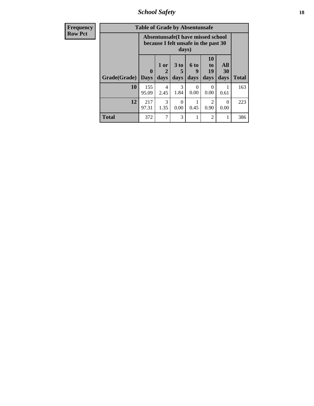*School Safety* **18**

| <b>Frequency</b> | <b>Table of Grade by Absentunsafe</b>                                              |                         |                       |                              |                          |                                           |                   |              |  |
|------------------|------------------------------------------------------------------------------------|-------------------------|-----------------------|------------------------------|--------------------------|-------------------------------------------|-------------------|--------------|--|
| <b>Row Pct</b>   | Absentunsafe(I have missed school<br>because I felt unsafe in the past 30<br>days) |                         |                       |                              |                          |                                           |                   |              |  |
|                  | Grade(Grade)                                                                       | $\bf{0}$<br><b>Days</b> | 1 or<br>2<br>days     | 3 <sub>to</sub><br>5<br>days | <b>6 to</b><br>9<br>days | <b>10</b><br>t <sub>0</sub><br>19<br>days | All<br>30<br>days | <b>Total</b> |  |
|                  | 10                                                                                 | 155<br>95.09            | 4<br>2.45             | 3<br>1.84                    | $\Omega$<br>0.00         | $\Omega$<br>0.00                          | 0.61              | 163          |  |
|                  | 12                                                                                 | 217<br>97.31            | $\mathcal{R}$<br>1.35 | 0<br>0.00                    | 0.45                     | $\mathcal{D}$<br>0.90                     | $\Omega$<br>0.00  | 223          |  |
|                  | <b>Total</b>                                                                       | 372                     | 7                     | 3                            |                          | 2                                         | 1                 | 386          |  |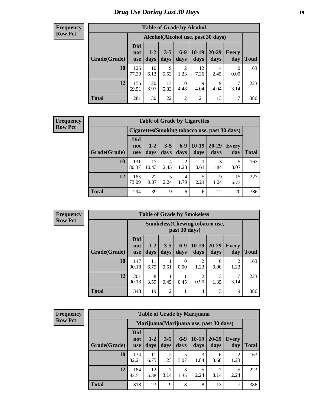# *Drug Use During Last 30 Days* **19**

#### **Frequency Row Pct**

| <b>Table of Grade by Alcohol</b> |                                 |                                     |                     |               |                 |                     |                     |              |  |  |
|----------------------------------|---------------------------------|-------------------------------------|---------------------|---------------|-----------------|---------------------|---------------------|--------------|--|--|
|                                  |                                 | Alcohol (Alcohol use, past 30 days) |                     |               |                 |                     |                     |              |  |  |
| Grade(Grade)                     | <b>Did</b><br>not<br><b>use</b> | $1 - 2$<br>days                     | $3 - 5$<br>days     | $6-9$<br>days | $10-19$<br>days | 20-29<br>days       | <b>Every</b><br>day | <b>Total</b> |  |  |
| 10                               | 126<br>77.30                    | 10<br>6.13                          | $\mathbf Q$<br>5.52 | 2<br>1.23     | 12<br>7.36      | 4<br>2.45           | $\Omega$<br>0.00    | 163          |  |  |
| 12                               | 155<br>69.51                    | 20<br>8.97                          | 13<br>5.83          | 10<br>4.48    | 9<br>4.04       | $\mathbf Q$<br>4.04 | 7<br>3.14           | 223          |  |  |
| <b>Total</b>                     | 281                             | 30                                  | 22                  | 12            | 21              | 13                  | 7                   | 386          |  |  |

#### **Frequency Row Pct**

| <b>Table of Grade by Cigarettes</b> |                                                                                                                                                   |             |           |           |      |           |            |     |  |  |
|-------------------------------------|---------------------------------------------------------------------------------------------------------------------------------------------------|-------------|-----------|-----------|------|-----------|------------|-----|--|--|
|                                     | Cigarettes (Smoking tobacco use, past 30 days)                                                                                                    |             |           |           |      |           |            |     |  |  |
| Grade(Grade)                        | <b>Did</b><br>$6 - 9$<br>$10-19$<br>20-29<br>$3 - 5$<br>$1-2$<br><b>Every</b><br>not<br>days<br>days<br>day<br>days<br>days<br>days<br><b>use</b> |             |           |           |      |           |            |     |  |  |
| 10                                  | 131<br>80.37                                                                                                                                      | 17<br>10.43 | 4<br>2.45 | 2<br>1.23 | 0.61 | 1.84      | 5<br>3.07  | 163 |  |  |
| 12                                  | 163<br>73.09                                                                                                                                      | 22<br>9.87  | 5<br>2.24 | 4<br>1.79 | 2.24 | Q<br>4.04 | 15<br>6.73 | 223 |  |  |
| <b>Total</b>                        | 294                                                                                                                                               | 39          | 9         | 6         | 6    | 12        | 20         | 386 |  |  |

| <b>Frequency</b> |
|------------------|
| <b>Row Pct</b>   |

| <b>Table of Grade by Smokeless</b> |                                 |                                                        |                 |                  |                        |                   |                        |              |  |
|------------------------------------|---------------------------------|--------------------------------------------------------|-----------------|------------------|------------------------|-------------------|------------------------|--------------|--|
|                                    |                                 | <b>Smokeless</b> (Chewing tobaccouse,<br>past 30 days) |                 |                  |                        |                   |                        |              |  |
| Grade(Grade)                       | <b>Did</b><br>not<br><b>use</b> | $1 - 2$<br>days                                        | $3 - 5$<br>days | $6 - 9$<br>days  | $10-19$<br>days        | $20 - 29$<br>days | Every<br>day           | <b>Total</b> |  |
| 10                                 | 147<br>90.18                    | 11<br>6.75                                             | 0.61            | $\Omega$<br>0.00 | 2<br>1.23              | 0<br>0.00         | $\mathfrak{D}$<br>1.23 | 163          |  |
| 12                                 | 201<br>90.13                    | 8<br>3.59                                              | 0.45            | 0.45             | $\overline{c}$<br>0.90 | 3<br>1.35         | 3.14                   | 223          |  |
| <b>Total</b>                       | 348                             | 19                                                     | $\overline{2}$  |                  | 4                      | 3                 | 9                      | 386          |  |

| <b>Frequency</b> |
|------------------|
| <b>Row Pct</b>   |

| <b>Table of Grade by Marijuana</b> |                                         |                 |                        |                 |                 |                   |                        |              |  |  |
|------------------------------------|-----------------------------------------|-----------------|------------------------|-----------------|-----------------|-------------------|------------------------|--------------|--|--|
|                                    | Marijuana (Marijuana use, past 30 days) |                 |                        |                 |                 |                   |                        |              |  |  |
| Grade(Grade)                       | <b>Did</b><br>not<br><b>use</b>         | $1 - 2$<br>days | $3 - 5$<br>days        | $6 - 9$<br>days | $10-19$<br>days | $20 - 29$<br>days | <b>Every</b><br>day    | <b>Total</b> |  |  |
| 10                                 | 134<br>82.21                            | 11<br>6.75      | $\overline{2}$<br>1.23 | 5<br>3.07       | 3<br>1.84       | 6<br>3.68         | $\overline{2}$<br>1.23 | 163          |  |  |
| 12                                 | 184<br>82.51                            | 12<br>5.38      | 7<br>3.14              | 3<br>1.35       | 5<br>2.24       | 3.14              | 2.24                   | 223          |  |  |
| <b>Total</b>                       | 318                                     | 23              | 9                      | 8               | 8               | 13                | 7                      | 386          |  |  |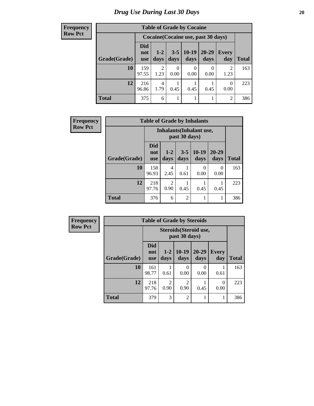**Frequency Row Pct**

| <b>Table of Grade by Cocaine</b> |                                 |                                     |                 |                 |               |                     |              |  |  |  |
|----------------------------------|---------------------------------|-------------------------------------|-----------------|-----------------|---------------|---------------------|--------------|--|--|--|
|                                  |                                 | Cocaine (Cocaine use, past 30 days) |                 |                 |               |                     |              |  |  |  |
| Grade(Grade)                     | <b>Did</b><br>not<br><b>use</b> | $1-2$<br>days                       | $3 - 5$<br>days | $10-19$<br>days | 20-29<br>days | <b>Every</b><br>day | <b>Total</b> |  |  |  |
| 10                               | 159<br>97.55                    | $\overline{2}$<br>1.23              | 0<br>0.00       | 0.00            | 0.00          | 2<br>1.23           | 163          |  |  |  |
| 12                               | 216<br>96.86                    | 4<br>1.79                           | 0.45            | 0.45            | 0.45          | $\Omega$<br>0.00    | 223          |  |  |  |
| <b>Total</b>                     | 375                             | 6                                   |                 |                 |               | $\mathfrak{D}$      | 386          |  |  |  |

| <b>Frequency</b> | <b>Table of Grade by Inhalants</b> |                                 |                        |                 |                                                  |                   |              |  |
|------------------|------------------------------------|---------------------------------|------------------------|-----------------|--------------------------------------------------|-------------------|--------------|--|
| <b>Row Pct</b>   |                                    |                                 |                        |                 | <b>Inhalants</b> (Inhalant use,<br>past 30 days) |                   |              |  |
|                  | Grade(Grade)                       | <b>Did</b><br>not<br><b>use</b> | $1-2$<br>days          | $3 - 5$<br>days | $10-19$<br>days                                  | $20 - 29$<br>days | <b>Total</b> |  |
|                  | 10                                 | 158<br>96.93                    | 4<br>2.45              | 0.61            | $\Omega$<br>0.00                                 | $\Omega$<br>0.00  | 163          |  |
|                  | 12                                 | 218<br>97.76                    | $\mathfrak{D}$<br>0.90 | 0.45            | 0.45                                             | 0.45              | 223          |  |
|                  | <b>Total</b>                       | 376                             | 6                      | $\overline{c}$  |                                                  |                   | 386          |  |

| <b>Frequency</b> |              | <b>Table of Grade by Steroids</b> |                        |                                         |                   |                     |              |  |  |
|------------------|--------------|-----------------------------------|------------------------|-----------------------------------------|-------------------|---------------------|--------------|--|--|
| <b>Row Pct</b>   |              |                                   |                        | Steroids (Steroid use,<br>past 30 days) |                   |                     |              |  |  |
|                  | Grade(Grade) | <b>Did</b><br>not<br><b>use</b>   | $1 - 2$<br>days        | $10-19$<br>days                         | $20 - 29$<br>days | <b>Every</b><br>day | <b>Total</b> |  |  |
|                  | 10           | 161<br>98.77                      | 0.61                   | 0<br>0.00                               | 0<br>0.00         | 0.61                | 163          |  |  |
|                  | 12           | 218<br>97.76                      | $\overline{c}$<br>0.90 | $\overline{2}$<br>0.90                  | 0.45              | 0<br>0.00           | 223          |  |  |
|                  | <b>Total</b> | 379                               | 3                      | $\overline{2}$                          |                   |                     | 386          |  |  |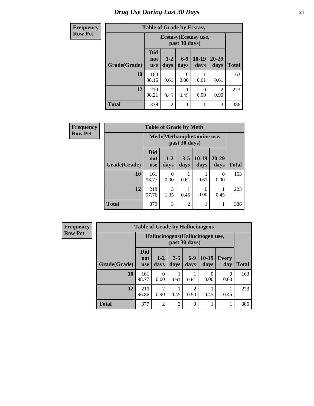# *Drug Use During Last 30 Days* **21**

| <b>Frequency</b> | <b>Table of Grade by Ecstasy</b> |                                 |                 |               |                       |                        |              |  |
|------------------|----------------------------------|---------------------------------|-----------------|---------------|-----------------------|------------------------|--------------|--|
| <b>Row Pct</b>   |                                  |                                 |                 | past 30 days) | Ecstasy (Ecstasy use, |                        |              |  |
|                  | Grade(Grade)                     | <b>Did</b><br>not<br><b>use</b> | $1 - 2$<br>days | $6-9$<br>days | $10-19$<br>days       | $20 - 29$<br>days      | <b>Total</b> |  |
|                  | 10                               | 160<br>98.16                    | 0.61            | 0<br>0.00     | 0.61                  | 0.61                   | 163          |  |
|                  | 12                               | 219<br>98.21                    | 0.45            | 0.45          | $\Omega$<br>0.00      | $\overline{2}$<br>0.90 | 223          |  |
|                  | <b>Total</b>                     | 379                             | $\overline{2}$  | 1             |                       | 3                      | 386          |  |

| Frequency      |              | <b>Table of Grade by Meth</b>   |                 |                 |                 |                   |              |  |  |
|----------------|--------------|---------------------------------|-----------------|-----------------|-----------------|-------------------|--------------|--|--|
| <b>Row Pct</b> |              | Meth (Methamphetamine use,      |                 |                 |                 |                   |              |  |  |
|                | Grade(Grade) | <b>Did</b><br>not<br><b>use</b> | $1 - 2$<br>days | $3 - 5$<br>days | $10-19$<br>days | $20 - 29$<br>days | <b>Total</b> |  |  |
|                | 10           | 161<br>98.77                    | 0<br>0.00       | 0.61            | 0.61            | 0<br>0.00         | 163          |  |  |
|                | 12           | 218<br>97.76                    | 3<br>1.35       | 0.45            | 0<br>0.00       | 0.45              | 223          |  |  |
|                | <b>Total</b> | 379                             | 3               | $\overline{2}$  | 1               |                   | 386          |  |  |

| <b>Frequency</b> |  |
|------------------|--|
| <b>Row Pct</b>   |  |

| <b>Table of Grade by Hallucinogens</b> |                          |                                                                                               |                |      |                  |           |     |  |  |
|----------------------------------------|--------------------------|-----------------------------------------------------------------------------------------------|----------------|------|------------------|-----------|-----|--|--|
|                                        |                          | Hallucinogens (Hallucinogen use,<br>past 30 days)                                             |                |      |                  |           |     |  |  |
| Grade(Grade)                           | <b>Did</b><br>not<br>use | $10-19$<br>$6-9$<br>$3 - 5$<br>$1 - 2$<br><b>Every</b><br>days<br>days<br>days<br>day<br>days |                |      |                  |           |     |  |  |
| 10                                     | 161<br>98.77             | 0<br>0.00                                                                                     | 0.61           | 0.61 | $\theta$<br>0.00 | 0<br>0.00 | 163 |  |  |
| 12                                     | 216<br>96.86             | $\overline{2}$<br>2<br>0.90<br>0.90<br>0.45<br>0.45<br>0.45                                   |                |      |                  |           |     |  |  |
| <b>Total</b>                           | 377                      | $\overline{2}$                                                                                | $\overline{2}$ | 3    |                  |           | 386 |  |  |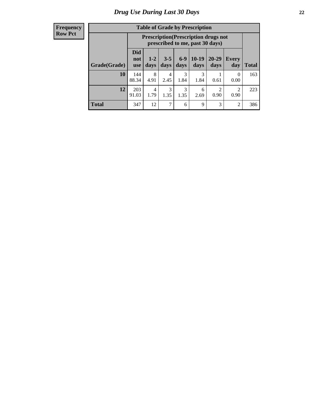#### **Frequency Row Pct**

| <b>Table of Grade by Prescription</b> |                                                                                                                                                              |                                                                                |           |           |           |      |                  |     |  |  |
|---------------------------------------|--------------------------------------------------------------------------------------------------------------------------------------------------------------|--------------------------------------------------------------------------------|-----------|-----------|-----------|------|------------------|-----|--|--|
|                                       |                                                                                                                                                              | <b>Prescription</b> (Prescription drugs not<br>prescribed to me, past 30 days) |           |           |           |      |                  |     |  |  |
| Grade(Grade)                          | <b>Did</b><br>$6 - 9$<br>$10-19$<br>20-29<br>$3 - 5$<br>$1 - 2$<br>Every<br>not<br>days<br><b>Total</b><br>days<br>days<br>day<br>days<br>days<br><b>use</b> |                                                                                |           |           |           |      |                  |     |  |  |
| 10                                    | 144<br>88.34                                                                                                                                                 | 8<br>4.91                                                                      | 4<br>2.45 | 3<br>1.84 | 3<br>1.84 | 0.61 | $\theta$<br>0.00 | 163 |  |  |
| 12                                    | 3<br>3<br>203<br>◠<br>$\mathfrak{D}$<br>4<br>6<br>1.79<br>1.35<br>1.35<br>91.03<br>2.69<br>0.90<br>0.90                                                      |                                                                                |           |           |           |      |                  |     |  |  |
| <b>Total</b>                          | 347                                                                                                                                                          | 12                                                                             | 7         | 6         | 9         | 3    | 2                | 386 |  |  |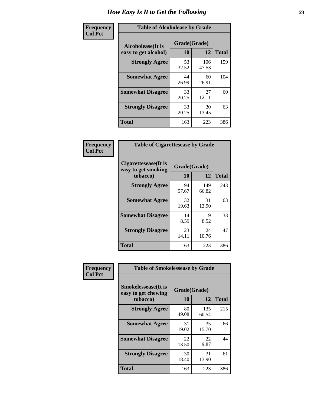| Frequency      | <b>Table of Alcoholease by Grade</b>              |                    |              |              |  |  |  |
|----------------|---------------------------------------------------|--------------------|--------------|--------------|--|--|--|
| <b>Col Pct</b> | <b>Alcoholease</b> (It is<br>easy to get alcohol) | Grade(Grade)<br>10 | 12           | <b>Total</b> |  |  |  |
|                | <b>Strongly Agree</b>                             | 53<br>32.52        | 106<br>47.53 | 159          |  |  |  |
|                | <b>Somewhat Agree</b>                             | 44<br>26.99        | 60<br>26.91  | 104          |  |  |  |
|                | <b>Somewhat Disagree</b>                          | 33<br>20.25        | 27<br>12.11  | 60           |  |  |  |
|                | <b>Strongly Disagree</b>                          | 33<br>20.25        | 30<br>13.45  | 63           |  |  |  |
|                | <b>Total</b>                                      | 163                | 223          | 386          |  |  |  |

| Frequency      | <b>Table of Cigarettesease by Grade</b>                  |                           |              |              |  |  |  |
|----------------|----------------------------------------------------------|---------------------------|--------------|--------------|--|--|--|
| <b>Col Pct</b> | Cigarettesease (It is<br>easy to get smoking<br>tobacco) | Grade(Grade)<br><b>10</b> | 12           | <b>Total</b> |  |  |  |
|                | <b>Strongly Agree</b>                                    | 94<br>57.67               | 149<br>66.82 | 243          |  |  |  |
|                | <b>Somewhat Agree</b>                                    | 32<br>19.63               | 31<br>13.90  | 63           |  |  |  |
|                | <b>Somewhat Disagree</b>                                 | 14<br>8.59                | 19<br>8.52   | 33           |  |  |  |
|                | <b>Strongly Disagree</b>                                 | 23<br>14.11               | 24<br>10.76  | 47           |  |  |  |
|                | <b>Total</b>                                             | 163                       | 223          | 386          |  |  |  |

| Frequency      | <b>Table of Smokelessease by Grade</b>             |              |              |              |  |  |  |  |  |  |
|----------------|----------------------------------------------------|--------------|--------------|--------------|--|--|--|--|--|--|
| <b>Col Pct</b> | <b>Smokelessease</b> (It is<br>easy to get chewing | Grade(Grade) |              |              |  |  |  |  |  |  |
|                | tobacco)                                           | 10           | 12           | <b>Total</b> |  |  |  |  |  |  |
|                | <b>Strongly Agree</b>                              | 80<br>49.08  | 135<br>60.54 | 215          |  |  |  |  |  |  |
|                | <b>Somewhat Agree</b>                              | 31<br>19.02  | 35<br>15.70  | 66           |  |  |  |  |  |  |
|                | <b>Somewhat Disagree</b>                           | 22<br>13.50  | 22<br>9.87   | 44           |  |  |  |  |  |  |
|                | <b>Strongly Disagree</b>                           | 30<br>18.40  | 31<br>13.90  | 61           |  |  |  |  |  |  |
|                | <b>Total</b>                                       | 163          | 223          | 386          |  |  |  |  |  |  |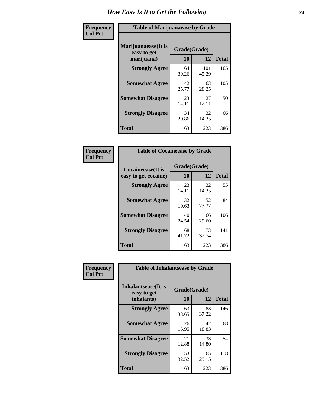| Frequency      | <b>Table of Marijuanaease by Grade</b>           |             |                    |     |  |  |  |  |  |
|----------------|--------------------------------------------------|-------------|--------------------|-----|--|--|--|--|--|
| <b>Col Pct</b> | Marijuanaease(It is<br>easy to get<br>marijuana) | 10          | Grade(Grade)<br>12 |     |  |  |  |  |  |
|                | <b>Strongly Agree</b>                            | 64<br>39.26 | 101<br>45.29       | 165 |  |  |  |  |  |
|                | <b>Somewhat Agree</b>                            | 42<br>25.77 | 63<br>28.25        | 105 |  |  |  |  |  |
|                | <b>Somewhat Disagree</b>                         | 23<br>14.11 | 27<br>12.11        | 50  |  |  |  |  |  |
|                | <b>Strongly Disagree</b>                         | 34<br>20.86 | 32<br>14.35        | 66  |  |  |  |  |  |
|                | <b>Total</b>                                     | 163         | 223                | 386 |  |  |  |  |  |

| <b>Table of Cocaineease by Grade</b>      |                    |              |     |  |  |  |  |  |  |  |
|-------------------------------------------|--------------------|--------------|-----|--|--|--|--|--|--|--|
| Cocaineease(It is<br>easy to get cocaine) | Grade(Grade)<br>10 | <b>Total</b> |     |  |  |  |  |  |  |  |
| <b>Strongly Agree</b>                     | 23<br>14.11        | 32<br>14.35  | 55  |  |  |  |  |  |  |  |
| <b>Somewhat Agree</b>                     | 32<br>19.63        | 52<br>23.32  | 84  |  |  |  |  |  |  |  |
| <b>Somewhat Disagree</b>                  | 40<br>24.54        | 66<br>29.60  | 106 |  |  |  |  |  |  |  |
| <b>Strongly Disagree</b>                  | 68<br>41.72        | 73<br>32.74  | 141 |  |  |  |  |  |  |  |
| <b>Total</b>                              | 163                | 223          | 386 |  |  |  |  |  |  |  |

| Frequency      | <b>Table of Inhalantsease by Grade</b>           |                    |              |     |  |  |  |  |  |  |
|----------------|--------------------------------------------------|--------------------|--------------|-----|--|--|--|--|--|--|
| <b>Col Pct</b> | Inhalantsease(It is<br>easy to get<br>inhalants) | Grade(Grade)<br>10 | <b>Total</b> |     |  |  |  |  |  |  |
|                | <b>Strongly Agree</b>                            | 63<br>38.65        | 83<br>37.22  | 146 |  |  |  |  |  |  |
|                | <b>Somewhat Agree</b>                            | 26<br>15.95        | 42<br>18.83  | 68  |  |  |  |  |  |  |
|                | <b>Somewhat Disagree</b>                         | 21<br>12.88        | 33<br>14.80  | 54  |  |  |  |  |  |  |
|                | <b>Strongly Disagree</b>                         | 53<br>32.52        | 65<br>29.15  | 118 |  |  |  |  |  |  |
|                | <b>Total</b>                                     | 163                | 223          | 386 |  |  |  |  |  |  |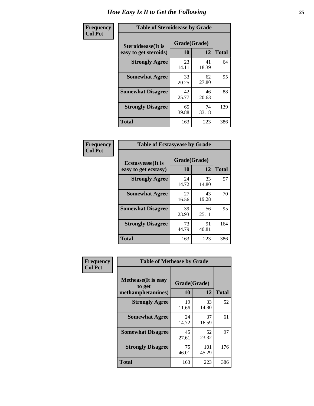| Frequency      | <b>Table of Steroidsease by Grade</b>               |             |                    |     |  |  |  |  |  |
|----------------|-----------------------------------------------------|-------------|--------------------|-----|--|--|--|--|--|
| <b>Col Pct</b> | <b>Steroidsease</b> (It is<br>easy to get steroids) | 10          | Grade(Grade)<br>12 |     |  |  |  |  |  |
|                | <b>Strongly Agree</b>                               | 23<br>14.11 | 41<br>18.39        | 64  |  |  |  |  |  |
|                | <b>Somewhat Agree</b>                               | 33<br>20.25 | 62<br>27.80        | 95  |  |  |  |  |  |
|                | <b>Somewhat Disagree</b>                            | 42<br>25.77 | 46<br>20.63        | 88  |  |  |  |  |  |
|                | <b>Strongly Disagree</b>                            | 65<br>39.88 | 74<br>33.18        | 139 |  |  |  |  |  |
|                | <b>Total</b>                                        | 163         | 223                | 386 |  |  |  |  |  |

| Frequency      | <b>Table of Ecstasyease by Grade</b>              |                    |              |     |  |  |  |  |  |
|----------------|---------------------------------------------------|--------------------|--------------|-----|--|--|--|--|--|
| <b>Col Pct</b> | <b>Ecstasyease</b> (It is<br>easy to get ecstasy) | Grade(Grade)<br>10 | <b>Total</b> |     |  |  |  |  |  |
|                | <b>Strongly Agree</b>                             | 24<br>14.72        | 33<br>14.80  | 57  |  |  |  |  |  |
|                | <b>Somewhat Agree</b>                             | 27<br>16.56        | 43<br>19.28  | 70  |  |  |  |  |  |
|                | <b>Somewhat Disagree</b>                          | 39<br>23.93        | 56<br>25.11  | 95  |  |  |  |  |  |
|                | <b>Strongly Disagree</b>                          | 73<br>44.79        | 91<br>40.81  | 164 |  |  |  |  |  |
|                | <b>Total</b>                                      | 163                | 223          | 386 |  |  |  |  |  |

| Frequency      | <b>Table of Methease by Grade</b>                          |                    |              |              |  |  |  |  |  |
|----------------|------------------------------------------------------------|--------------------|--------------|--------------|--|--|--|--|--|
| <b>Col Pct</b> | <b>Methease</b> (It is easy<br>to get<br>methamphetamines) | Grade(Grade)<br>10 | 12           | <b>Total</b> |  |  |  |  |  |
|                | <b>Strongly Agree</b>                                      | 19<br>11.66        | 33<br>14.80  | 52           |  |  |  |  |  |
|                | <b>Somewhat Agree</b>                                      | 24<br>14.72        | 37<br>16.59  | 61           |  |  |  |  |  |
|                | <b>Somewhat Disagree</b>                                   | 45<br>27.61        | 52<br>23.32  | 97           |  |  |  |  |  |
|                | <b>Strongly Disagree</b>                                   | 75<br>46.01        | 101<br>45.29 | 176          |  |  |  |  |  |
|                | Total                                                      | 163                | 223          | 386          |  |  |  |  |  |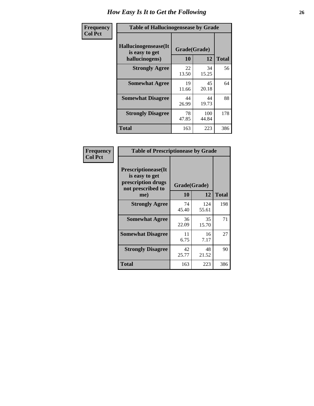| <b>Frequency</b> | <b>Table of Hallucinogensease by Grade</b>               |                    |              |              |  |  |  |  |  |  |
|------------------|----------------------------------------------------------|--------------------|--------------|--------------|--|--|--|--|--|--|
| <b>Col Pct</b>   | Hallucinogensease(It<br>is easy to get<br>hallucinogens) | Grade(Grade)<br>10 | 12           | <b>Total</b> |  |  |  |  |  |  |
|                  | <b>Strongly Agree</b>                                    | 22<br>13.50        | 34<br>15.25  | 56           |  |  |  |  |  |  |
|                  | <b>Somewhat Agree</b>                                    | 19<br>11.66        | 45<br>20.18  | 64           |  |  |  |  |  |  |
|                  | <b>Somewhat Disagree</b>                                 | 44<br>26.99        | 44<br>19.73  | 88           |  |  |  |  |  |  |
|                  | <b>Strongly Disagree</b>                                 | 78<br>47.85        | 100<br>44.84 | 178          |  |  |  |  |  |  |
|                  | <b>Total</b>                                             | 163                | 223          | 386          |  |  |  |  |  |  |

| Frequency<br>Col Pct |
|----------------------|
|                      |

| <b>Table of Prescriptionease by Grade</b>                                                |             |              |              |  |  |  |  |  |  |  |
|------------------------------------------------------------------------------------------|-------------|--------------|--------------|--|--|--|--|--|--|--|
| <b>Prescriptionease</b> (It<br>is easy to get<br>prescription drugs<br>not prescribed to |             | Grade(Grade) |              |  |  |  |  |  |  |  |
| me)                                                                                      | 10          | 12           | <b>Total</b> |  |  |  |  |  |  |  |
| <b>Strongly Agree</b>                                                                    | 74<br>45.40 | 124<br>55.61 | 198          |  |  |  |  |  |  |  |
| <b>Somewhat Agree</b>                                                                    | 36<br>22.09 | 35<br>15.70  | 71           |  |  |  |  |  |  |  |
| <b>Somewhat Disagree</b>                                                                 | 11<br>6.75  | 16<br>7.17   | 27           |  |  |  |  |  |  |  |
| <b>Strongly Disagree</b>                                                                 | 42<br>25.77 | 48<br>21.52  | 90           |  |  |  |  |  |  |  |
| Total                                                                                    | 163         | 223          | 386          |  |  |  |  |  |  |  |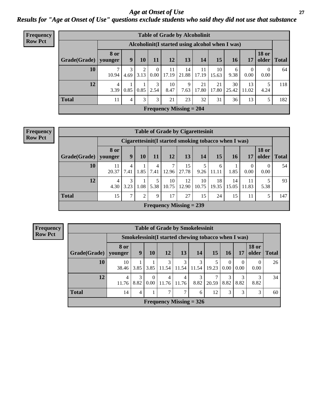*Age at Onset of Use* **27** *Results for "Age at Onset of Use" questions exclude students who said they did not use that substance*

| Frequency      |              | <b>Table of Grade by Alcoholinit</b> |                                                  |                  |                  |             |                           |             |             |             |                  |                       |              |
|----------------|--------------|--------------------------------------|--------------------------------------------------|------------------|------------------|-------------|---------------------------|-------------|-------------|-------------|------------------|-----------------------|--------------|
| <b>Row Pct</b> |              |                                      | Alcoholinit (I started using alcohol when I was) |                  |                  |             |                           |             |             |             |                  |                       |              |
|                | Grade(Grade) | <b>8 or</b><br>younger               | 9                                                | 10               | 11               | 12          | 13                        | 14          | 15          | <b>16</b>   | 17               | <b>18 or</b><br>older | <b>Total</b> |
|                | 10           | 10.94                                | 4.69                                             | $\gamma$<br>3.13 | $\Omega$<br>0.00 | 11<br>17.19 | 14<br>21.88               | 11<br>17.19 | 10<br>15.63 | 6<br>9.38   | $\theta$<br>0.00 | $\theta$<br>0.00      | 64           |
|                | 12           | 4<br>3.39                            | 0.85                                             | 0.85             | 3<br>2.54        | 10<br>8.47  | 9<br>7.63                 | 21<br>17.80 | 21<br>17.80 | 30<br>25.42 | 13<br>11.02      | 5<br>4.24             | 118          |
|                | <b>Total</b> | 11                                   | 4                                                | 3                | 3                | 21          | 23                        | 32          | 31          | 36          | 13               | 5                     | 182          |
|                |              |                                      |                                                  |                  |                  |             | Frequency Missing $= 204$ |             |             |             |                  |                       |              |

#### **Frequency Row Pct**

| <b>Table of Grade by Cigarettesinit</b> |                        |                                                      |      |           |                           |             |             |             |             |             |                       |              |
|-----------------------------------------|------------------------|------------------------------------------------------|------|-----------|---------------------------|-------------|-------------|-------------|-------------|-------------|-----------------------|--------------|
|                                         |                        | Cigarettesinit(I started smoking tobacco when I was) |      |           |                           |             |             |             |             |             |                       |              |
| Grade(Grade)                            | <b>8 or</b><br>younger | 9                                                    | 10   | 11        | 12                        | 13          | 14          | 15          | 16          | 17          | <b>18 or</b><br>older | <b>Total</b> |
| 10                                      | 11<br>20.37            | 4<br>7.41                                            | 1.85 | 4<br>7.41 | 7<br>12.96                | 15<br>27.78 | 9.26        | 6<br>11.11  | 1.85        | 0<br>0.00   | 0<br>0.00             | 54           |
| 12                                      | 4<br>4.30              | 3<br>3.23                                            | 1.08 | 5<br>5.38 | 10<br>10.75               | 12<br>12.90 | 10<br>10.75 | 18<br>19.35 | 14<br>15.05 | 11<br>11.83 | 5.38                  | 93           |
| <b>Total</b>                            | 15                     | ⇁                                                    | 2    | 9         | 17                        | 27          | 15          | 24          | 15          | 11          | 5                     | 147          |
|                                         |                        |                                                      |      |           | Frequency Missing $= 239$ |             |             |             |             |             |                       |              |

**Frequency Row Pct**

|                                                                   | <b>Table of Grade by Smokelessinit</b>              |           |                  |            |            |            |            |                  |                  |                       |              |
|-------------------------------------------------------------------|-----------------------------------------------------|-----------|------------------|------------|------------|------------|------------|------------------|------------------|-----------------------|--------------|
|                                                                   | Smokelessinit(I started chewing tobacco when I was) |           |                  |            |            |            |            |                  |                  |                       |              |
| Grade(Grade)                                                      | 8 or<br>younger                                     | 9         | 10               | 12         | 13         | 14         | 15         | 16               | 17               | <b>18 or</b><br>older | <b>Total</b> |
| 10                                                                | 10<br>38.46                                         | 3.85      | 3.85             | 3<br>11.54 | 3<br>11.54 | 3<br>11.54 | 5<br>19.23 | $\Omega$<br>0.00 | $\theta$<br>0.00 | $\Omega$<br>0.00      | 26           |
| 12                                                                | 4<br>11.76                                          | 3<br>8.82 | $\theta$<br>0.00 | 4<br>11.76 | 4<br>11.76 | 3<br>8.82  | 20.59      | 3<br>8.82        | 8.82             | 8.82                  | 34           |
| <b>Total</b><br>7<br>7<br>12<br>3<br>3<br>14<br>3<br>4<br>60<br>6 |                                                     |           |                  |            |            |            |            |                  |                  |                       |              |
| Frequency Missing $=$ 326                                         |                                                     |           |                  |            |            |            |            |                  |                  |                       |              |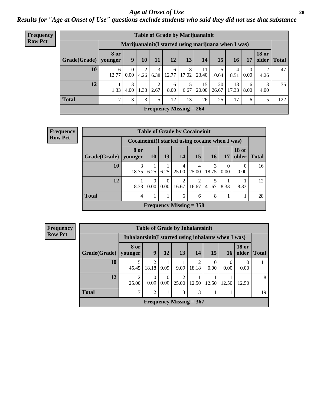#### *Age at Onset of Use* **28**

*Results for "Age at Onset of Use" questions exclude students who said they did not use that substance*

| <b>Frequency</b> |              |                        |                  |      |           |                           |            | <b>Table of Grade by Marijuanainit</b>               |             |             |                  |              |               |
|------------------|--------------|------------------------|------------------|------|-----------|---------------------------|------------|------------------------------------------------------|-------------|-------------|------------------|--------------|---------------|
| <b>Row Pct</b>   |              |                        |                  |      |           |                           |            | Marijuanainit (I started using marijuana when I was) |             |             |                  |              |               |
|                  | Grade(Grade) | <b>8 or</b><br>younger | 9 <sup>°</sup>   | 10   | 11        | 12                        | 13         | 14                                                   | 15          | 16          | 17               | <b>18 or</b> | older   Total |
|                  | 10           | 6<br>12.77             | $\theta$<br>0.00 | 4.26 | 6.38      | 6<br>12.77                | 8<br>17.02 | 11<br>23.40                                          | 10.64       | 4<br>8.51   | $\theta$<br>0.00 | 4.26         | 47            |
|                  | 12           | 1.33                   | 3<br>4.00        | 1.33 | ◠<br>2.67 | 6<br>8.00                 | 6.67       | 15<br>20.00                                          | 20<br>26.67 | 13<br>17.33 | 6<br>8.00        | 3<br>4.00    | 75            |
|                  | <b>Total</b> | $\mathcal{L}$          | 3                | 3    | 5         | 12                        | 13         | 26                                                   | 25          | 17          | 6                | 5            | 122           |
|                  |              |                        |                  |      |           | Frequency Missing $= 264$ |            |                                                      |             |             |                  |              |               |

| Frequency      |                                        |                                                 |                  |                         | <b>Table of Grade by Cocaineinit</b> |                 |            |                  |                       |              |  |
|----------------|----------------------------------------|-------------------------------------------------|------------------|-------------------------|--------------------------------------|-----------------|------------|------------------|-----------------------|--------------|--|
| <b>Row Pct</b> |                                        | Cocaineinit(I started using cocaine when I was) |                  |                         |                                      |                 |            |                  |                       |              |  |
|                | Grade(Grade)   younger                 | 8 or                                            | <b>10</b>        | 13                      | 14                                   | 15 <sup>1</sup> | <b>16</b>  | -17              | <b>18 or</b><br>older | <b>Total</b> |  |
|                | 10                                     | 18.75                                           | 6.25             |                         | 4<br>$6.25 \mid 25.00 \mid$          | 4<br>25.00      | 3<br>18.75 | $\Omega$<br>0.00 | 0.00                  | 16           |  |
|                | 12                                     | 8.33                                            | $\Omega$<br>0.00 | $\Omega$<br>$0.00\vert$ | $\overline{2}$<br>16.67              | 2<br>16.67      | 141.67     | 8.33             | 8.33                  | 12           |  |
|                | <b>Total</b><br>28<br>8<br>6<br>4<br>6 |                                                 |                  |                         |                                      |                 |            |                  |                       |              |  |
|                |                                        |                                                 |                  |                         | Frequency Missing $=$ 358            |                 |            |                  |                       |              |  |

| <b>Frequency</b> |              |                                                      |                  |                  |            | <b>Table of Grade by Inhalantsinit</b> |                  |           |                       |              |
|------------------|--------------|------------------------------------------------------|------------------|------------------|------------|----------------------------------------|------------------|-----------|-----------------------|--------------|
| <b>Row Pct</b>   |              | Inhalantsinit (I started using inhalants when I was) |                  |                  |            |                                        |                  |           |                       |              |
|                  | Grade(Grade) | 8 or<br>younger                                      | 9                | 12               | 13         | 14                                     | <b>15</b>        | 16        | <b>18 or</b><br>older | <b>Total</b> |
|                  | 10           | 45.45                                                | 2<br>18.18       | 9.09             | 9.09       | 18.18                                  | $\theta$<br>0.00 | 0<br>0.00 | 0.00                  | 11           |
|                  | 12           | $\mathcal{D}_{\mathcal{L}}$<br>25.00                 | $\theta$<br>0.00 | $\Omega$<br>0.00 | 2<br>25.00 | 12.50                                  | 12.50            | 12.50     | 12.50                 | 8            |
|                  | <b>Total</b> | ⇁                                                    | $\overline{c}$   |                  | 3          | 3                                      |                  |           |                       | 19           |
|                  |              |                                                      |                  |                  |            | Frequency Missing $= 367$              |                  |           |                       |              |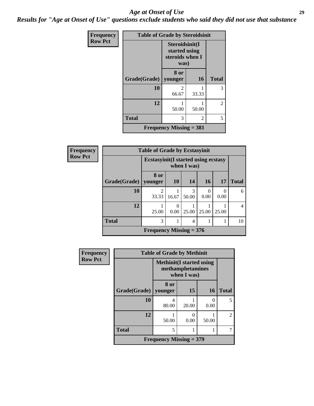#### *Age at Onset of Use* **29**

*Results for "Age at Onset of Use" questions exclude students who said they did not use that substance*

| Frequency      | <b>Table of Grade by Steroidsinit</b> |                                                            |           |              |
|----------------|---------------------------------------|------------------------------------------------------------|-----------|--------------|
| <b>Row Pct</b> |                                       | Steroidsinit(I<br>started using<br>steroids when I<br>was) |           |              |
|                | Grade(Grade)                          | 8 or<br>younger                                            | <b>16</b> | <b>Total</b> |
|                | 10                                    | $\mathfrak{D}$<br>66.67                                    | 33.33     | 3            |
|                | 12                                    | 50.00                                                      | 50.00     | 2            |
|                | <b>Total</b>                          | 3                                                          | 2         | 5            |
|                |                                       | <b>Frequency Missing = 381</b>                             |           |              |

| <b>Frequency</b> |              | <b>Table of Grade by Ecstasyinit</b>        |           |             |                  |       |                |
|------------------|--------------|---------------------------------------------|-----------|-------------|------------------|-------|----------------|
| <b>Row Pct</b>   |              | <b>Ecstasyinit</b> (I started using ecstasy |           | when I was) |                  |       |                |
|                  | Grade(Grade) | 8 or<br>younger                             | <b>10</b> | 14          | 16               | 17    | <b>Total</b>   |
|                  | 10           | $\mathfrak{D}$<br>33.33                     | 16.67     | 3<br>50.00  | $\Omega$<br>0.00 | 0.00  | 6              |
|                  | 12           | 25.00                                       | 0.00      | 25.00       | 25.00            | 25.00 | $\overline{4}$ |
|                  | <b>Total</b> | 3                                           |           | 4           |                  |       | 10             |
|                  |              | Frequency Missing $= 376$                   |           |             |                  |       |                |

| <b>Frequency</b> |              | <b>Table of Grade by Methinit</b> |                                 |           |                |
|------------------|--------------|-----------------------------------|---------------------------------|-----------|----------------|
| <b>Row Pct</b>   |              | <b>Methinit</b> (I started using  | methamphetamines<br>when I was) |           |                |
|                  | Grade(Grade) | 8 or<br>younger                   | 15                              | 16        | <b>Total</b>   |
|                  | 10           | 4<br>80.00                        | 20.00                           | 0<br>0.00 | 5              |
|                  | 12           | 50.00                             | 0<br>0.00                       | 50.00     | $\overline{2}$ |
|                  | <b>Total</b> | 5                                 |                                 |           |                |
|                  |              | <b>Frequency Missing = 379</b>    |                                 |           |                |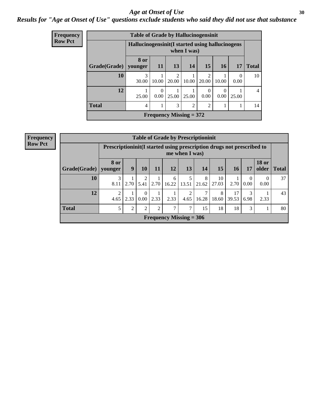#### Age at Onset of Use **30**

### *Results for "Age at Onset of Use" questions exclude students who said they did not use that substance*

| Frequency      |              | <b>Table of Grade by Hallucinogensinit</b>       |                      |                         |                                |                  |       |           |              |
|----------------|--------------|--------------------------------------------------|----------------------|-------------------------|--------------------------------|------------------|-------|-----------|--------------|
| <b>Row Pct</b> |              | Hallucinogensinit (I started using hallucinogens |                      |                         | when I was)                    |                  |       |           |              |
|                | Grade(Grade) | 8 or<br>younger                                  | 11                   | 13                      | 14                             | 15               | 16    | 17        | <b>Total</b> |
|                | 10           | 3<br>30.00                                       | 10.00                | $\overline{c}$<br>20.00 | 10.00                          | 2<br>20.00       | 10.00 | 0<br>0.00 | 10           |
|                | 12           | 25.00                                            | $\Omega$<br>$0.00\,$ | 25.00                   | 25.00                          | $\Omega$<br>0.00 | 0.00  | 25.00     | 4            |
|                | <b>Total</b> | 4                                                |                      | 3                       | $\overline{2}$                 | 2                |       |           | 14           |
|                |              |                                                  |                      |                         | <b>Frequency Missing = 372</b> |                  |       |           |              |

| <b>Frequency</b> |  |
|------------------|--|
| <b>Row Pct</b>   |  |

|                                                                        | <b>Table of Grade by Prescriptioninit</b> |                                                                                                 |                  |      |            |                           |            |             |             |                      |           |              |
|------------------------------------------------------------------------|-------------------------------------------|-------------------------------------------------------------------------------------------------|------------------|------|------------|---------------------------|------------|-------------|-------------|----------------------|-----------|--------------|
|                                                                        |                                           | Prescription in the Islam at a prescription drugs not prescribed to<br>me when I was)           |                  |      |            |                           |            |             |             |                      |           |              |
| Grade(Grade)                                                           | 8 or<br>younger                           | <b>18 or</b><br>15<br>13<br>9<br>12<br>older<br>10<br>11<br><b>14</b><br><b>17</b><br><b>16</b> |                  |      |            |                           |            |             |             |                      |           | <b>Total</b> |
| 10                                                                     | 8.11                                      | 2.70                                                                                            | 2<br>5.41        | 2.70 | 6<br>16.22 | $5\overline{)}$<br> 13.51 | 8<br>21.62 | 10<br>27.03 | 2.70        | $\mathbf{0}$<br>0.00 | 0<br>0.00 | 37           |
| 12                                                                     | 4.65                                      | 2.33                                                                                            | $\Omega$<br>0.00 | 2.33 | 2.33       | 2<br>4.65                 | 16.28      | 8<br>18.60  | 17<br>39.53 | 3<br>6.98            | 2.33      | 43           |
| <b>Total</b><br>7<br>18<br>5<br>2<br>2<br>2<br>7<br>15<br>18<br>3<br>T |                                           |                                                                                                 |                  |      |            |                           |            |             |             | 80                   |           |              |
| Frequency Missing $=$ 306                                              |                                           |                                                                                                 |                  |      |            |                           |            |             |             |                      |           |              |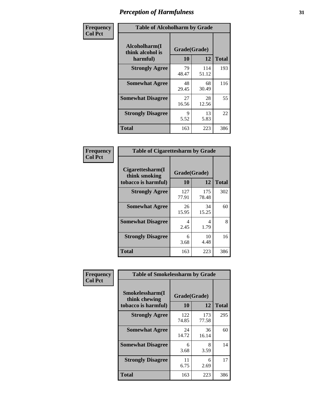| Frequency      | <b>Table of Alcoholharm by Grade</b>          |                    |              |              |  |  |  |  |  |  |
|----------------|-----------------------------------------------|--------------------|--------------|--------------|--|--|--|--|--|--|
| <b>Col Pct</b> | Alcoholharm(I<br>think alcohol is<br>harmful) | Grade(Grade)<br>10 | 12           | <b>Total</b> |  |  |  |  |  |  |
|                | <b>Strongly Agree</b>                         | 79<br>48.47        | 114<br>51.12 | 193          |  |  |  |  |  |  |
|                | <b>Somewhat Agree</b>                         | 48<br>29.45        | 68<br>30.49  | 116          |  |  |  |  |  |  |
|                | <b>Somewhat Disagree</b>                      | 27<br>16.56        | 28<br>12.56  | 55           |  |  |  |  |  |  |
|                | <b>Strongly Disagree</b>                      | 9<br>5.52          | 13<br>5.83   | 22           |  |  |  |  |  |  |
|                | <b>Total</b>                                  | 163                | 223          | 386          |  |  |  |  |  |  |

| <b>Table of Cigarettesharm by Grade</b>                  |                    |              |              |  |  |  |  |  |  |  |
|----------------------------------------------------------|--------------------|--------------|--------------|--|--|--|--|--|--|--|
| Cigarettesharm(I<br>think smoking<br>tobacco is harmful) | Grade(Grade)<br>10 | 12           | <b>Total</b> |  |  |  |  |  |  |  |
| <b>Strongly Agree</b>                                    | 127<br>77.91       | 175<br>78.48 | 302          |  |  |  |  |  |  |  |
| <b>Somewhat Agree</b>                                    | 26<br>15.95        | 34<br>15.25  | 60           |  |  |  |  |  |  |  |
| <b>Somewhat Disagree</b>                                 | 4<br>2.45          | 4<br>1.79    | 8            |  |  |  |  |  |  |  |
| <b>Strongly Disagree</b>                                 | 6<br>3.68          | 10<br>4.48   | 16           |  |  |  |  |  |  |  |
| <b>Total</b>                                             | 163                | 223          | 386          |  |  |  |  |  |  |  |

| Frequency      | <b>Table of Smokelessharm by Grade</b>                  |                    |              |              |
|----------------|---------------------------------------------------------|--------------------|--------------|--------------|
| <b>Col Pct</b> | Smokelessharm(I<br>think chewing<br>tobacco is harmful) | Grade(Grade)<br>10 | 12           | <b>Total</b> |
|                | <b>Strongly Agree</b>                                   | 122<br>74.85       | 173<br>77.58 | 295          |
|                | <b>Somewhat Agree</b>                                   | 24<br>14.72        | 36<br>16.14  | 60           |
|                | <b>Somewhat Disagree</b>                                | 6<br>3.68          | 8<br>3.59    | 14           |
|                | <b>Strongly Disagree</b>                                | 11<br>6.75         | 6<br>2.69    | 17           |
|                | <b>Total</b>                                            | 163                | 223          | 386          |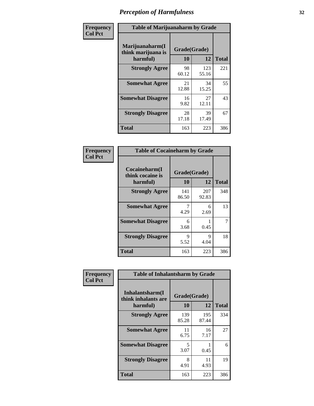| Frequency      |                                                   | <b>Table of Marijuanaharm by Grade</b> |              |              |  |
|----------------|---------------------------------------------------|----------------------------------------|--------------|--------------|--|
| <b>Col Pct</b> | Marijuanaharm(I<br>think marijuana is<br>harmful) | Grade(Grade)<br>10                     | 12           | <b>Total</b> |  |
|                | <b>Strongly Agree</b>                             | 98<br>60.12                            | 123<br>55.16 | 221          |  |
|                | <b>Somewhat Agree</b>                             | 21<br>12.88                            | 34<br>15.25  | 55           |  |
|                | <b>Somewhat Disagree</b>                          | 16<br>9.82                             | 27<br>12.11  | 43           |  |
|                | <b>Strongly Disagree</b>                          | 28<br>17.18                            | 39<br>17.49  | 67           |  |
|                | <b>Total</b>                                      | 163                                    | 223          | 386          |  |

| <b>Table of Cocaineharm by Grade</b>          |                    |              |     |  |  |
|-----------------------------------------------|--------------------|--------------|-----|--|--|
| Cocaineharm(I<br>think cocaine is<br>harmful) | Grade(Grade)<br>10 | <b>Total</b> |     |  |  |
| <b>Strongly Agree</b>                         | 141<br>86.50       | 207<br>92.83 | 348 |  |  |
| <b>Somewhat Agree</b>                         | 7<br>4.29          | 6<br>2.69    | 13  |  |  |
| <b>Somewhat Disagree</b>                      | 6<br>3.68          | 0.45         | 7   |  |  |
| <b>Strongly Disagree</b>                      | 9<br>5.52          | Q<br>4.04    | 18  |  |  |
| <b>Total</b>                                  | 163                | 223          | 386 |  |  |

| Frequency      | <b>Table of Inhalantsharm by Grade</b>             |                    |              |              |
|----------------|----------------------------------------------------|--------------------|--------------|--------------|
| <b>Col Pct</b> | Inhalantsharm(I<br>think inhalants are<br>harmful) | Grade(Grade)<br>10 | 12           | <b>Total</b> |
|                | <b>Strongly Agree</b>                              | 139<br>85.28       | 195<br>87.44 | 334          |
|                | <b>Somewhat Agree</b>                              | 11<br>6.75         | 16<br>7.17   | 27           |
|                | <b>Somewhat Disagree</b>                           | 5<br>3.07          | 0.45         | 6            |
|                | <b>Strongly Disagree</b>                           | 8<br>4.91          | 11<br>4.93   | 19           |
|                | Total                                              | 163                | 223          | 386          |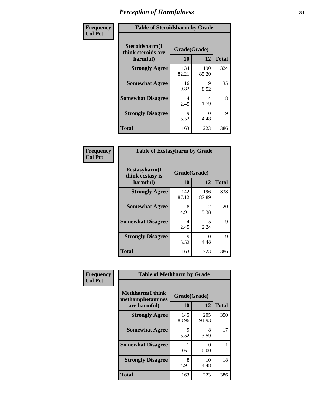| Frequency      | <b>Table of Steroidsharm by Grade</b>            |                    |              |              |
|----------------|--------------------------------------------------|--------------------|--------------|--------------|
| <b>Col Pct</b> | Steroidsharm(I<br>think steroids are<br>harmful) | Grade(Grade)<br>10 | 12           | <b>Total</b> |
|                | <b>Strongly Agree</b>                            | 134<br>82.21       | 190<br>85.20 | 324          |
|                | <b>Somewhat Agree</b>                            | 16<br>9.82         | 19<br>8.52   | 35           |
|                | <b>Somewhat Disagree</b>                         | 4<br>2.45          | 4<br>1.79    | 8            |
|                | <b>Strongly Disagree</b>                         | 9<br>5.52          | 10<br>4.48   | 19           |
|                | <b>Total</b>                                     | 163                | 223          | 386          |

| <b>Table of Ecstasyharm by Grade</b>          |                    |              |              |  |  |
|-----------------------------------------------|--------------------|--------------|--------------|--|--|
| Ecstasyharm(I<br>think ecstasy is<br>harmful) | Grade(Grade)<br>10 | 12           | <b>Total</b> |  |  |
| <b>Strongly Agree</b>                         | 142<br>87.12       | 196<br>87.89 | 338          |  |  |
| <b>Somewhat Agree</b>                         | 8<br>4.91          | 12<br>5.38   | 20           |  |  |
| <b>Somewhat Disagree</b>                      | 4<br>2.45          | 5<br>2.24    | 9            |  |  |
| <b>Strongly Disagree</b>                      | 9<br>5.52          | 10<br>4.48   | 19           |  |  |
| <b>Total</b>                                  | 163                | 223          | 386          |  |  |

| Frequency      | <b>Table of Methharm by Grade</b>                            |                           |                           |              |
|----------------|--------------------------------------------------------------|---------------------------|---------------------------|--------------|
| <b>Col Pct</b> | <b>Methharm</b> (I think<br>methamphetamines<br>are harmful) | Grade(Grade)<br><b>10</b> | 12                        | <b>Total</b> |
|                | <b>Strongly Agree</b>                                        | 145<br>88.96              | 205<br>91.93              | 350          |
|                | <b>Somewhat Agree</b>                                        | 9<br>5.52                 | 8<br>3.59                 | 17           |
|                | <b>Somewhat Disagree</b>                                     | 0.61                      | $\mathbf{\Omega}$<br>0.00 |              |
|                | <b>Strongly Disagree</b>                                     | 8<br>4.91                 | 10<br>4.48                | 18           |
|                | <b>Total</b>                                                 | 163                       | 223                       | 386          |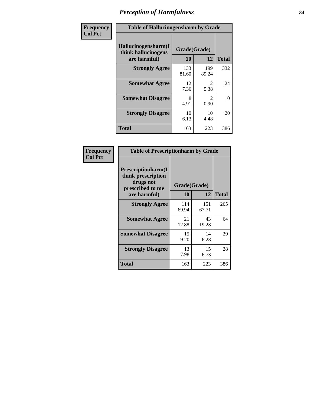| Frequency      | <b>Table of Hallucinogensharm by Grade</b>                 |                           |                                     |              |
|----------------|------------------------------------------------------------|---------------------------|-------------------------------------|--------------|
| <b>Col Pct</b> | Hallucinogensharm(I<br>think hallucinogens<br>are harmful) | Grade(Grade)<br><b>10</b> | 12                                  | <b>Total</b> |
|                | <b>Strongly Agree</b>                                      | 133<br>81.60              | 199<br>89.24                        | 332          |
|                | <b>Somewhat Agree</b>                                      | 12<br>7.36                | 12<br>5.38                          | 24           |
|                | <b>Somewhat Disagree</b>                                   | 8<br>4.91                 | $\mathcal{D}_{\mathcal{L}}$<br>0.90 | 10           |
|                | <b>Strongly Disagree</b>                                   | 10<br>6.13                | 10<br>4.48                          | 20           |
|                | <b>Total</b>                                               | 163                       | 223                                 | 386          |

| <b>Table of Prescriptionharm by Grade</b>                                 |              |              |              |  |
|---------------------------------------------------------------------------|--------------|--------------|--------------|--|
| Prescriptionharm(I<br>think prescription<br>drugs not<br>prescribed to me | Grade(Grade) |              |              |  |
| are harmful)                                                              | 10           | 12           | <b>Total</b> |  |
| <b>Strongly Agree</b>                                                     | 114<br>69.94 | 151<br>67.71 | 265          |  |
| <b>Somewhat Agree</b>                                                     | 21<br>12.88  | 43<br>19.28  | 64           |  |
| <b>Somewhat Disagree</b>                                                  | 15<br>9.20   | 14<br>6.28   | 29           |  |
| <b>Strongly Disagree</b>                                                  | 13<br>7.98   | 15<br>6.73   | 28           |  |
| <b>Total</b>                                                              | 163          | 223          | 386          |  |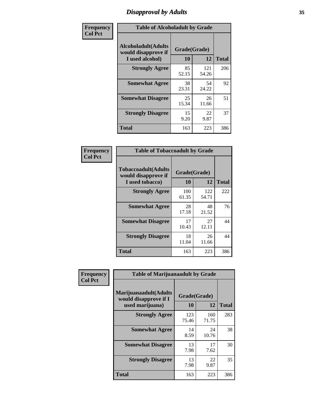# *Disapproval by Adults* **35**

| Frequency      |                                                                       | <b>Table of Alcoholadult by Grade</b> |              |              |  |
|----------------|-----------------------------------------------------------------------|---------------------------------------|--------------|--------------|--|
| <b>Col Pct</b> | <b>Alcoholadult</b> (Adults<br>would disapprove if<br>I used alcohol) | Grade(Grade)<br>10                    | 12           | <b>Total</b> |  |
|                | <b>Strongly Agree</b>                                                 | 85<br>52.15                           | 121<br>54.26 | 206          |  |
|                | <b>Somewhat Agree</b>                                                 | 38<br>23.31                           | 54<br>24.22  | 92           |  |
|                | <b>Somewhat Disagree</b>                                              | 25<br>15.34                           | 26<br>11.66  | 51           |  |
|                | <b>Strongly Disagree</b>                                              | 15<br>9.20                            | 22<br>9.87   | 37           |  |
|                | <b>Total</b>                                                          | 163                                   | 223          | 386          |  |

| <b>Table of Tobaccoadult by Grade</b>                                 |                          |              |     |  |  |
|-----------------------------------------------------------------------|--------------------------|--------------|-----|--|--|
| <b>Tobaccoadult</b> (Adults<br>would disapprove if<br>I used tobacco) | Grade(Grade)<br>10<br>12 |              |     |  |  |
| <b>Strongly Agree</b>                                                 | 100<br>61.35             | 122<br>54.71 | 222 |  |  |
| <b>Somewhat Agree</b>                                                 | 28<br>17.18              | 48<br>21.52  | 76  |  |  |
| <b>Somewhat Disagree</b>                                              | 17<br>10.43              | 27<br>12.11  | 44  |  |  |
| <b>Strongly Disagree</b>                                              | 18<br>11.04              | 26<br>11.66  | 44  |  |  |
| <b>Total</b>                                                          | 163                      | 223          | 386 |  |  |

| Frequency      | <b>Table of Marijuanaadult by Grade</b>                           |                    |              |              |
|----------------|-------------------------------------------------------------------|--------------------|--------------|--------------|
| <b>Col Pct</b> | Marijuanaadult(Adults<br>would disapprove if I<br>used marijuana) | Grade(Grade)<br>10 | 12           | <b>Total</b> |
|                | <b>Strongly Agree</b>                                             | 123<br>75.46       | 160<br>71.75 | 283          |
|                | <b>Somewhat Agree</b>                                             | 14<br>8.59         | 24<br>10.76  | 38           |
|                | <b>Somewhat Disagree</b>                                          | 13<br>7.98         | 17<br>7.62   | 30           |
|                | <b>Strongly Disagree</b>                                          | 13<br>7.98         | 22<br>9.87   | 35           |
|                | <b>Total</b>                                                      | 163                | 223          | 386          |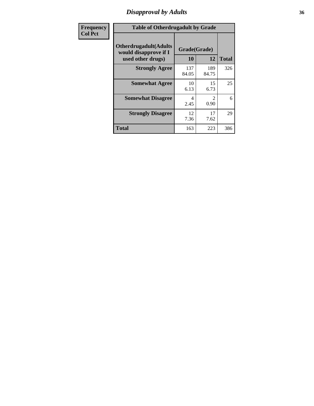# *Disapproval by Adults* **36**

| <b>Frequency</b> | <b>Table of Otherdrugadult by Grade</b>                |              |                               |              |
|------------------|--------------------------------------------------------|--------------|-------------------------------|--------------|
| <b>Col Pct</b>   | <b>Otherdrugadult</b> (Adults<br>would disapprove if I | Grade(Grade) |                               |              |
|                  | used other drugs)                                      | 10           | 12                            | <b>Total</b> |
|                  | <b>Strongly Agree</b>                                  | 137<br>84.05 | 189<br>84.75                  | 326          |
|                  | <b>Somewhat Agree</b>                                  | 10<br>6.13   | 15<br>6.73                    | 25           |
|                  | <b>Somewhat Disagree</b>                               | 4<br>2.45    | $\mathcal{D}_{\cdot}$<br>0.90 | 6            |
|                  | <b>Strongly Disagree</b>                               | 12<br>7.36   | 17<br>7.62                    | 29           |
|                  | <b>Total</b>                                           | 163          | 223                           | 386          |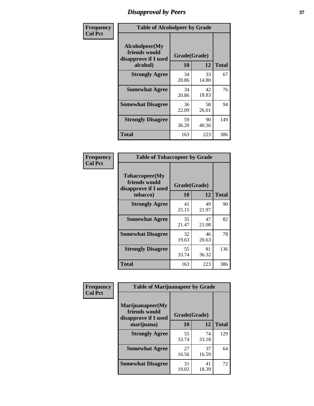# *Disapproval by Peers* **37**

| Frequency      | <b>Table of Alcoholpeer by Grade</b>                    |              |             |              |  |
|----------------|---------------------------------------------------------|--------------|-------------|--------------|--|
| <b>Col Pct</b> | Alcoholpeer(My<br>friends would<br>disapprove if I used | Grade(Grade) |             |              |  |
|                | alcohol)                                                | 10           | 12          | <b>Total</b> |  |
|                | <b>Strongly Agree</b>                                   | 34<br>20.86  | 33<br>14.80 | 67           |  |
|                | <b>Somewhat Agree</b>                                   | 34<br>20.86  | 42<br>18.83 | 76           |  |
|                | <b>Somewhat Disagree</b>                                | 36<br>22.09  | 58<br>26.01 | 94           |  |
|                | <b>Strongly Disagree</b>                                | 59<br>36.20  | 90<br>40.36 | 149          |  |
|                | Total                                                   | 163          | 223         | 386          |  |

| Frequency      | <b>Table of Tobaccopeer by Grade</b>                                |                    |             |              |  |
|----------------|---------------------------------------------------------------------|--------------------|-------------|--------------|--|
| <b>Col Pct</b> | Tobaccopeer(My<br>friends would<br>disapprove if I used<br>tobacco) | Grade(Grade)<br>10 | 12          | <b>Total</b> |  |
|                | <b>Strongly Agree</b>                                               | 41<br>25.15        | 49<br>21.97 | 90           |  |
|                | <b>Somewhat Agree</b>                                               | 35<br>21.47        | 47<br>21.08 | 82           |  |
|                | <b>Somewhat Disagree</b>                                            | 32<br>19.63        | 46<br>20.63 | 78           |  |
|                | <b>Strongly Disagree</b>                                            | 55<br>33.74        | 81<br>36.32 | 136          |  |
|                | <b>Total</b>                                                        | 163                | 223         | 386          |  |

| Frequency      | <b>Table of Marijuanapeer by Grade</b>                    |              |             |              |
|----------------|-----------------------------------------------------------|--------------|-------------|--------------|
| <b>Col Pct</b> | Marijuanapeer(My<br>friends would<br>disapprove if I used | Grade(Grade) |             |              |
|                | marijuana)                                                | <b>10</b>    | 12          | <b>Total</b> |
|                | <b>Strongly Agree</b>                                     | 55<br>33.74  | 74<br>33.18 | 129          |
|                | <b>Somewhat Agree</b>                                     | 27<br>16.56  | 37<br>16.59 | 64           |
|                | <b>Somewhat Disagree</b>                                  | 31<br>19.02  | 41<br>18.39 | 72           |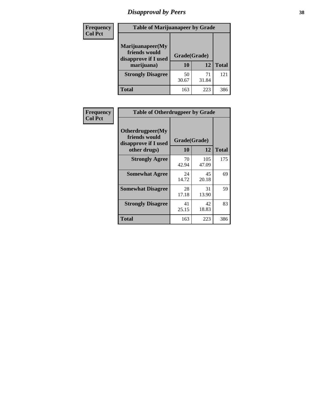# *Disapproval by Peers* **38**

| <b>Frequency</b> | <b>Table of Marijuanapeer by Grade</b>                                  |                           |             |              |  |
|------------------|-------------------------------------------------------------------------|---------------------------|-------------|--------------|--|
| <b>Col Pct</b>   | Marijuanapeer(My<br>friends would<br>disapprove if I used<br>marijuana) | Grade(Grade)<br><b>10</b> | 12          | <b>Total</b> |  |
|                  | <b>Strongly Disagree</b>                                                | 50<br>30.67               | 71<br>31.84 | 121          |  |
|                  | <b>Total</b>                                                            | 163                       | 223         | 386          |  |

| Frequency      | <b>Table of Otherdrugpeer by Grade</b>                                    |                    |              |              |
|----------------|---------------------------------------------------------------------------|--------------------|--------------|--------------|
| <b>Col Pct</b> | Otherdrugpeer(My<br>friends would<br>disapprove if I used<br>other drugs) | Grade(Grade)<br>10 | 12           | <b>Total</b> |
|                | <b>Strongly Agree</b>                                                     | 70<br>42.94        | 105<br>47.09 | 175          |
|                | <b>Somewhat Agree</b>                                                     | 24<br>14.72        | 45<br>20.18  | 69           |
|                | <b>Somewhat Disagree</b>                                                  | 28<br>17.18        | 31<br>13.90  | 59           |
|                | <b>Strongly Disagree</b>                                                  | 41<br>25.15        | 42<br>18.83  | 83           |
|                | <b>Total</b>                                                              | 163                | 223          | 386          |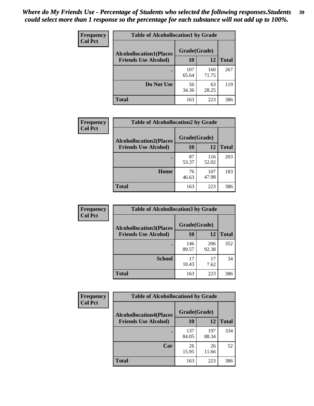| Frequency      | <b>Table of Alcohollocation1 by Grade</b> |              |              |              |
|----------------|-------------------------------------------|--------------|--------------|--------------|
| <b>Col Pct</b> | <b>Alcohollocation1(Places</b>            | Grade(Grade) |              |              |
|                | <b>Friends Use Alcohol)</b>               | 10           | 12           | <b>Total</b> |
|                |                                           | 107<br>65.64 | 160<br>71.75 | 267          |
|                | Do Not Use                                | 56<br>34.36  | 63<br>28.25  | 119          |
|                | <b>Total</b>                              | 163          | 223          | 386          |

| Frequency      | <b>Table of Alcohollocation2 by Grade</b>                     |                    |              |              |
|----------------|---------------------------------------------------------------|--------------------|--------------|--------------|
| <b>Col Pct</b> | <b>Alcohollocation2(Places</b><br><b>Friends Use Alcohol)</b> | Grade(Grade)<br>10 | <b>12</b>    | <b>Total</b> |
|                |                                                               | 87<br>53.37        | 116<br>52.02 | 203          |
|                | Home                                                          | 76<br>46.63        | 107<br>47.98 | 183          |
|                | <b>Total</b>                                                  | 163                | 223          | 386          |

| Frequency<br><b>Col Pct</b> | <b>Table of Alcohollocation 3 by Grade</b>                    |                    |              |              |
|-----------------------------|---------------------------------------------------------------|--------------------|--------------|--------------|
|                             | <b>Alcohollocation3(Places</b><br><b>Friends Use Alcohol)</b> | Grade(Grade)<br>10 | 12           | <b>Total</b> |
|                             |                                                               | 146<br>89.57       | 206<br>92.38 | 352          |
|                             | <b>School</b>                                                 | 17<br>10.43        | 17<br>7.62   | 34           |
|                             | <b>Total</b>                                                  | 163                | 223          | 386          |

| <b>Frequency</b> | <b>Table of Alcohollocation4 by Grade</b> |              |              |              |  |
|------------------|-------------------------------------------|--------------|--------------|--------------|--|
| <b>Col Pct</b>   | <b>Alcohollocation4(Places</b>            | Grade(Grade) |              |              |  |
|                  | <b>Friends Use Alcohol)</b>               | 10           | 12           | <b>Total</b> |  |
|                  |                                           | 137<br>84.05 | 197<br>88.34 | 334          |  |
|                  | Car                                       | 26<br>15.95  | 26<br>11.66  | 52           |  |
|                  | <b>Total</b>                              | 163          | 223          | 386          |  |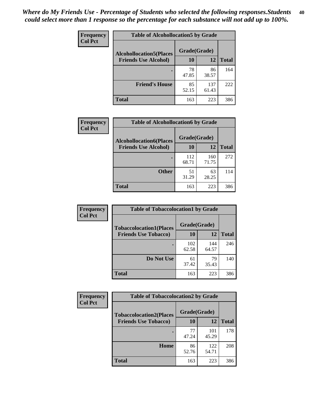| Frequency<br><b>Col Pct</b> | <b>Table of Alcohollocation5 by Grade</b> |              |              |              |  |
|-----------------------------|-------------------------------------------|--------------|--------------|--------------|--|
|                             | <b>Alcohollocation5(Places</b>            | Grade(Grade) |              |              |  |
|                             | <b>Friends Use Alcohol)</b>               | 10           | 12           | <b>Total</b> |  |
|                             |                                           | 78<br>47.85  | 86<br>38.57  | 164          |  |
|                             | <b>Friend's House</b>                     | 85<br>52.15  | 137<br>61.43 | 222          |  |
|                             | <b>Total</b>                              | 163          | 223          | 386          |  |

| <b>Frequency</b> | <b>Table of Alcohollocation6 by Grade</b> |              |              |              |
|------------------|-------------------------------------------|--------------|--------------|--------------|
| <b>Col Pct</b>   | <b>Alcohollocation6(Places</b>            | Grade(Grade) |              |              |
|                  | <b>Friends Use Alcohol)</b>               | 10           | 12           | <b>Total</b> |
|                  |                                           | 112<br>68.71 | 160<br>71.75 | 272          |
|                  | <b>Other</b>                              | 51<br>31.29  | 63<br>28.25  | 114          |
|                  | <b>Total</b>                              | 163          | 223          | 386          |

| Frequency      | <b>Table of Tobaccolocation1 by Grade</b> |              |              |              |
|----------------|-------------------------------------------|--------------|--------------|--------------|
| <b>Col Pct</b> | <b>Tobaccolocation1(Places</b>            | Grade(Grade) |              |              |
|                | <b>Friends Use Tobacco)</b>               | 10           | 12           | <b>Total</b> |
|                |                                           | 102<br>62.58 | 144<br>64.57 | 246          |
|                | Do Not Use                                | 61<br>37.42  | 79<br>35.43  | 140          |
|                | <b>Total</b>                              | 163          | 223          | 386          |

| Frequency      | <b>Table of Tobaccolocation2 by Grade</b> |              |              |              |  |
|----------------|-------------------------------------------|--------------|--------------|--------------|--|
| <b>Col Pct</b> | <b>Tobaccolocation2(Places</b>            | Grade(Grade) |              |              |  |
|                | <b>Friends Use Tobacco)</b>               | 10           | 12           | <b>Total</b> |  |
|                |                                           | 77<br>47.24  | 101<br>45.29 | 178          |  |
|                | Home                                      | 86<br>52.76  | 122<br>54.71 | 208          |  |
|                | <b>Total</b>                              | 163          | 223          | 386          |  |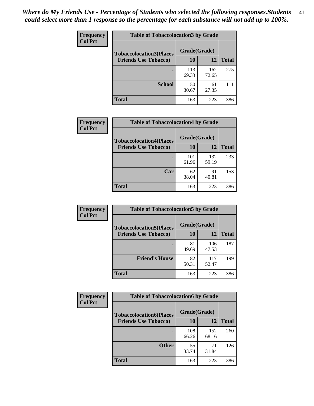| Frequency      | <b>Table of Tobaccolocation 3 by Grade</b> |              |              |              |  |
|----------------|--------------------------------------------|--------------|--------------|--------------|--|
| <b>Col Pct</b> | <b>Tobaccolocation3(Places</b>             | Grade(Grade) |              |              |  |
|                | <b>Friends Use Tobacco)</b>                | 10           | 12           | <b>Total</b> |  |
|                |                                            | 113<br>69.33 | 162<br>72.65 | 275          |  |
|                | <b>School</b>                              | 50<br>30.67  | 61<br>27.35  | 111          |  |
|                | <b>Total</b>                               | 163          | 223          | 386          |  |

| <b>Frequency</b><br><b>Col Pct</b> | <b>Table of Tobaccolocation4 by Grade</b> |              |              |              |
|------------------------------------|-------------------------------------------|--------------|--------------|--------------|
|                                    | <b>Tobaccolocation4(Places</b>            | Grade(Grade) |              |              |
|                                    | <b>Friends Use Tobacco)</b>               | 10           | 12           | <b>Total</b> |
|                                    |                                           | 101<br>61.96 | 132<br>59.19 | 233          |
|                                    | Car                                       | 62<br>38.04  | 91<br>40.81  | 153          |
|                                    | <b>Total</b>                              | 163          | 223          | 386          |

| Frequency      | <b>Table of Tobaccolocation5 by Grade</b> |              |              |              |
|----------------|-------------------------------------------|--------------|--------------|--------------|
| <b>Col Pct</b> | <b>Tobaccolocation5(Places</b>            | Grade(Grade) |              |              |
|                | <b>Friends Use Tobacco)</b>               | 10           | 12           | <b>Total</b> |
|                |                                           | 81<br>49.69  | 106<br>47.53 | 187          |
|                | <b>Friend's House</b>                     | 82<br>50.31  | 117<br>52.47 | 199          |
|                | <b>Total</b>                              | 163          | 223          | 386          |

| <b>Frequency</b> | <b>Table of Tobaccolocation6 by Grade</b> |              |              |              |  |
|------------------|-------------------------------------------|--------------|--------------|--------------|--|
| <b>Col Pct</b>   | <b>Tobaccolocation6(Places</b>            | Grade(Grade) |              |              |  |
|                  | <b>Friends Use Tobacco)</b>               | 10           | 12           | <b>Total</b> |  |
|                  |                                           | 108<br>66.26 | 152<br>68.16 | 260          |  |
|                  | <b>Other</b>                              | 55<br>33.74  | 71<br>31.84  | 126          |  |
|                  | <b>Total</b>                              | 163          | 223          | 386          |  |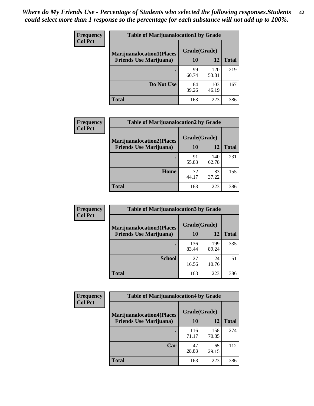| Frequency      | <b>Table of Marijuanalocation1 by Grade</b> |              |              |              |
|----------------|---------------------------------------------|--------------|--------------|--------------|
| <b>Col Pct</b> | <b>Marijuanalocation1(Places</b>            | Grade(Grade) |              |              |
|                | <b>Friends Use Marijuana</b> )              | <b>10</b>    | 12           | <b>Total</b> |
|                |                                             | 99<br>60.74  | 120<br>53.81 | 219          |
|                | Do Not Use                                  | 64<br>39.26  | 103<br>46.19 | 167          |
|                | <b>Total</b>                                | 163          | 223          | 386          |

| <b>Frequency</b> | <b>Table of Marijuanalocation2 by Grade</b>                        |                    |              |              |
|------------------|--------------------------------------------------------------------|--------------------|--------------|--------------|
| <b>Col Pct</b>   | <b>Marijuanalocation2(Places</b><br><b>Friends Use Marijuana</b> ) | Grade(Grade)<br>10 | 12           | <b>Total</b> |
|                  |                                                                    |                    |              |              |
|                  |                                                                    | 91<br>55.83        | 140<br>62.78 | 231          |
|                  | Home                                                               | 72<br>44.17        | 83<br>37.22  | 155          |
|                  | <b>Total</b>                                                       | 163                | 223          | 386          |

| Frequency<br><b>Col Pct</b> | <b>Table of Marijuanalocation3 by Grade</b> |              |              |       |
|-----------------------------|---------------------------------------------|--------------|--------------|-------|
|                             | <b>Marijuanalocation3</b> (Places           | Grade(Grade) |              |       |
|                             | <b>Friends Use Marijuana</b> )              | 10           | 12           | Total |
|                             |                                             | 136<br>83.44 | 199<br>89.24 | 335   |
|                             | <b>School</b>                               | 27<br>16.56  | 24<br>10.76  | 51    |
|                             | <b>Total</b>                                | 163          | 223          | 386   |

| <b>Frequency</b> | <b>Table of Marijuanalocation4 by Grade</b> |              |              |              |  |
|------------------|---------------------------------------------|--------------|--------------|--------------|--|
| <b>Col Pct</b>   | <b>Marijuanalocation4(Places</b>            | Grade(Grade) |              |              |  |
|                  | <b>Friends Use Marijuana</b> )              | <b>10</b>    | 12           | <b>Total</b> |  |
|                  |                                             | 116<br>71.17 | 158<br>70.85 | 274          |  |
|                  | Car                                         | 47<br>28.83  | 65<br>29.15  | 112          |  |
|                  | <b>Total</b>                                | 163          | 223          | 386          |  |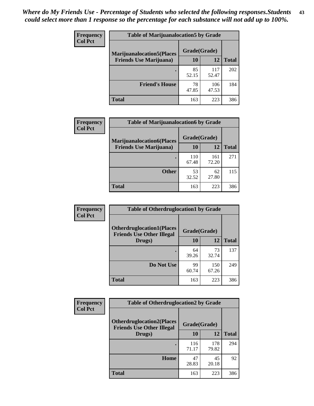| <b>Frequency</b> | <b>Table of Marijuanalocation5 by Grade</b> |              |              |              |
|------------------|---------------------------------------------|--------------|--------------|--------------|
| <b>Col Pct</b>   | <b>Marijuanalocation5</b> (Places           | Grade(Grade) |              |              |
|                  | <b>Friends Use Marijuana</b> )              | 10           | 12           | <b>Total</b> |
|                  |                                             | 85<br>52.15  | 117<br>52.47 | 202          |
|                  | <b>Friend's House</b>                       | 78<br>47.85  | 106<br>47.53 | 184          |
|                  | <b>Total</b>                                | 163          | 223          | 386          |

| <b>Frequency</b> | <b>Table of Marijuanalocation6 by Grade</b>                        |                    |              |              |
|------------------|--------------------------------------------------------------------|--------------------|--------------|--------------|
| <b>Col Pct</b>   | <b>Marijuanalocation6(Places</b><br><b>Friends Use Marijuana</b> ) | Grade(Grade)<br>10 | 12           | <b>Total</b> |
|                  |                                                                    | 110<br>67.48       | 161<br>72.20 | 271          |
|                  | <b>Other</b>                                                       | 53<br>32.52        | 62<br>27.80  | 115          |
|                  | <b>Total</b>                                                       | 163                | 223          | 386          |

| <b>Frequency</b> | <b>Table of Otherdruglocation1 by Grade</b>                          |              |              |              |
|------------------|----------------------------------------------------------------------|--------------|--------------|--------------|
| <b>Col Pct</b>   | <b>Otherdruglocation1(Places</b><br><b>Friends Use Other Illegal</b> | Grade(Grade) |              |              |
|                  | Drugs)                                                               | 10           | 12           | <b>Total</b> |
|                  |                                                                      | 64<br>39.26  | 73<br>32.74  | 137          |
|                  | Do Not Use                                                           | 99<br>60.74  | 150<br>67.26 | 249          |
|                  | <b>Total</b>                                                         | 163          | 223          | 386          |

| <b>Frequency</b> | <b>Table of Otherdruglocation2 by Grade</b>                          |              |              |              |
|------------------|----------------------------------------------------------------------|--------------|--------------|--------------|
| <b>Col Pct</b>   | <b>Otherdruglocation2(Places</b><br><b>Friends Use Other Illegal</b> | Grade(Grade) |              |              |
|                  | Drugs)                                                               | 10           | 12           | <b>Total</b> |
|                  |                                                                      | 116<br>71.17 | 178<br>79.82 | 294          |
|                  | Home                                                                 | 47<br>28.83  | 45<br>20.18  | 92           |
|                  | <b>Total</b>                                                         | 163          | 223          | 386          |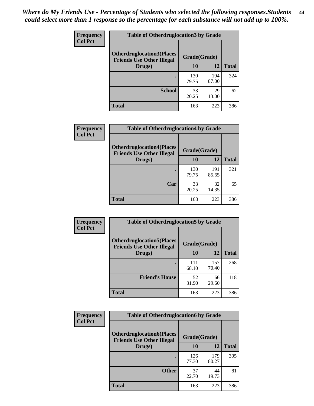| <b>Frequency</b> | <b>Table of Otherdruglocation3 by Grade</b>                           |              |              |              |
|------------------|-----------------------------------------------------------------------|--------------|--------------|--------------|
| <b>Col Pct</b>   | <b>Otherdruglocation3(Places)</b><br><b>Friends Use Other Illegal</b> | Grade(Grade) |              |              |
|                  | Drugs)                                                                | 10           | 12           | <b>Total</b> |
|                  |                                                                       | 130<br>79.75 | 194<br>87.00 | 324          |
|                  | <b>School</b>                                                         | 33<br>20.25  | 29<br>13.00  | 62           |
|                  | <b>Total</b>                                                          | 163          | 223          | 386          |

| <b>Frequency</b> | <b>Table of Otherdruglocation4 by Grade</b>                          |              |              |              |
|------------------|----------------------------------------------------------------------|--------------|--------------|--------------|
| <b>Col Pct</b>   | <b>Otherdruglocation4(Places</b><br><b>Friends Use Other Illegal</b> | Grade(Grade) |              |              |
|                  | Drugs)                                                               | 10           | 12           | <b>Total</b> |
|                  |                                                                      | 130<br>79.75 | 191<br>85.65 | 321          |
|                  | Car                                                                  | 33<br>20.25  | 32<br>14.35  | 65           |
|                  | <b>Total</b>                                                         | 163          | 223          | 386          |

| Frequency      | <b>Table of Otherdruglocation5 by Grade</b>                          |              |              |              |
|----------------|----------------------------------------------------------------------|--------------|--------------|--------------|
| <b>Col Pct</b> | <b>Otherdruglocation5(Places</b><br><b>Friends Use Other Illegal</b> | Grade(Grade) |              |              |
|                | Drugs)                                                               | 10           | 12           | <b>Total</b> |
|                |                                                                      | 111<br>68.10 | 157<br>70.40 | 268          |
|                | <b>Friend's House</b>                                                | 52<br>31.90  | 66<br>29.60  | 118          |
|                | <b>Total</b>                                                         | 163          | 223          | 386          |

| <b>Frequency</b> | <b>Table of Otherdruglocation6 by Grade</b>                          |              |              |              |
|------------------|----------------------------------------------------------------------|--------------|--------------|--------------|
| <b>Col Pct</b>   | <b>Otherdruglocation6(Places</b><br><b>Friends Use Other Illegal</b> | Grade(Grade) |              |              |
|                  | Drugs)                                                               | <b>10</b>    | 12           | <b>Total</b> |
|                  |                                                                      | 126<br>77.30 | 179<br>80.27 | 305          |
|                  | <b>Other</b>                                                         | 37<br>22.70  | 44<br>19.73  | 81           |
|                  | <b>Total</b>                                                         | 163          | 223          | 386          |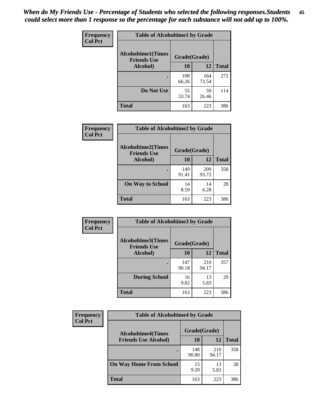| Frequency      | <b>Table of Alcoholtime1 by Grade</b>           |              |              |              |
|----------------|-------------------------------------------------|--------------|--------------|--------------|
| <b>Col Pct</b> | <b>Alcoholtime1(Times</b><br><b>Friends Use</b> | Grade(Grade) |              |              |
|                | Alcohol)                                        | 10           | <b>12</b>    | <b>Total</b> |
|                |                                                 | 108<br>66.26 | 164<br>73.54 | 272          |
|                | Do Not Use                                      | 55<br>33.74  | 59<br>26.46  | 114          |
|                | <b>Total</b>                                    | 163          | 223          | 386          |

| Frequency      | <b>Table of Alcoholtime2 by Grade</b>           |              |              |              |
|----------------|-------------------------------------------------|--------------|--------------|--------------|
| <b>Col Pct</b> | <b>Alcoholtime2(Times</b><br><b>Friends Use</b> | Grade(Grade) |              |              |
|                | Alcohol)                                        | 10           | 12           | <b>Total</b> |
|                |                                                 | 149<br>91.41 | 209<br>93.72 | 358          |
|                | <b>On Way to School</b>                         | 14<br>8.59   | 14<br>6.28   | 28           |
|                | <b>Total</b>                                    | 163          | 223          | 386          |

| <b>Frequency</b> | <b>Table of Alcoholtime3 by Grade</b>           |              |              |              |
|------------------|-------------------------------------------------|--------------|--------------|--------------|
| <b>Col Pct</b>   | <b>Alcoholtime3(Times</b><br><b>Friends Use</b> | Grade(Grade) |              |              |
|                  | Alcohol)                                        | 10           | 12           | <b>Total</b> |
|                  |                                                 | 147<br>90.18 | 210<br>94.17 | 357          |
|                  | <b>During School</b>                            | 16<br>9.82   | 13<br>5.83   | 29           |
|                  | <b>Total</b>                                    | 163          | 223          | 386          |

| <b>Frequency</b><br><b>Col Pct</b> | <b>Table of Alcoholtime4 by Grade</b> |              |              |              |
|------------------------------------|---------------------------------------|--------------|--------------|--------------|
|                                    | <b>Alcoholtime4(Times</b>             | Grade(Grade) |              |              |
|                                    | <b>Friends Use Alcohol)</b>           | 10           | 12           | <b>Total</b> |
|                                    |                                       | 148<br>90.80 | 210<br>94.17 | 358          |
|                                    | <b>On Way Home From School</b>        | 15<br>9.20   | 13<br>5.83   | 28           |
|                                    | <b>Total</b>                          | 163          | 223          | 386          |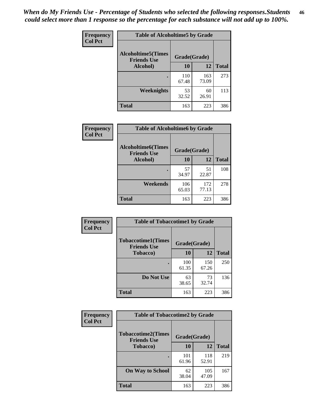*When do My Friends Use - Percentage of Students who selected the following responses.Students could select more than 1 response so the percentage for each substance will not add up to 100%.* **46**

| Frequency      | <b>Table of Alcoholtime5 by Grade</b>           |              |              |              |
|----------------|-------------------------------------------------|--------------|--------------|--------------|
| <b>Col Pct</b> | <b>Alcoholtime5(Times</b><br><b>Friends Use</b> | Grade(Grade) |              |              |
|                | Alcohol)                                        | 10           | <b>12</b>    | <b>Total</b> |
|                |                                                 | 110<br>67.48 | 163<br>73.09 | 273          |
|                | Weeknights                                      | 53<br>32.52  | 60<br>26.91  | 113          |
|                | <b>Total</b>                                    | 163          | 223          | 386          |

| Frequency      | <b>Table of Alcoholtime6 by Grade</b>           |              |              |              |
|----------------|-------------------------------------------------|--------------|--------------|--------------|
| <b>Col Pct</b> | <b>Alcoholtime6(Times</b><br><b>Friends Use</b> | Grade(Grade) |              |              |
|                | Alcohol)                                        | 10           | 12           | <b>Total</b> |
|                |                                                 | 57<br>34.97  | 51<br>22.87  | 108          |
|                | Weekends                                        | 106<br>65.03 | 172<br>77.13 | 278          |
|                | <b>Total</b>                                    | 163          | 223          | 386          |

| Frequency      | <b>Table of Tobaccotime1 by Grade</b>           |              |              |              |
|----------------|-------------------------------------------------|--------------|--------------|--------------|
| <b>Col Pct</b> | <b>Tobaccotime1(Times</b><br><b>Friends Use</b> | Grade(Grade) |              |              |
|                | <b>Tobacco</b> )                                | 10           | 12           | <b>Total</b> |
|                | ٠                                               | 100<br>61.35 | 150<br>67.26 | 250          |
|                | Do Not Use                                      | 63<br>38.65  | 73<br>32.74  | 136          |
|                | <b>Total</b>                                    | 163          | 223          | 386          |

| <b>Frequency</b> | <b>Table of Tobaccotime2 by Grade</b>           |              |              |              |
|------------------|-------------------------------------------------|--------------|--------------|--------------|
| <b>Col Pct</b>   | <b>Tobaccotime2(Times</b><br><b>Friends Use</b> | Grade(Grade) |              |              |
|                  | <b>Tobacco</b> )                                | 10           | 12           | <b>Total</b> |
|                  |                                                 | 101<br>61.96 | 118<br>52.91 | 219          |
|                  | <b>On Way to School</b>                         | 62<br>38.04  | 105<br>47.09 | 167          |
|                  | <b>Total</b>                                    | 163          | 223          | 386          |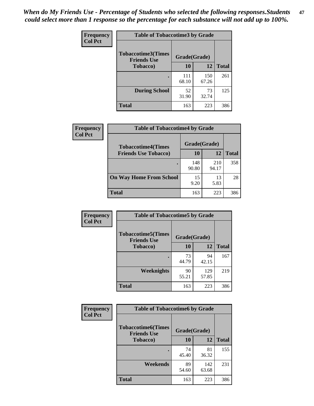*When do My Friends Use - Percentage of Students who selected the following responses.Students could select more than 1 response so the percentage for each substance will not add up to 100%.* **47**

| <b>Frequency</b> | <b>Table of Tobaccotime3 by Grade</b>           |              |              |              |  |
|------------------|-------------------------------------------------|--------------|--------------|--------------|--|
| <b>Col Pct</b>   | <b>Tobaccotime3(Times</b><br><b>Friends Use</b> | Grade(Grade) |              |              |  |
|                  | <b>Tobacco</b> )                                | 10           | 12           | <b>Total</b> |  |
|                  |                                                 | 111<br>68.10 | 150<br>67.26 | 261          |  |
|                  | <b>During School</b>                            | 52<br>31.90  | 73<br>32.74  | 125          |  |
|                  | <b>Total</b>                                    | 163          | 223          | 386          |  |

| <b>Frequency</b> | <b>Table of Tobaccotime4 by Grade</b> |              |              |              |
|------------------|---------------------------------------|--------------|--------------|--------------|
| <b>Col Pct</b>   | <b>Tobaccotime4(Times</b>             | Grade(Grade) |              |              |
|                  | <b>Friends Use Tobacco)</b>           | 10           | 12           | <b>Total</b> |
|                  |                                       | 148<br>90.80 | 210<br>94.17 | 358          |
|                  | <b>On Way Home From School</b>        | 15<br>9.20   | 13<br>5.83   | 28           |
|                  | <b>Total</b>                          | 163          | 223          | 386          |

| <b>Frequency</b> | <b>Table of Tobaccotime5 by Grade</b>           |              |              |              |
|------------------|-------------------------------------------------|--------------|--------------|--------------|
| <b>Col Pct</b>   | <b>Tobaccotime5(Times</b><br><b>Friends Use</b> | Grade(Grade) |              |              |
|                  | <b>Tobacco</b> )                                | 10           | 12           | <b>Total</b> |
|                  |                                                 | 73<br>44.79  | 94<br>42.15  | 167          |
|                  | Weeknights                                      | 90<br>55.21  | 129<br>57.85 | 219          |
|                  | <b>Total</b>                                    | 163          | 223          | 386          |

| Frequency      | <b>Table of Tobaccotime6 by Grade</b>           |              |              |              |
|----------------|-------------------------------------------------|--------------|--------------|--------------|
| <b>Col Pct</b> | <b>Tobaccotime6(Times</b><br><b>Friends Use</b> | Grade(Grade) |              |              |
|                | <b>Tobacco</b> )                                | 10           | <b>12</b>    | <b>Total</b> |
|                |                                                 | 74<br>45.40  | 81<br>36.32  | 155          |
|                | Weekends                                        | 89<br>54.60  | 142<br>63.68 | 231          |
|                | <b>Total</b>                                    | 163          | 223          | 386          |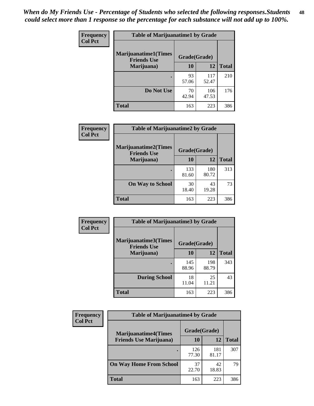| Frequency      | <b>Table of Marijuanatime1 by Grade</b>           |              |              |              |
|----------------|---------------------------------------------------|--------------|--------------|--------------|
| <b>Col Pct</b> | <b>Marijuanatime1(Times</b><br><b>Friends Use</b> | Grade(Grade) |              |              |
|                | Marijuana)                                        | 10           | 12           | <b>Total</b> |
|                |                                                   | 93<br>57.06  | 117<br>52.47 | 210          |
|                | Do Not Use                                        | 70<br>42.94  | 106<br>47.53 | 176          |
|                | <b>Total</b>                                      | 163          | 223          | 386          |

| Frequency      | <b>Table of Marijuanatime2 by Grade</b>    |              |              |              |
|----------------|--------------------------------------------|--------------|--------------|--------------|
| <b>Col Pct</b> | Marijuanatime2(Times<br><b>Friends Use</b> | Grade(Grade) |              |              |
|                | Marijuana)                                 | 10           | 12           | <b>Total</b> |
|                |                                            | 133<br>81.60 | 180<br>80.72 | 313          |
|                | <b>On Way to School</b>                    | 30<br>18.40  | 43<br>19.28  | 73           |
|                | <b>Total</b>                               | 163          | 223          | 386          |

| <b>Frequency</b> | <b>Table of Marijuanatime3 by Grade</b>    |              |              |              |
|------------------|--------------------------------------------|--------------|--------------|--------------|
| <b>Col Pct</b>   | Marijuanatime3(Times<br><b>Friends Use</b> | Grade(Grade) |              |              |
|                  | Marijuana)                                 | 10           | 12           | <b>Total</b> |
|                  |                                            | 145<br>88.96 | 198<br>88.79 | 343          |
|                  | <b>During School</b>                       | 18<br>11.04  | 25<br>11.21  | 43           |
|                  | <b>Total</b>                               | 163          | 223          | 386          |

| <b>Frequency</b> | <b>Table of Marijuanatime4 by Grade</b> |              |              |              |
|------------------|-----------------------------------------|--------------|--------------|--------------|
| <b>Col Pct</b>   | <b>Marijuanatime4</b> (Times            | Grade(Grade) |              |              |
|                  | <b>Friends Use Marijuana</b> )          | 10           | 12           | <b>Total</b> |
|                  |                                         | 126<br>77.30 | 181<br>81.17 | 307          |
|                  | <b>On Way Home From School</b>          | 37<br>22.70  | 42<br>18.83  | 79           |
|                  | <b>Total</b>                            | 163          | 223          | 386          |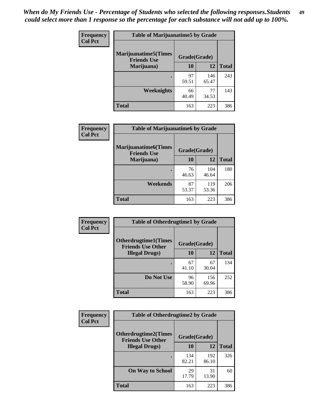| Frequency      | <b>Table of Marijuanatime5 by Grade</b>            |              |              |              |
|----------------|----------------------------------------------------|--------------|--------------|--------------|
| <b>Col Pct</b> | <b>Marijuanatime5</b> (Times<br><b>Friends Use</b> | Grade(Grade) |              |              |
|                | Marijuana)                                         | 10           | 12           | <b>Total</b> |
|                |                                                    | 97<br>59.51  | 146<br>65.47 | 243          |
|                | Weeknights                                         | 66<br>40.49  | 77<br>34.53  | 143          |
|                | <b>Total</b>                                       | 163          | 223          | 386          |

| Frequency      | <b>Table of Marijuanatime6 by Grade</b>    |              |              |              |
|----------------|--------------------------------------------|--------------|--------------|--------------|
| <b>Col Pct</b> | Marijuanatime6(Times<br><b>Friends Use</b> | Grade(Grade) |              |              |
|                | Marijuana)                                 | 10           | 12           | <b>Total</b> |
|                |                                            | 76<br>46.63  | 104<br>46.64 | 180          |
|                | Weekends                                   | 87<br>53.37  | 119<br>53.36 | 206          |
|                | <b>Total</b>                               | 163          | 223          | 386          |

| Frequency      | <b>Table of Otherdrugtime1 by Grade</b>                 |              |              |              |
|----------------|---------------------------------------------------------|--------------|--------------|--------------|
| <b>Col Pct</b> | <b>Otherdrugtime1(Times</b><br><b>Friends Use Other</b> | Grade(Grade) |              |              |
|                | <b>Illegal Drugs</b> )                                  | 10           | 12           | <b>Total</b> |
|                |                                                         | 67<br>41.10  | 67<br>30.04  | 134          |
|                | Do Not Use                                              | 96<br>58.90  | 156<br>69.96 | 252          |
|                | <b>Total</b>                                            | 163          | 223          | 386          |

| <b>Frequency</b> | <b>Table of Otherdrugtime2 by Grade</b>                 |              |              |              |  |  |  |
|------------------|---------------------------------------------------------|--------------|--------------|--------------|--|--|--|
| <b>Col Pct</b>   | <b>Otherdrugtime2(Times</b><br><b>Friends Use Other</b> | Grade(Grade) |              |              |  |  |  |
|                  | <b>Illegal Drugs</b> )                                  | 10           | 12           | <b>Total</b> |  |  |  |
|                  |                                                         | 134<br>82.21 | 192<br>86.10 | 326          |  |  |  |
|                  | <b>On Way to School</b>                                 | 29<br>17.79  | 31<br>13.90  | 60           |  |  |  |
|                  | <b>Total</b>                                            | 163          | 223          | 386          |  |  |  |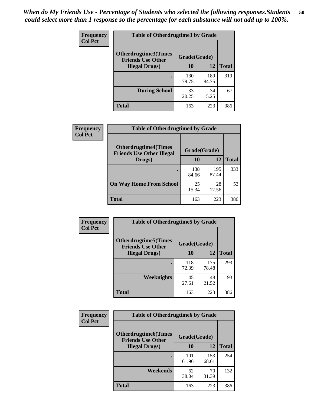| <b>Frequency</b> | <b>Table of Otherdrugtime3 by Grade</b>                 |              |              |              |  |  |
|------------------|---------------------------------------------------------|--------------|--------------|--------------|--|--|
| <b>Col Pct</b>   | <b>Otherdrugtime3(Times</b><br><b>Friends Use Other</b> | Grade(Grade) |              |              |  |  |
|                  | <b>Illegal Drugs</b> )                                  | 10           | 12           | <b>Total</b> |  |  |
|                  |                                                         | 130<br>79.75 | 189<br>84.75 | 319          |  |  |
|                  | <b>During School</b>                                    | 33<br>20.25  | 34<br>15.25  | 67           |  |  |
|                  | Total                                                   | 163          | 223          | 386          |  |  |

| Frequency<br><b>Col Pct</b> | <b>Table of Otherdrugtime4 by Grade</b>                         |              |              |              |  |  |
|-----------------------------|-----------------------------------------------------------------|--------------|--------------|--------------|--|--|
|                             | <b>Otherdrugtime4(Times</b><br><b>Friends Use Other Illegal</b> | Grade(Grade) |              |              |  |  |
|                             | Drugs)                                                          | 10           | 12           | <b>Total</b> |  |  |
|                             | $\bullet$                                                       | 138<br>84.66 | 195<br>87.44 | 333          |  |  |
|                             | <b>On Way Home From School</b>                                  | 25<br>15.34  | 28<br>12.56  | 53           |  |  |
|                             | Total                                                           | 163          | 223          | 386          |  |  |

| <b>Frequency</b> | <b>Table of Otherdrugtime5 by Grade</b>                  |              |              |              |  |  |  |
|------------------|----------------------------------------------------------|--------------|--------------|--------------|--|--|--|
| <b>Col Pct</b>   | <b>Otherdrugtime5</b> (Times<br><b>Friends Use Other</b> | Grade(Grade) |              |              |  |  |  |
|                  | <b>Illegal Drugs</b> )                                   | 10           | 12           | <b>Total</b> |  |  |  |
|                  |                                                          | 118<br>72.39 | 175<br>78.48 | 293          |  |  |  |
|                  | Weeknights                                               | 45<br>27.61  | 48<br>21.52  | 93           |  |  |  |
|                  | Total                                                    | 163          | 223          | 386          |  |  |  |

| Frequency<br><b>Col Pct</b> | <b>Table of Otherdrugtime6 by Grade</b>                 |              |              |              |  |  |
|-----------------------------|---------------------------------------------------------|--------------|--------------|--------------|--|--|
|                             | <b>Otherdrugtime6(Times</b><br><b>Friends Use Other</b> | Grade(Grade) |              |              |  |  |
|                             | <b>Illegal Drugs)</b>                                   | 10           | 12           | <b>Total</b> |  |  |
|                             |                                                         | 101<br>61.96 | 153<br>68.61 | 254          |  |  |
|                             | Weekends                                                | 62<br>38.04  | 70<br>31.39  | 132          |  |  |
|                             | <b>Total</b>                                            | 163          | 223          | 386          |  |  |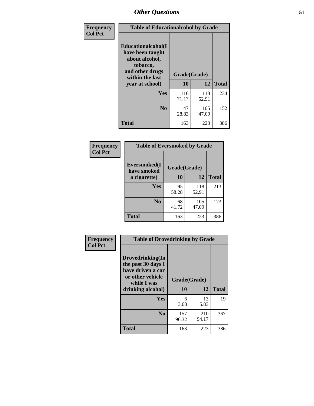| Frequency      | <b>Table of Educationalcohol by Grade</b>                                                                  |              |              |              |  |  |
|----------------|------------------------------------------------------------------------------------------------------------|--------------|--------------|--------------|--|--|
| <b>Col Pct</b> | Educationalcohol(I<br>have been taught<br>about alcohol,<br>tobacco,<br>and other drugs<br>within the last | Grade(Grade) |              |              |  |  |
|                | year at school)                                                                                            | 10           | 12           | <b>Total</b> |  |  |
|                | Yes                                                                                                        | 116<br>71.17 | 118<br>52.91 | 234          |  |  |
|                | N <sub>0</sub>                                                                                             | 47<br>28.83  | 105<br>47.09 | 152          |  |  |
|                | <b>Total</b>                                                                                               | 163          | 223          | 386          |  |  |

| Frequency      | <b>Table of Eversmoked by Grade</b> |              |              |              |  |  |  |
|----------------|-------------------------------------|--------------|--------------|--------------|--|--|--|
| <b>Col Pct</b> | Eversmoked(I<br>have smoked         | Grade(Grade) |              |              |  |  |  |
|                | a cigarette)                        | 10           | 12           | <b>Total</b> |  |  |  |
|                | Yes                                 | 95<br>58.28  | 118<br>52.91 | 213          |  |  |  |
|                | N <sub>0</sub>                      | 68<br>41.72  | 105<br>47.09 | 173          |  |  |  |
|                | <b>Total</b>                        | 163          | 223          | 386          |  |  |  |

| Frequency      | <b>Table of Drovedrinking by Grade</b>                                                                              |                    |              |              |  |  |
|----------------|---------------------------------------------------------------------------------------------------------------------|--------------------|--------------|--------------|--|--|
| <b>Col Pct</b> | Drovedrinking(In<br>the past 30 days I<br>have driven a car<br>or other vehicle<br>while I was<br>drinking alcohol) | Grade(Grade)<br>10 | 12           | <b>Total</b> |  |  |
|                |                                                                                                                     |                    |              |              |  |  |
|                | <b>Yes</b>                                                                                                          | 6                  | 13           | 19           |  |  |
|                |                                                                                                                     | 3.68               | 5.83         |              |  |  |
|                | N <sub>0</sub>                                                                                                      | 157<br>96.32       | 210<br>94.17 | 367          |  |  |
|                | <b>Total</b>                                                                                                        | 163                | 223          | 386          |  |  |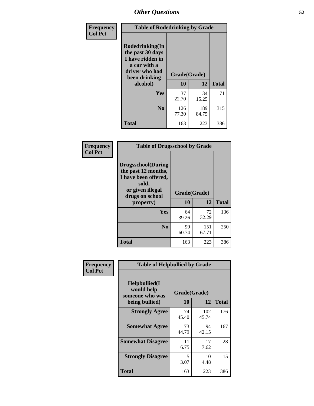| Frequency<br><b>Col Pct</b> | <b>Table of Rodedrinking by Grade</b>                                                                      |              |              |              |  |  |
|-----------------------------|------------------------------------------------------------------------------------------------------------|--------------|--------------|--------------|--|--|
|                             | Rodedrinking(In<br>the past 30 days<br>I have ridden in<br>a car with a<br>driver who had<br>been drinking | Grade(Grade) |              |              |  |  |
|                             | alcohol)                                                                                                   | 10           | 12           | <b>Total</b> |  |  |
|                             | <b>Yes</b>                                                                                                 | 37<br>22.70  | 34<br>15.25  | 71           |  |  |
|                             | N <sub>0</sub>                                                                                             | 126<br>77.30 | 189<br>84.75 | 315          |  |  |
|                             | <b>Total</b>                                                                                               | 163          | 223          | 386          |  |  |

#### **Frequency Col Pct**

| <b>Table of Drugsschool by Grade</b>                                                                                      |              |              |              |  |  |  |
|---------------------------------------------------------------------------------------------------------------------------|--------------|--------------|--------------|--|--|--|
| <b>Drugsschool</b> (During<br>the past 12 months,<br>I have been offered,<br>sold,<br>or given illegal<br>drugs on school | Grade(Grade) |              |              |  |  |  |
| property)                                                                                                                 | 10           | 12           | <b>Total</b> |  |  |  |
| Yes                                                                                                                       | 64<br>39.26  | 72<br>32.29  | 136          |  |  |  |
| N <sub>0</sub>                                                                                                            | 99<br>60.74  | 151<br>67.71 | 250          |  |  |  |
| <b>Total</b>                                                                                                              | 163          | 223          | 386          |  |  |  |

| Frequency      | <b>Table of Helpbullied by Grade</b>                 |              |              |              |  |  |  |
|----------------|------------------------------------------------------|--------------|--------------|--------------|--|--|--|
| <b>Col Pct</b> | $Helpb$ ullied $(I$<br>would help<br>someone who was | Grade(Grade) |              |              |  |  |  |
|                | being bullied)                                       | 10           | 12           | <b>Total</b> |  |  |  |
|                | <b>Strongly Agree</b>                                | 74<br>45.40  | 102<br>45.74 | 176          |  |  |  |
|                | <b>Somewhat Agree</b>                                | 73<br>44.79  | 94<br>42.15  | 167          |  |  |  |
|                | <b>Somewhat Disagree</b>                             | 11<br>6.75   | 17<br>7.62   | 28           |  |  |  |
|                | <b>Strongly Disagree</b>                             | 5<br>3.07    | 10<br>4.48   | 15           |  |  |  |
|                | <b>Total</b>                                         | 163          | 223          | 386          |  |  |  |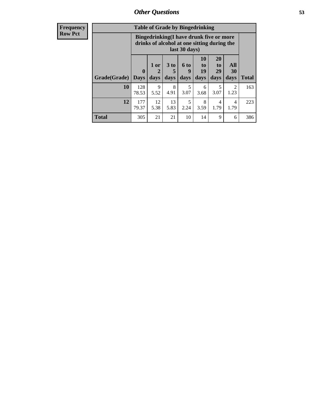| <b>Frequency</b> | <b>Table of Grade by Bingedrinking</b> |                                                                                                         |                   |                   |                          |                                         |                                  |                        |              |
|------------------|----------------------------------------|---------------------------------------------------------------------------------------------------------|-------------------|-------------------|--------------------------|-----------------------------------------|----------------------------------|------------------------|--------------|
| Row Pct          |                                        | Bingedrinking(I have drunk five or more<br>drinks of alcohol at one sitting during the<br>last 30 days) |                   |                   |                          |                                         |                                  |                        |              |
|                  | Grade(Grade)                           | $\boldsymbol{0}$<br><b>Days</b>                                                                         | 1 or<br>2<br>days | 3 to<br>5<br>days | <b>6 to</b><br>9<br>days | <b>10</b><br>$\mathbf{t}$<br>19<br>days | <b>20</b><br>to<br>29<br>days    | All<br>30<br>days      | <b>Total</b> |
|                  | 10                                     | 128<br>78.53                                                                                            | 9<br>5.52         | 8<br>4.91         | 5<br>3.07                | 6<br>3.68                               | $\overline{\mathcal{L}}$<br>3.07 | 2<br>1.23              | 163          |
|                  | 12                                     | 177<br>79.37                                                                                            | 12<br>5.38        | 13<br>5.83        | 5<br>2.24                | 8<br>3.59                               | 4<br>1.79                        | $\overline{4}$<br>1.79 | 223          |
|                  | <b>Total</b>                           | 305                                                                                                     | 21                | 21                | 10                       | 14                                      | 9                                | 6                      | 386          |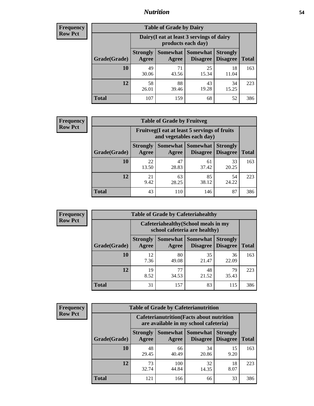### *Nutrition* **54**

| <b>Frequency</b> |
|------------------|
| <b>Row Pct</b>   |

| <b>Table of Grade by Dairy</b> |                                                                                                                                           |                                                                 |             |             |     |  |  |  |
|--------------------------------|-------------------------------------------------------------------------------------------------------------------------------------------|-----------------------------------------------------------------|-------------|-------------|-----|--|--|--|
|                                |                                                                                                                                           | Dairy (I eat at least 3 servings of dairy<br>products each day) |             |             |     |  |  |  |
| Grade(Grade)                   | <b>Somewhat</b><br><b>Somewhat</b><br><b>Strongly</b><br><b>Strongly</b><br><b>Disagree</b><br>Disagree<br><b>Total</b><br>Agree<br>Agree |                                                                 |             |             |     |  |  |  |
| 10                             | 49<br>30.06                                                                                                                               | 71<br>43.56                                                     | 25<br>15.34 | 18<br>11.04 | 163 |  |  |  |
| 12                             | 58<br>26.01                                                                                                                               | 88<br>39.46                                                     | 43<br>19.28 | 34<br>15.25 | 223 |  |  |  |
| <b>Total</b>                   | 107                                                                                                                                       | 159                                                             | 68          | 52          | 386 |  |  |  |

| <b>Frequency</b> |  |
|------------------|--|
| <b>Row Pct</b>   |  |

| <b>Table of Grade by Fruitveg</b> |                          |                                                                          |                               |                                    |              |  |  |  |
|-----------------------------------|--------------------------|--------------------------------------------------------------------------|-------------------------------|------------------------------------|--------------|--|--|--|
|                                   |                          | Fruitveg(I eat at least 5 servings of fruits<br>and vegetables each day) |                               |                                    |              |  |  |  |
| Grade(Grade)                      | <b>Strongly</b><br>Agree | Agree                                                                    | Somewhat Somewhat<br>Disagree | <b>Strongly</b><br><b>Disagree</b> | <b>Total</b> |  |  |  |
| 10                                | 22<br>13.50              | 47<br>28.83                                                              | 61<br>37.42                   | 33<br>20.25                        | 163          |  |  |  |
| 12                                | 21<br>9.42               | 63<br>28.25                                                              | 85<br>38.12                   | 54<br>24.22                        | 223          |  |  |  |
| <b>Total</b>                      | 43                       | 110                                                                      | 146                           | 87                                 | 386          |  |  |  |

| <b>Frequency</b> | <b>Table of Grade by Cafeteriahealthy</b> |                          |             |                                                                       |                                    |              |
|------------------|-------------------------------------------|--------------------------|-------------|-----------------------------------------------------------------------|------------------------------------|--------------|
| <b>Row Pct</b>   |                                           |                          |             | Cafeteriahealthy (School meals in my<br>school cafeteria are healthy) |                                    |              |
|                  | Grade(Grade)                              | <b>Strongly</b><br>Agree | Agree       | Somewhat   Somewhat  <br><b>Disagree</b>                              | <b>Strongly</b><br><b>Disagree</b> | <b>Total</b> |
|                  | 10                                        | 12<br>7.36               | 80<br>49.08 | 35<br>21.47                                                           | 36<br>22.09                        | 163          |
|                  | 12                                        | 19<br>8.52               | 77<br>34.53 | 48<br>21.52                                                           | 79<br>35.43                        | 223          |
|                  | <b>Total</b>                              | 31                       | 157         | 83                                                                    | 115                                | 386          |

| <b>Frequency</b> |
|------------------|
| <b>Row Pct</b>   |

| <b>Table of Grade by Cafeterianutrition</b> |                                                                                           |                   |                                    |                                    |              |  |  |  |
|---------------------------------------------|-------------------------------------------------------------------------------------------|-------------------|------------------------------------|------------------------------------|--------------|--|--|--|
|                                             | <b>Cafeterianutrition</b> (Facts about nutrition<br>are available in my school cafeteria) |                   |                                    |                                    |              |  |  |  |
| Grade(Grade)                                | <b>Strongly</b><br>Agree                                                                  | Somewhat<br>Agree | <b>Somewhat</b><br><b>Disagree</b> | <b>Strongly</b><br><b>Disagree</b> | <b>Total</b> |  |  |  |
| 10                                          | 48<br>29.45                                                                               | 66<br>40.49       | 34<br>20.86                        | 15<br>9.20                         | 163          |  |  |  |
| 12                                          | 73<br>32.74                                                                               | 100<br>44.84      | 32<br>14.35                        | 18<br>8.07                         | 223          |  |  |  |
| Total                                       | 121                                                                                       | 166               | 66                                 | 33                                 | 386          |  |  |  |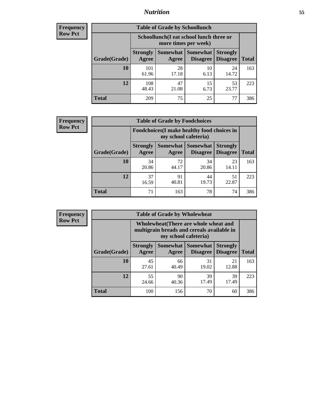### *Nutrition* **55**

| <b>Frequency</b> |
|------------------|
| <b>Row Pct</b>   |

| <b>Table of Grade by Schoollunch</b> |                                                                                                                            |                                                                 |            |             |     |  |  |  |
|--------------------------------------|----------------------------------------------------------------------------------------------------------------------------|-----------------------------------------------------------------|------------|-------------|-----|--|--|--|
|                                      |                                                                                                                            | Schoollunch(I eat school lunch three or<br>more times per week) |            |             |     |  |  |  |
| Grade(Grade)                         | Somewhat   Somewhat<br><b>Strongly</b><br><b>Strongly</b><br><b>Disagree</b><br>Disagree<br><b>Total</b><br>Agree<br>Agree |                                                                 |            |             |     |  |  |  |
| 10                                   | 101<br>61.96                                                                                                               | 28<br>17.18                                                     | 10<br>6.13 | 24<br>14.72 | 163 |  |  |  |
| 12                                   | 108<br>48.43                                                                                                               | 47<br>21.08                                                     | 15<br>6.73 | 53<br>23.77 | 223 |  |  |  |
| <b>Total</b>                         | 209                                                                                                                        | 75                                                              | 25         | 77          | 386 |  |  |  |

| <b>Frequency</b> |  |
|------------------|--|
| <b>Row Pct</b>   |  |

| <b>Table of Grade by Foodchoices</b>                                |                          |             |                                      |                                    |              |  |  |  |
|---------------------------------------------------------------------|--------------------------|-------------|--------------------------------------|------------------------------------|--------------|--|--|--|
| Foodchoices (I make healthy food choices in<br>my school cafeteria) |                          |             |                                      |                                    |              |  |  |  |
| Grade(Grade)                                                        | <b>Strongly</b><br>Agree | Agree       | <b>Somewhat Somewhat</b><br>Disagree | <b>Strongly</b><br><b>Disagree</b> | <b>Total</b> |  |  |  |
| 10                                                                  | 34<br>20.86              | 72<br>44.17 | 34<br>20.86                          | 23<br>14.11                        | 163          |  |  |  |
| 12                                                                  | 37<br>16.59              | 91<br>40.81 | 44<br>19.73                          | 51<br>22.87                        | 223          |  |  |  |
| <b>Total</b>                                                        | 71                       | 163         | 78                                   | 74                                 | 386          |  |  |  |

| <b>Frequency</b> | <b>Table of Grade by Wholewheat</b> |                                                                                                             |             |                                        |                                    |              |  |  |
|------------------|-------------------------------------|-------------------------------------------------------------------------------------------------------------|-------------|----------------------------------------|------------------------------------|--------------|--|--|
| <b>Row Pct</b>   |                                     | Wholewheat (There are whole wheat and<br>multigrain breads and cereals available in<br>my school cafeteria) |             |                                        |                                    |              |  |  |
|                  | Grade(Grade)                        | <b>Strongly</b><br>Agree                                                                                    | Agree       | Somewhat   Somewhat<br><b>Disagree</b> | <b>Strongly</b><br><b>Disagree</b> | <b>Total</b> |  |  |
|                  | 10                                  | 45<br>27.61                                                                                                 | 66<br>40.49 | 31<br>19.02                            | 21<br>12.88                        | 163          |  |  |
|                  | 12                                  | 55<br>24.66                                                                                                 | 90<br>40.36 | 39<br>17.49                            | 39<br>17.49                        | 223          |  |  |
|                  | <b>Total</b>                        | 100                                                                                                         | 156         | 70                                     | 60                                 | 386          |  |  |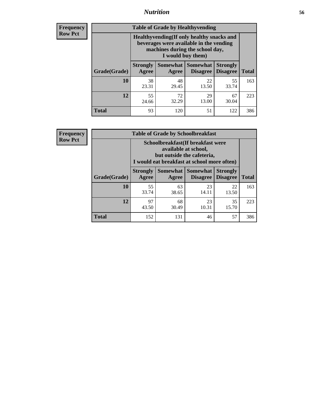### *Nutrition* **56**

**Frequency Row Pct**

| <b>Table of Grade by Healthyvending</b> |                                                                                                                                               |                          |                                    |                                    |              |  |
|-----------------------------------------|-----------------------------------------------------------------------------------------------------------------------------------------------|--------------------------|------------------------------------|------------------------------------|--------------|--|
|                                         | Healthyvending (If only healthy snacks and<br>beverages were available in the vending<br>machines during the school day,<br>I would buy them) |                          |                                    |                                    |              |  |
| Grade(Grade)                            | <b>Strongly</b><br>Agree                                                                                                                      | <b>Somewhat</b><br>Agree | <b>Somewhat</b><br><b>Disagree</b> | <b>Strongly</b><br><b>Disagree</b> | <b>Total</b> |  |
| 10                                      | 38<br>23.31                                                                                                                                   | 48<br>29.45              | 22<br>13.50                        | 55<br>33.74                        | 163          |  |
| 12                                      | 55<br>24.66                                                                                                                                   | 72<br>32.29              | 29<br>13.00                        | 67<br>30.04                        | 223          |  |
| <b>Total</b>                            | 93                                                                                                                                            | 120                      | 51                                 | 122                                | 386          |  |

**Frequency Row Pct**

| <b>Table of Grade by Schoolbreakfast</b> |                                                                                                                                         |                     |                                    |                                    |              |  |
|------------------------------------------|-----------------------------------------------------------------------------------------------------------------------------------------|---------------------|------------------------------------|------------------------------------|--------------|--|
|                                          | Schoolbreakfast (If breakfast were<br>available at school,<br>but outside the cafeteria,<br>I would eat breakfast at school more often) |                     |                                    |                                    |              |  |
| Grade(Grade)                             | <b>Strongly</b><br>Agree                                                                                                                | Somewhat  <br>Agree | <b>Somewhat</b><br><b>Disagree</b> | <b>Strongly</b><br><b>Disagree</b> | <b>Total</b> |  |
| 10                                       | 55<br>33.74                                                                                                                             | 63<br>38.65         | 23<br>14.11                        | 22<br>13.50                        | 163          |  |
| 12                                       | 97<br>43.50                                                                                                                             | 68<br>30.49         | 23<br>10.31                        | 35<br>15.70                        | 223          |  |
| <b>Total</b>                             | 152                                                                                                                                     | 131                 | 46                                 | 57                                 | 386          |  |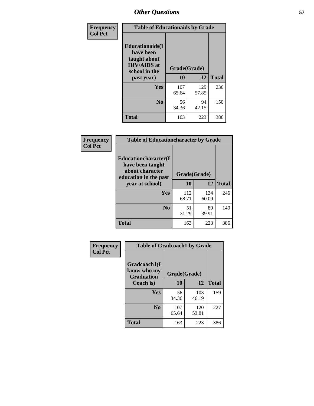| Frequency<br><b>Col Pct</b> | <b>Table of Educationaids by Grade</b>                                                      |              |             |              |
|-----------------------------|---------------------------------------------------------------------------------------------|--------------|-------------|--------------|
|                             | <b>Educationaids</b> (I<br>have been<br>taught about<br><b>HIV/AIDS</b> at<br>school in the | Grade(Grade) |             |              |
|                             | past year)                                                                                  | 10           | 12          | <b>Total</b> |
|                             | Yes                                                                                         | 107          | 129         | 236          |
|                             |                                                                                             | 65.64        | 57.85       |              |
|                             | N <sub>0</sub>                                                                              | 56<br>34.36  | 94<br>42.15 | 150          |
|                             | <b>Total</b>                                                                                | 163          | 223         | 386          |

| Frequency      | <b>Table of Educationcharacter by Grade</b>                                                  |              |              |              |
|----------------|----------------------------------------------------------------------------------------------|--------------|--------------|--------------|
| <b>Col Pct</b> | <b>Educationcharacter(I)</b><br>have been taught<br>about character<br>education in the past | Grade(Grade) |              |              |
|                | year at school)                                                                              | 10           | 12           | <b>Total</b> |
|                | Yes                                                                                          | 112<br>68.71 | 134<br>60.09 | 246          |
|                | N <sub>0</sub>                                                                               | 51<br>31.29  | 89<br>39.91  | 140          |
|                | <b>Total</b>                                                                                 | 163          | 223          | 386          |

| Frequency      | <b>Table of Gradcoach1 by Grade</b>              |              |              |              |
|----------------|--------------------------------------------------|--------------|--------------|--------------|
| <b>Col Pct</b> | Gradcoach1(I<br>know who my<br><b>Graduation</b> |              | Grade(Grade) |              |
|                | Coach is)                                        | 10           | 12           | <b>Total</b> |
|                | Yes                                              | 56<br>34.36  | 103<br>46.19 | 159          |
|                | N <sub>0</sub>                                   | 107<br>65.64 | 120<br>53.81 | 227          |
|                | <b>Total</b>                                     | 163          | 223          | 386          |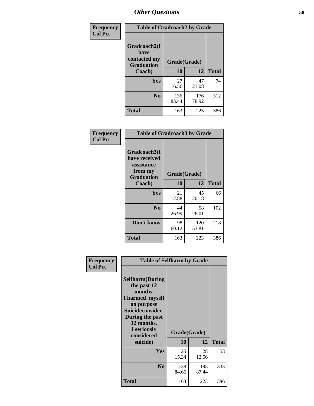| Frequency                         | <b>Table of Gradcoach2 by Grade</b> |              |              |              |
|-----------------------------------|-------------------------------------|--------------|--------------|--------------|
| <b>Col Pct</b>                    | Gradcoach2(I<br>have                |              |              |              |
| contacted my<br><b>Graduation</b> |                                     | Grade(Grade) |              |              |
|                                   | Coach)                              | 10           | 12           | <b>Total</b> |
|                                   | Yes                                 | 27<br>16.56  | 47<br>21.08  | 74           |
|                                   | N <sub>0</sub>                      | 136<br>83.44 | 176<br>78.92 | 312          |
|                                   | <b>Total</b>                        | 163          | 223          | 386          |

| <b>Frequency</b><br><b>Col Pct</b> |                                                                             | <b>Table of Gradcoach3 by Grade</b> |              |              |  |
|------------------------------------|-----------------------------------------------------------------------------|-------------------------------------|--------------|--------------|--|
|                                    | Gradcoach3(I<br>have received<br>assistance<br>from my<br><b>Graduation</b> | Grade(Grade)                        |              |              |  |
|                                    | Coach)                                                                      | 10                                  | 12           | <b>Total</b> |  |
|                                    | Yes                                                                         | 21<br>12.88                         | 45<br>20.18  | 66           |  |
|                                    | N <sub>0</sub>                                                              | 44<br>26.99                         | 58<br>26.01  | 102          |  |
|                                    | Don't know                                                                  | 98<br>60.12                         | 120<br>53.81 | 218          |  |
|                                    | <b>Total</b>                                                                | 163                                 | 223          | 386          |  |

| Frequency<br><b>Col Pct</b> | <b>Table of Selfharm by Grade</b>                                                                                                                                                      |                    |              |              |
|-----------------------------|----------------------------------------------------------------------------------------------------------------------------------------------------------------------------------------|--------------------|--------------|--------------|
|                             | <b>Selfharm</b> (During<br>the past 12<br>months,<br>I harmed myself<br>on purpose<br><b>Suicideconsider</b><br>During the past<br>12 months,<br>I seriously<br>considered<br>suicide) | Grade(Grade)<br>10 | 12           | <b>Total</b> |
|                             | Yes                                                                                                                                                                                    | 25<br>15.34        | 28<br>12.56  | 53           |
|                             | N <sub>0</sub>                                                                                                                                                                         | 138<br>84.66       | 195<br>87.44 | 333          |
|                             | <b>Total</b>                                                                                                                                                                           | 163                | 223          | 386          |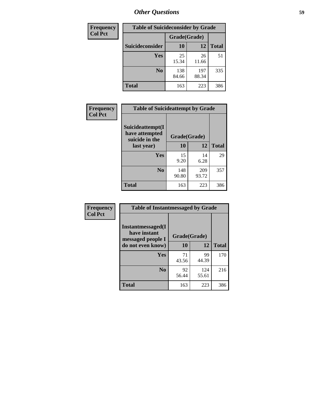| <b>Frequency</b> | <b>Table of Suicideconsider by Grade</b> |              |              |              |  |
|------------------|------------------------------------------|--------------|--------------|--------------|--|
| <b>Col Pct</b>   |                                          | Grade(Grade) |              |              |  |
|                  | Suicideconsider                          | <b>10</b>    | 12           | <b>Total</b> |  |
|                  | Yes                                      | 25<br>15.34  | 26<br>11.66  | 51           |  |
|                  | N <sub>0</sub>                           | 138<br>84.66 | 197<br>88.34 | 335          |  |
|                  | <b>Total</b>                             | 163          | 223          | 386          |  |

| Frequency      | <b>Table of Suicideattempt by Grade</b>              |              |              |              |
|----------------|------------------------------------------------------|--------------|--------------|--------------|
| <b>Col Pct</b> | Suicideattempt(I<br>have attempted<br>suicide in the | Grade(Grade) |              |              |
|                | last year)                                           | 10           | 12           | <b>Total</b> |
|                | Yes                                                  | 15<br>9.20   | 14<br>6.28   | 29           |
|                | $\bf No$                                             | 148<br>90.80 | 209<br>93.72 | 357          |
|                | <b>Total</b>                                         | 163          | 223          | 386          |

| Frequency      | <b>Table of Instantmessaged by Grade</b>               |              |              |              |
|----------------|--------------------------------------------------------|--------------|--------------|--------------|
| <b>Col Pct</b> | Instantmessaged(I<br>have instant<br>messaged people I | Grade(Grade) |              |              |
|                | do not even know)                                      | 10           | 12           | <b>Total</b> |
|                | Yes                                                    | 71<br>43.56  | 99<br>44.39  | 170          |
|                | N <sub>0</sub>                                         | 92<br>56.44  | 124<br>55.61 | 216          |
|                | <b>Total</b>                                           | 163          | 223          | 386          |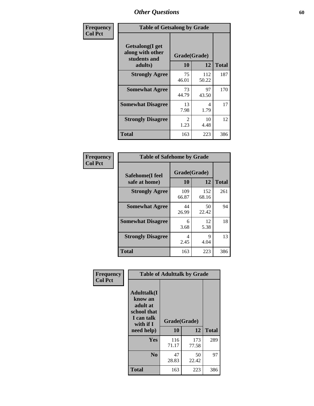| Frequency      | <b>Table of Getsalong by Grade</b>                          |                       |              |              |
|----------------|-------------------------------------------------------------|-----------------------|--------------|--------------|
| <b>Col Pct</b> | <b>Getsalong</b> (I get<br>along with other<br>students and | Grade(Grade)          |              |              |
|                | adults)                                                     | 10                    | 12           | <b>Total</b> |
|                | <b>Strongly Agree</b>                                       | 75<br>46.01           | 112<br>50.22 | 187          |
|                | <b>Somewhat Agree</b>                                       | 73<br>44.79           | 97<br>43.50  | 170          |
|                | <b>Somewhat Disagree</b>                                    | 13<br>7.98            | 4<br>1.79    | 17           |
|                | <b>Strongly Disagree</b>                                    | $\mathcal{L}$<br>1.23 | 10<br>4.48   | 12           |
|                | Total                                                       | 163                   | 223          | 386          |

| Frequency      | <b>Table of Safehome by Grade</b> |                           |              |              |
|----------------|-----------------------------------|---------------------------|--------------|--------------|
| <b>Col Pct</b> | Safehome(I feel<br>safe at home)  | Grade(Grade)<br><b>10</b> | 12           | <b>Total</b> |
|                | <b>Strongly Agree</b>             | 109<br>66.87              | 152<br>68.16 | 261          |
|                | <b>Somewhat Agree</b>             | 44<br>26.99               | 50<br>22.42  | 94           |
|                | <b>Somewhat Disagree</b>          | 6<br>3.68                 | 12<br>5.38   | 18           |
|                | <b>Strongly Disagree</b>          | 4<br>2.45                 | 9<br>4.04    | 13           |
|                | <b>Total</b>                      | 163                       | 223          | 386          |

| Frequency      |                                                                                                    | <b>Table of Adulttalk by Grade</b> |              |              |
|----------------|----------------------------------------------------------------------------------------------------|------------------------------------|--------------|--------------|
| <b>Col Pct</b> | <b>Adulttalk</b> (I<br>know an<br>adult at<br>school that<br>I can talk<br>with if I<br>need help) | Grade(Grade)<br>10                 | 12           | <b>Total</b> |
|                |                                                                                                    |                                    |              |              |
|                | <b>Yes</b>                                                                                         | 116<br>71.17                       | 173<br>77.58 | 289          |
|                | N <sub>0</sub>                                                                                     | 47<br>28.83                        | 50<br>22.42  | 97           |
|                | <b>Total</b>                                                                                       | 163                                | 223          | 386          |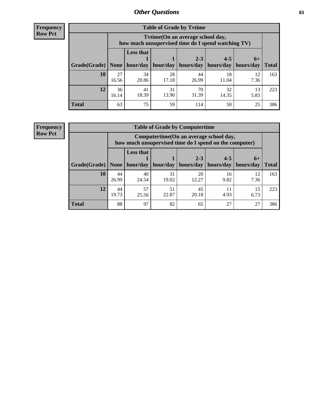**Frequency Row Pct**

| <b>Table of Grade by Tvtime</b> |             |                                                                                         |                     |             |                       |            |              |  |  |
|---------------------------------|-------------|-----------------------------------------------------------------------------------------|---------------------|-------------|-----------------------|------------|--------------|--|--|
|                                 |             | Tytime (On an average school day,<br>how much unsupervised time do I spend watching TV) |                     |             |                       |            |              |  |  |
|                                 |             | <b>Less that</b>                                                                        |                     | $2 - 3$     | $4 - 5$               | $6+$       |              |  |  |
| Grade(Grade)   None             |             |                                                                                         | hour/day   hour/day | hours/day   | hours/day   hours/day |            | <b>Total</b> |  |  |
| 10                              | 27<br>16.56 | 34<br>20.86                                                                             | 28<br>17.18         | 44<br>26.99 | 18<br>11.04           | 12<br>7.36 | 163          |  |  |
| 12                              | 36<br>16.14 | 41<br>18.39                                                                             | 31<br>13.90         | 70<br>31.39 | 32<br>14.35           | 13<br>5.83 | 223          |  |  |
| <b>Total</b>                    | 63          | 75                                                                                      | 59                  | 114         | 50                    | 25         | 386          |  |  |

**Frequency Row Pct**

| <b>Table of Grade by Computertime</b> |             |                                                                                                   |             |                      |                      |                   |              |  |  |
|---------------------------------------|-------------|---------------------------------------------------------------------------------------------------|-------------|----------------------|----------------------|-------------------|--------------|--|--|
|                                       |             | Computertime (On an average school day,<br>how much unsupervised time do I spend on the computer) |             |                      |                      |                   |              |  |  |
| Grade(Grade)                          | None        | <b>Less that</b><br>hour/day                                                                      | hour/day    | $2 - 3$<br>hours/day | $4 - 5$<br>hours/day | $6+$<br>hours/day | <b>Total</b> |  |  |
| 10                                    | 44<br>26.99 | 40<br>24.54                                                                                       | 31<br>19.02 | 20<br>12.27          | 16<br>9.82           | 12<br>7.36        | 163          |  |  |
| 12                                    | 44<br>19.73 | 57<br>25.56                                                                                       | 51<br>22.87 | 45<br>20.18          | 11<br>4.93           | 15<br>6.73        | 223          |  |  |
| <b>Total</b>                          | 88          | 97                                                                                                | 82          | 65                   | 27                   | 27                | 386          |  |  |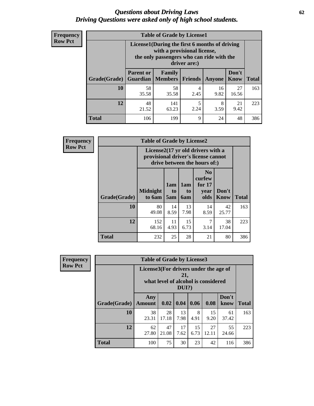#### *Questions about Driving Laws* **62** *Driving Questions were asked only of high school students.*

| <b>Frequency</b> |
|------------------|
| <b>Row Pct</b>   |

| <b>Table of Grade by License1</b> |                                                                     |                                                                                                                                           |                |            |               |              |  |  |  |
|-----------------------------------|---------------------------------------------------------------------|-------------------------------------------------------------------------------------------------------------------------------------------|----------------|------------|---------------|--------------|--|--|--|
|                                   |                                                                     | License1(During the first 6 months of driving<br>with a provisional license,<br>the only passengers who can ride with the<br>driver are:) |                |            |               |              |  |  |  |
| Grade(Grade)                      | <b>Parent or</b><br><b>Guardian</b>                                 | Family<br><b>Members</b>                                                                                                                  | <b>Friends</b> | Anyone     | Don't<br>Know | <b>Total</b> |  |  |  |
| 10                                | 58<br>35.58                                                         | 58<br>35.58                                                                                                                               | 4<br>2.45      | 16<br>9.82 | 27<br>16.56   | 163          |  |  |  |
| 12                                | 5<br>48<br>141<br>8<br>21<br>9.42<br>2.24<br>21.52<br>63.23<br>3.59 |                                                                                                                                           |                |            |               |              |  |  |  |
| <b>Total</b>                      | 106                                                                 | 199                                                                                                                                       | 9              | 24         | 48            | 386          |  |  |  |

| <b>Frequency</b> |              | <b>Table of Grade by License2</b>                                                                        |                  |                                     |                                                      |                      |              |  |  |
|------------------|--------------|----------------------------------------------------------------------------------------------------------|------------------|-------------------------------------|------------------------------------------------------|----------------------|--------------|--|--|
| <b>Row Pct</b>   |              | License2(17 yr old drivers with a<br>provisional driver's license cannot<br>drive between the hours of:) |                  |                                     |                                                      |                      |              |  |  |
|                  | Grade(Grade) | <b>Midnight</b><br>to 6am                                                                                | 1am<br>to<br>5am | 1am<br>t <sub>0</sub><br><b>6am</b> | N <sub>0</sub><br>curfew<br>for $17$<br>year<br>olds | Don't<br><b>Know</b> | <b>Total</b> |  |  |
|                  | 10           | 80<br>49.08                                                                                              | 14<br>8.59       | 13<br>7.98                          | 14<br>8.59                                           | 42<br>25.77          | 163          |  |  |
|                  | 12           | 152<br>68.16                                                                                             | 11<br>4.93       | 15<br>6.73                          | 7<br>3.14                                            | 38<br>17.04          | 223          |  |  |
|                  | <b>Total</b> | 232                                                                                                      | 25               | 28                                  | 21                                                   | 80                   | 386          |  |  |

| Frequency      | <b>Table of Grade by License3</b> |                                       |                                     |                |            |             |               |              |
|----------------|-----------------------------------|---------------------------------------|-------------------------------------|----------------|------------|-------------|---------------|--------------|
| <b>Row Pct</b> |                                   | License3(For drivers under the age of | what level of alcohol is considered | 21,<br>$DUI$ ? |            |             |               |              |
|                | Grade(Grade)                      | Any<br><b>Amount</b>                  | 0.02                                | 0.04           | 0.06       | 0.08        | Don't<br>know | <b>Total</b> |
|                | 10                                | 38<br>23.31                           | 28<br>17.18                         | 13<br>7.98     | 8<br>4.91  | 15<br>9.20  | 61<br>37.42   | 163          |
|                | 12                                | 62<br>27.80                           | 47<br>21.08                         | 17<br>7.62     | 15<br>6.73 | 27<br>12.11 | 55<br>24.66   | 223          |
|                | <b>Total</b>                      | 100                                   | 75                                  | 30             | 23         | 42          | 116           | 386          |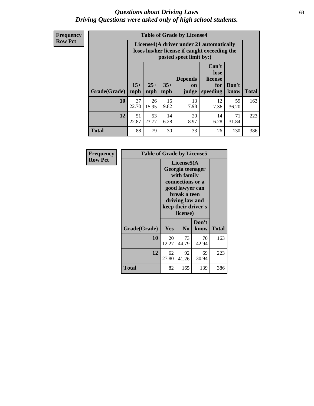#### *Questions about Driving Laws* **63** *Driving Questions were asked only of high school students.*

**Frequency Row Pct**

| <b>Table of Grade by License4</b> |              |                                                                                                                                                      |            |            |            |             |     |  |
|-----------------------------------|--------------|------------------------------------------------------------------------------------------------------------------------------------------------------|------------|------------|------------|-------------|-----|--|
|                                   |              | License4(A driver under 21 automatically<br>loses his/her license if caught exceeding the<br>posted speet limit by:)                                 |            |            |            |             |     |  |
| <b>Grade</b> (Grade)              | $15+$<br>mph | Can't<br>lose<br><b>Depends</b><br>license<br>$35+$<br>$25+$<br>Don't<br>for<br><b>on</b><br><b>Total</b><br>speeding<br>mph<br>judge<br>know<br>mph |            |            |            |             |     |  |
| 10                                | 37<br>22.70  | 26<br>15.95                                                                                                                                          | 16<br>9.82 | 13<br>7.98 | 12<br>7.36 | 59<br>36.20 | 163 |  |
| 12                                | 51<br>22.87  | 53<br>23.77                                                                                                                                          | 14<br>6.28 | 20<br>8.97 | 14<br>6.28 | 71<br>31.84 | 223 |  |
| <b>Total</b>                      | 88           | 79                                                                                                                                                   | 30         | 33         | 26         | 130         | 386 |  |

| Frequency      | <b>Table of Grade by License5</b> |             |                                                                                                                                      |                     |              |  |
|----------------|-----------------------------------|-------------|--------------------------------------------------------------------------------------------------------------------------------------|---------------------|--------------|--|
| <b>Row Pct</b> |                                   |             | License5(A)<br>Georgia teenager<br>with family<br>connections or a<br>good lawyer can<br>break a teen<br>driving law and<br>license) | keep their driver's |              |  |
|                | Grade(Grade)                      | Yes         | N <sub>0</sub>                                                                                                                       | Don't<br>know       | <b>Total</b> |  |
|                | 10                                | 20<br>12.27 | 73<br>44.79                                                                                                                          | 70<br>42.94         | 163          |  |
|                | 12                                | 62<br>27.80 | 92<br>41.26                                                                                                                          | 69<br>30.94         | 223          |  |
|                | Total                             | 82          | 165                                                                                                                                  | 139                 | 386          |  |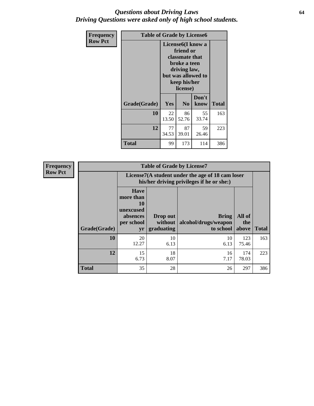#### *Questions about Driving Laws* **64** *Driving Questions were asked only of high school students.*

| <b>Frequency</b> | <b>Table of Grade by License6</b> |             |                                                                                                                           |                    |              |  |
|------------------|-----------------------------------|-------------|---------------------------------------------------------------------------------------------------------------------------|--------------------|--------------|--|
| <b>Row Pct</b>   |                                   |             | License <sub>6</sub> (I know a<br>friend or<br>classmate that<br>broke a teen<br>driving law,<br>keep his/her<br>license) | but was allowed to |              |  |
|                  | Grade(Grade)                      | Yes         | N <sub>0</sub>                                                                                                            | Don't<br>know      | <b>Total</b> |  |
|                  | 10                                | 22<br>13.50 | 86<br>52.76                                                                                                               | 55<br>33.74        | 163          |  |
|                  | 12                                | 77<br>34.53 | 87<br>39.01                                                                                                               | 59<br>26.46        | 223          |  |
|                  | <b>Total</b>                      | 99          | 173                                                                                                                       | 114                | 386          |  |

| <b>Frequency</b> |              | <b>Table of Grade by License7</b>                                           |                                                                                               |                                                   |                        |              |  |  |  |
|------------------|--------------|-----------------------------------------------------------------------------|-----------------------------------------------------------------------------------------------|---------------------------------------------------|------------------------|--------------|--|--|--|
| <b>Row Pct</b>   |              |                                                                             | License7(A student under the age of 18 cam loser<br>his/her driving privileges if he or she:) |                                                   |                        |              |  |  |  |
|                  | Grade(Grade) | <b>Have</b><br>more than<br>10<br>unexcused<br>absences<br>per school<br>yr | Drop out<br>without  <br>graduating                                                           | <b>Bring</b><br>alcohol/drugs/weapon<br>to school | All of<br>the<br>above | <b>Total</b> |  |  |  |
|                  | 10           | 20<br>12.27                                                                 | 10<br>6.13                                                                                    | 10<br>6.13                                        | 123<br>75.46           | 163          |  |  |  |
|                  | 12           | 15<br>6.73                                                                  | 18<br>8.07                                                                                    | 16<br>7.17                                        | 174<br>78.03           | 223          |  |  |  |
|                  | <b>Total</b> | 35                                                                          | 28                                                                                            | 26                                                | 297                    | 386          |  |  |  |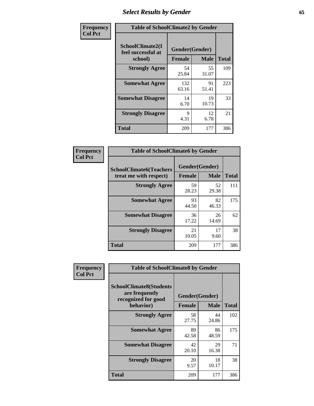# *Select Results by Gender* **65**

| Frequency      | <b>Table of SchoolClimate2 by Gender</b>          |                                 |             |              |  |
|----------------|---------------------------------------------------|---------------------------------|-------------|--------------|--|
| <b>Col Pct</b> | SchoolClimate2(I<br>feel successful at<br>school) | Gender(Gender)<br><b>Female</b> | <b>Male</b> | <b>Total</b> |  |
|                | <b>Strongly Agree</b>                             | 54<br>25.84                     | 55<br>31.07 | 109          |  |
|                | <b>Somewhat Agree</b>                             | 132<br>63.16                    | 91<br>51.41 | 223          |  |
|                | <b>Somewhat Disagree</b>                          | 14<br>6.70                      | 19<br>10.73 | 33           |  |
|                | <b>Strongly Disagree</b>                          | 9<br>4.31                       | 12<br>6.78  | 21           |  |
|                | <b>Total</b>                                      | 209                             | 177         | 386          |  |

| <b>Frequency</b> | <b>Table of SchoolClimate6 by Gender</b> |                |             |              |  |
|------------------|------------------------------------------|----------------|-------------|--------------|--|
| <b>Col Pct</b>   | <b>SchoolClimate6(Teachers</b>           | Gender(Gender) |             |              |  |
|                  | treat me with respect)                   | <b>Female</b>  | <b>Male</b> | <b>Total</b> |  |
|                  | <b>Strongly Agree</b>                    | 59<br>28.23    | 52<br>29.38 | 111          |  |
|                  | <b>Somewhat Agree</b>                    | 93<br>44.50    | 82<br>46.33 | 175          |  |
|                  | <b>Somewhat Disagree</b>                 | 36<br>17.22    | 26<br>14.69 | 62           |  |
|                  | <b>Strongly Disagree</b>                 | 21<br>10.05    | 17<br>9.60  | 38           |  |
|                  | <b>Total</b>                             | 209            | 177         | 386          |  |

| Frequency      | <b>Table of SchoolClimate8 by Gender</b>                                             |                                 |             |              |
|----------------|--------------------------------------------------------------------------------------|---------------------------------|-------------|--------------|
| <b>Col Pct</b> | <b>SchoolClimate8(Students</b><br>are frequently<br>recognized for good<br>behavior) | Gender(Gender)<br><b>Female</b> | <b>Male</b> | <b>Total</b> |
|                | <b>Strongly Agree</b>                                                                | 58<br>27.75                     | 44<br>24.86 | 102          |
|                | <b>Somewhat Agree</b>                                                                | 89<br>42.58                     | 86<br>48.59 | 175          |
|                | <b>Somewhat Disagree</b>                                                             | 42<br>20.10                     | 29<br>16.38 | 71           |
|                | <b>Strongly Disagree</b>                                                             | 20<br>9.57                      | 18<br>10.17 | 38           |
|                | <b>Total</b>                                                                         | 209                             | 177         | 386          |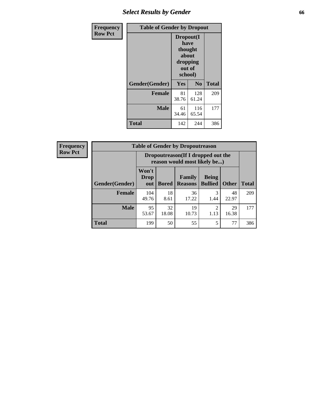# *Select Results by Gender* **66**

| Frequency      | <b>Table of Gender by Dropout</b> |                                                                        |                |              |
|----------------|-----------------------------------|------------------------------------------------------------------------|----------------|--------------|
| <b>Row Pct</b> |                                   | Dropout(I<br>have<br>thought<br>about<br>dropping<br>out of<br>school) |                |              |
|                | Gender(Gender)                    | Yes                                                                    | N <sub>0</sub> | <b>Total</b> |
|                | <b>Female</b>                     | 81<br>38.76                                                            | 128<br>61.24   | 209          |
|                | <b>Male</b>                       | 61<br>34.46                                                            | 116<br>65.54   | 177          |
|                | <b>Total</b>                      | 142                                                                    | 244            | 386          |

| <b>Frequency</b> | <b>Table of Gender by Dropoutreason</b> |                                                                    |              |                          |                                |              |              |
|------------------|-----------------------------------------|--------------------------------------------------------------------|--------------|--------------------------|--------------------------------|--------------|--------------|
| <b>Row Pct</b>   |                                         | Dropoutreason(If I dropped out the<br>reason would most likely be) |              |                          |                                |              |              |
|                  | <b>Gender(Gender)</b>                   | Won't<br><b>Drop</b><br>out                                        | <b>Bored</b> | Family<br><b>Reasons</b> | <b>Being</b><br><b>Bullied</b> | <b>Other</b> | <b>Total</b> |
|                  | <b>Female</b>                           | 104<br>49.76                                                       | 18<br>8.61   | 36<br>17.22              | 1.44                           | 48<br>22.97  | 209          |
|                  | <b>Male</b>                             | 95<br>53.67                                                        | 32<br>18.08  | 19<br>10.73              | 2<br>1.13                      | 29<br>16.38  | 177          |
|                  | <b>Total</b>                            | 199                                                                | 50           | 55                       | 5                              | 77           | 386          |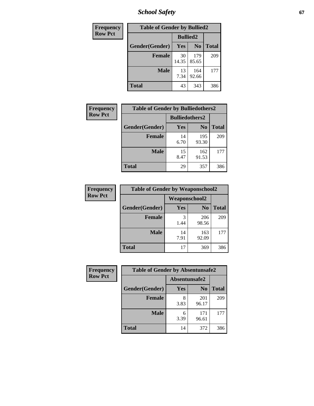*School Safety* **67**

| Frequency      | <b>Table of Gender by Bullied2</b> |                 |                |              |
|----------------|------------------------------------|-----------------|----------------|--------------|
| <b>Row Pct</b> |                                    | <b>Bullied2</b> |                |              |
|                | Gender(Gender)                     | Yes             | N <sub>0</sub> | <b>Total</b> |
|                | <b>Female</b>                      | 30<br>14.35     | 179<br>85.65   | 209          |
|                | <b>Male</b>                        | 13<br>7.34      | 164<br>92.66   | 177          |
|                | <b>Total</b>                       | 43              | 343            | 386          |

| Frequency      | <b>Table of Gender by Bulliedothers2</b> |                       |                |              |
|----------------|------------------------------------------|-----------------------|----------------|--------------|
| <b>Row Pct</b> |                                          | <b>Bulliedothers2</b> |                |              |
|                | Gender(Gender)                           | Yes                   | N <sub>0</sub> | <b>Total</b> |
|                | <b>Female</b>                            | 14<br>6.70            | 195<br>93.30   | 209          |
|                | <b>Male</b>                              | 15<br>8.47            | 162<br>91.53   | 177          |
|                | <b>Total</b>                             | 29                    | 357            | 386          |

| Frequency      | <b>Table of Gender by Weaponschool2</b> |               |                |              |
|----------------|-----------------------------------------|---------------|----------------|--------------|
| <b>Row Pct</b> |                                         | Weaponschool2 |                |              |
|                | Gender(Gender)                          | Yes           | N <sub>0</sub> | <b>Total</b> |
|                | <b>Female</b>                           | 3<br>1.44     | 206<br>98.56   | 209          |
|                | <b>Male</b>                             | 14<br>7.91    | 163<br>92.09   | 177          |
|                | <b>Total</b>                            | 17            | 369            | 386          |

| Frequency      | <b>Table of Gender by Absentunsafe2</b> |               |                |              |
|----------------|-----------------------------------------|---------------|----------------|--------------|
| <b>Row Pct</b> |                                         | Absentunsafe2 |                |              |
|                | Gender(Gender)                          | Yes           | N <sub>0</sub> | <b>Total</b> |
|                | <b>Female</b>                           | 3.83          | 201<br>96.17   | 209          |
|                | <b>Male</b>                             | 6<br>3.39     | 171<br>96.61   | 177          |
|                | <b>Total</b>                            | 14            | 372            | 386          |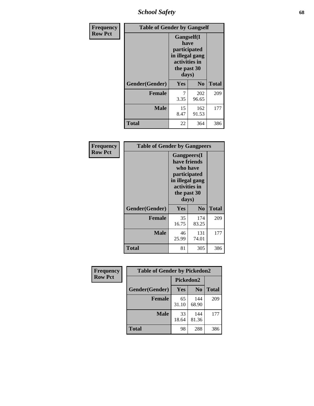*School Safety* **68**

| Frequency      | <b>Table of Gender by Gangself</b> |                                                                                                |              |              |
|----------------|------------------------------------|------------------------------------------------------------------------------------------------|--------------|--------------|
| <b>Row Pct</b> |                                    | Gangself(I<br>have<br>participated<br>in illegal gang<br>activities in<br>the past 30<br>days) |              |              |
|                | Gender(Gender)                     | Yes                                                                                            | No           | <b>Total</b> |
|                | <b>Female</b>                      | 7<br>3.35                                                                                      | 202<br>96.65 | 209          |
|                | <b>Male</b>                        | 15<br>8.47                                                                                     | 162<br>91.53 | 177          |
|                | <b>Total</b>                       | 22                                                                                             | 364          | 386          |

| Frequency      | <b>Table of Gender by Gangpeers</b> |                                                                                                                             |                |              |
|----------------|-------------------------------------|-----------------------------------------------------------------------------------------------------------------------------|----------------|--------------|
| <b>Row Pct</b> |                                     | <b>Gangpeers</b> (I<br>have friends<br>who have<br>participated<br>in illegal gang<br>activities in<br>the past 30<br>days) |                |              |
|                | Gender(Gender)                      | Yes                                                                                                                         | N <sub>0</sub> | <b>Total</b> |
|                | <b>Female</b>                       | 35<br>16.75                                                                                                                 | 174<br>83.25   | 209          |
|                | <b>Male</b>                         | 46<br>25.99                                                                                                                 | 131<br>74.01   | 177          |
|                | Total                               | 81                                                                                                                          | 305            | 386          |

| <b>Frequency</b> | <b>Table of Gender by Pickedon2</b> |             |                |              |
|------------------|-------------------------------------|-------------|----------------|--------------|
| <b>Row Pct</b>   |                                     | Pickedon2   |                |              |
|                  | Gender(Gender)                      | Yes         | N <sub>0</sub> | <b>Total</b> |
|                  | <b>Female</b>                       | 65<br>31.10 | 144<br>68.90   | 209          |
|                  | <b>Male</b>                         | 33<br>18.64 | 144<br>81.36   | 177          |
|                  | <b>Total</b>                        | 98          | 288            | 386          |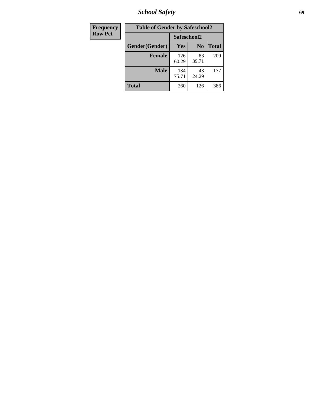*School Safety* **69**

| Frequency      | <b>Table of Gender by Safeschool2</b> |              |                |              |  |
|----------------|---------------------------------------|--------------|----------------|--------------|--|
| <b>Row Pct</b> |                                       | Safeschool2  |                |              |  |
|                | Gender(Gender)                        | Yes          | N <sub>0</sub> | <b>Total</b> |  |
|                | <b>Female</b>                         | 126<br>60.29 | 83<br>39.71    | 209          |  |
|                | <b>Male</b>                           | 134<br>75.71 | 43<br>24.29    | 177          |  |
|                | <b>Total</b>                          | 260          | 126            | 386          |  |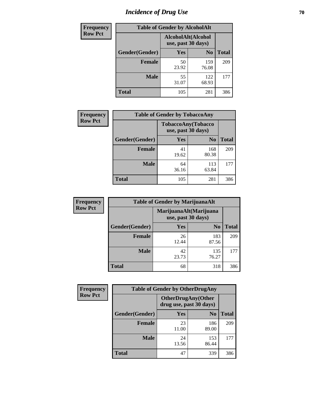# *Incidence of Drug Use* **70**

| <b>Frequency</b> | <b>Table of Gender by AlcoholAlt</b> |                                          |                |              |  |
|------------------|--------------------------------------|------------------------------------------|----------------|--------------|--|
| <b>Row Pct</b>   |                                      | AlcoholAlt(Alcohol<br>use, past 30 days) |                |              |  |
|                  | Gender(Gender)                       | <b>Yes</b>                               | N <sub>0</sub> | <b>Total</b> |  |
|                  | <b>Female</b>                        | 50<br>23.92                              | 159<br>76.08   | 209          |  |
|                  | <b>Male</b>                          | 55<br>31.07                              | 122<br>68.93   | 177          |  |
|                  | <b>Total</b>                         | 105                                      | 281            | 386          |  |

| Frequency      |                |                                          | <b>Table of Gender by TobaccoAny</b> |              |  |
|----------------|----------------|------------------------------------------|--------------------------------------|--------------|--|
| <b>Row Pct</b> |                | TobaccoAny(Tobacco<br>use, past 30 days) |                                      |              |  |
|                | Gender(Gender) | Yes                                      | N <sub>0</sub>                       | <b>Total</b> |  |
|                | <b>Female</b>  | 41<br>19.62                              | 168<br>80.38                         | 209          |  |
|                | <b>Male</b>    | 64<br>36.16                              | 113<br>63.84                         | 177          |  |
|                | Total          | 105                                      | 281                                  | 386          |  |

| <b>Frequency</b> | <b>Table of Gender by MarijuanaAlt</b> |                                              |                |              |  |
|------------------|----------------------------------------|----------------------------------------------|----------------|--------------|--|
| <b>Row Pct</b>   |                                        | MarijuanaAlt(Marijuana<br>use, past 30 days) |                |              |  |
|                  | Gender(Gender)                         | Yes                                          | N <sub>0</sub> | <b>Total</b> |  |
|                  | Female                                 | 26<br>12.44                                  | 183<br>87.56   | 209          |  |
|                  | <b>Male</b>                            | 42<br>23.73                                  | 135<br>76.27   | 177          |  |
|                  | <b>Total</b>                           | 68                                           | 318            | 386          |  |

| <b>Frequency</b> | <b>Table of Gender by OtherDrugAny</b> |                                                       |                |              |  |
|------------------|----------------------------------------|-------------------------------------------------------|----------------|--------------|--|
| <b>Row Pct</b>   |                                        | <b>OtherDrugAny</b> (Other<br>drug use, past 30 days) |                |              |  |
|                  | Gender(Gender)                         | <b>Yes</b>                                            | N <sub>0</sub> | <b>Total</b> |  |
|                  | <b>Female</b>                          | 23<br>11.00                                           | 186<br>89.00   | 209          |  |
|                  | <b>Male</b>                            | 24<br>13.56                                           | 153<br>86.44   | 177          |  |
|                  | <b>Total</b>                           | 47                                                    | 339            | 386          |  |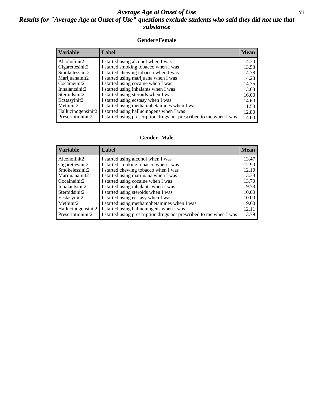#### *Average Age at Onset of Use* **71** *Results for "Average Age at Onset of Use" questions exclude students who said they did not use that substance*

#### **Gender=Female**

| <b>Variable</b>                 | Label                                                              | <b>Mean</b> |
|---------------------------------|--------------------------------------------------------------------|-------------|
| Alcoholinit2                    | I started using alcohol when I was                                 | 14.30       |
| Cigarettesinit2                 | I started smoking tobacco when I was                               | 13.53       |
| Smokelessinit2                  | I started chewing tobacco when I was                               | 14.78       |
| Marijuanainit2                  | I started using marijuana when I was                               | 14.28       |
| Cocaineinit2                    | I started using cocaine when I was                                 | 14.75       |
| Inhalantsinit2                  | I started using inhalants when I was                               | 13.63       |
| Steroidsinit2                   | I started using steroids when I was                                | 16.00       |
| Ecstasyinit2                    | I started using ecstasy when I was                                 | 14.60       |
| Methinit2                       | I started using methamphetamines when I was                        | 11.50       |
| Hallucinogensinit2              | I started using hallucinogens when I was                           | 12.80       |
| Prescription in it <sub>2</sub> | I started using prescription drugs not prescribed to me when I was | 14.00       |

#### **Gender=Male**

| <b>Variable</b>    | Label                                                              | <b>Mean</b> |
|--------------------|--------------------------------------------------------------------|-------------|
| Alcoholinit2       | I started using alcohol when I was                                 | 13.47       |
| Cigarettesinit2    | I started smoking tobacco when I was                               | 12.90       |
| Smokelessinit2     | I started chewing tobacco when I was                               | 12.10       |
| Marijuanainit2     | I started using marijuana when I was                               | 13.38       |
| Cocaineinit2       | I started using cocaine when I was                                 | 13.70       |
| Inhalantsinit2     | I started using inhalants when I was                               | 9.73        |
| Steroidsinit2      | I started using steroids when I was                                | 10.00       |
| Ecstasyinit2       | I started using ecstasy when I was                                 | 10.00       |
| Methinit2          | I started using methamphetamines when I was                        | 9.60        |
| Hallucinogensinit2 | I started using hallucinogens when I was                           | 12.11       |
| Prescriptioninit2  | I started using prescription drugs not prescribed to me when I was | 13.79       |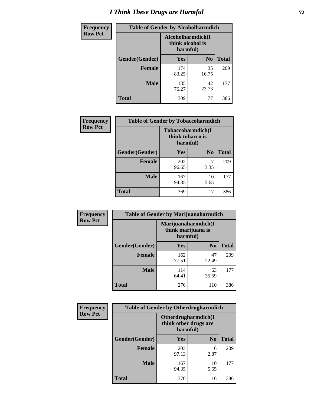# *I Think These Drugs are Harmful* **72**

| <b>Frequency</b> | <b>Table of Gender by Alcoholharmdich</b> |                                                   |                |              |  |
|------------------|-------------------------------------------|---------------------------------------------------|----------------|--------------|--|
| <b>Row Pct</b>   |                                           | Alcoholharmdich(I<br>think alcohol is<br>harmful) |                |              |  |
|                  | Gender(Gender)                            | Yes                                               | N <sub>0</sub> | <b>Total</b> |  |
|                  | <b>Female</b>                             | 174<br>83.25                                      | 35<br>16.75    | 209          |  |
|                  | <b>Male</b>                               | 135<br>76.27                                      | 42<br>23.73    | 177          |  |
|                  | <b>Total</b>                              | 309                                               | 77             | 386          |  |

| Frequency      | <b>Table of Gender by Tobaccoharmdich</b> |                  |                               |              |  |
|----------------|-------------------------------------------|------------------|-------------------------------|--------------|--|
| <b>Row Pct</b> |                                           | think tobacco is | Tobaccoharmdich(I<br>harmful) |              |  |
|                | Gender(Gender)                            | <b>Yes</b>       | N <sub>0</sub>                | <b>Total</b> |  |
|                | <b>Female</b>                             | 202<br>96.65     | 3.35                          | 209          |  |
|                | <b>Male</b>                               | 167<br>94.35     | 10<br>5.65                    | 177          |  |
|                | <b>Total</b>                              | 369              | 17                            | 386          |  |

| Frequency      | <b>Table of Gender by Marijuanaharmdich</b> |                                                       |                |              |  |
|----------------|---------------------------------------------|-------------------------------------------------------|----------------|--------------|--|
| <b>Row Pct</b> |                                             | Marijuanaharmdich(I<br>think marijuana is<br>harmful) |                |              |  |
|                | Gender(Gender)                              | <b>Yes</b>                                            | N <sub>0</sub> | <b>Total</b> |  |
|                | <b>Female</b>                               | 162<br>77.51                                          | 47<br>22.49    | 209          |  |
|                | <b>Male</b>                                 | 114<br>64.41                                          | 63<br>35.59    | 177          |  |
|                | <b>Total</b>                                | 276                                                   | 110            | 386          |  |

| Frequency      | <b>Table of Gender by Otherdrugharmdich</b> |                                   |                     |              |  |
|----------------|---------------------------------------------|-----------------------------------|---------------------|--------------|--|
| <b>Row Pct</b> |                                             | think other drugs are<br>harmful) | Otherdrugharmdich(I |              |  |
|                | Gender(Gender)                              | <b>Yes</b>                        | N <sub>0</sub>      | <b>Total</b> |  |
|                | <b>Female</b>                               | 203<br>97.13                      | 6<br>2.87           | 209          |  |
|                | <b>Male</b>                                 | 167<br>94.35                      | 10<br>5.65          | 177          |  |
|                | <b>Total</b>                                | 370                               | 16                  | 386          |  |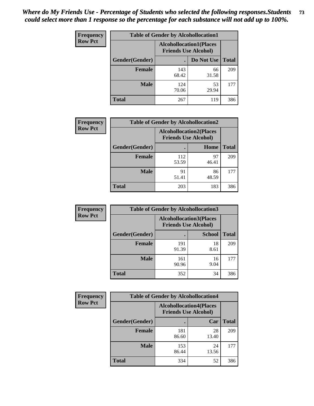| <b>Frequency</b> | <b>Table of Gender by Alcohollocation1</b> |                                                               |             |              |
|------------------|--------------------------------------------|---------------------------------------------------------------|-------------|--------------|
| <b>Row Pct</b>   |                                            | <b>Alcohollocation1(Places</b><br><b>Friends Use Alcohol)</b> |             |              |
|                  | Gender(Gender)                             |                                                               | Do Not Use  | <b>Total</b> |
|                  | <b>Female</b>                              | 143<br>68.42                                                  | 66<br>31.58 | 209          |
|                  | <b>Male</b>                                | 124<br>70.06                                                  | 53<br>29.94 | 177          |
|                  | <b>Total</b>                               | 267                                                           | 119         | 386          |

| <b>Frequency</b> | <b>Table of Gender by Alcohollocation2</b> |              |                                                               |              |
|------------------|--------------------------------------------|--------------|---------------------------------------------------------------|--------------|
| <b>Row Pct</b>   |                                            |              | <b>Alcohollocation2(Places</b><br><b>Friends Use Alcohol)</b> |              |
|                  | Gender(Gender)                             |              | Home                                                          | <b>Total</b> |
|                  | <b>Female</b>                              | 112<br>53.59 | 97<br>46.41                                                   | 209          |
|                  | <b>Male</b>                                | 91<br>51.41  | 86<br>48.59                                                   | 177          |
|                  | <b>Total</b>                               | 203          | 183                                                           | 386          |

| Frequency      | <b>Table of Gender by Alcohollocation3</b> |                                                               |               |              |
|----------------|--------------------------------------------|---------------------------------------------------------------|---------------|--------------|
| <b>Row Pct</b> |                                            | <b>Alcohollocation3(Places</b><br><b>Friends Use Alcohol)</b> |               |              |
|                | Gender(Gender)                             |                                                               | <b>School</b> | <b>Total</b> |
|                | <b>Female</b>                              | 191<br>91.39                                                  | 18<br>8.61    | 209          |
|                | <b>Male</b>                                | 161<br>90.96                                                  | 16<br>9.04    | 177          |
|                | <b>Total</b>                               | 352                                                           | 34            | 386          |

| Frequency      | <b>Table of Gender by Alcohollocation4</b> |                                                               |             |              |
|----------------|--------------------------------------------|---------------------------------------------------------------|-------------|--------------|
| <b>Row Pct</b> |                                            | <b>Alcohollocation4(Places</b><br><b>Friends Use Alcohol)</b> |             |              |
|                | Gender(Gender)                             |                                                               | Car         | <b>Total</b> |
|                | <b>Female</b>                              | 181<br>86.60                                                  | 28<br>13.40 | 209          |
|                | <b>Male</b>                                | 153<br>86.44                                                  | 24<br>13.56 | 177          |
|                | <b>Total</b>                               | 334                                                           | 52          | 386          |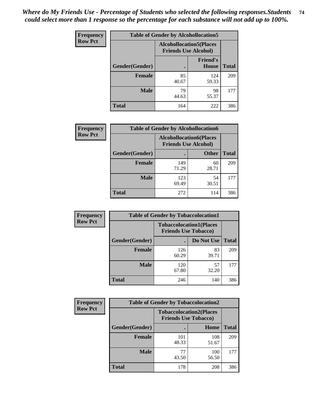| <b>Frequency</b> | <b>Table of Gender by Alcohollocation5</b> |                                                                |                                 |              |
|------------------|--------------------------------------------|----------------------------------------------------------------|---------------------------------|--------------|
| <b>Row Pct</b>   |                                            | <b>Alcohollocation5</b> (Places<br><b>Friends Use Alcohol)</b> |                                 |              |
|                  | Gender(Gender)                             | $\bullet$                                                      | <b>Friend's</b><br><b>House</b> | <b>Total</b> |
|                  | <b>Female</b>                              | 85<br>40.67                                                    | 124<br>59.33                    | 209          |
|                  | <b>Male</b>                                | 79<br>44.63                                                    | 98<br>55.37                     | 177          |
|                  | <b>Total</b>                               | 164                                                            | 222                             | 386          |

| Frequency      |                | <b>Table of Gender by Alcohollocation6</b>                    |              |              |
|----------------|----------------|---------------------------------------------------------------|--------------|--------------|
| <b>Row Pct</b> |                | <b>Alcohollocation6(Places</b><br><b>Friends Use Alcohol)</b> |              |              |
|                | Gender(Gender) |                                                               | <b>Other</b> | <b>Total</b> |
|                | <b>Female</b>  | 149<br>71.29                                                  | 60<br>28.71  | 209          |
|                | <b>Male</b>    | 123<br>69.49                                                  | 54<br>30.51  | 177          |
|                | <b>Total</b>   | 272                                                           | 114          | 386          |

| Frequency      | <b>Table of Gender by Tobaccolocation1</b> |                                                               |             |              |  |
|----------------|--------------------------------------------|---------------------------------------------------------------|-------------|--------------|--|
| <b>Row Pct</b> |                                            | <b>Tobaccolocation1(Places</b><br><b>Friends Use Tobacco)</b> |             |              |  |
|                | Gender(Gender)                             |                                                               | Do Not Use  | <b>Total</b> |  |
|                | Female                                     | 126<br>60.29                                                  | 83<br>39.71 | 209          |  |
|                | <b>Male</b>                                | 120<br>67.80                                                  | 57<br>32.20 | 177          |  |
|                | <b>Total</b>                               | 246                                                           | 140         | 386          |  |

| <b>Frequency</b> | <b>Table of Gender by Tobaccolocation2</b> |                                                               |              |              |
|------------------|--------------------------------------------|---------------------------------------------------------------|--------------|--------------|
| <b>Row Pct</b>   |                                            | <b>Tobaccolocation2(Places</b><br><b>Friends Use Tobacco)</b> |              |              |
|                  | Gender(Gender)                             |                                                               | Home         | <b>Total</b> |
|                  | <b>Female</b>                              | 101<br>48.33                                                  | 108<br>51.67 | 209          |
|                  | <b>Male</b>                                | 77<br>43.50                                                   | 100<br>56.50 | 177          |
|                  | <b>Total</b>                               | 178                                                           | 208          | 386          |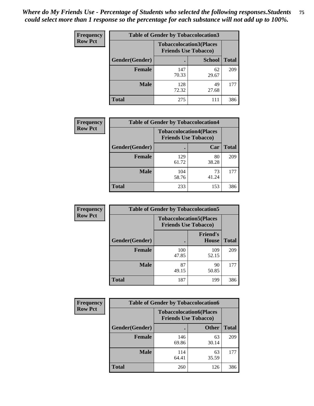| <b>Frequency</b> | <b>Table of Gender by Tobaccolocation3</b> |                             |                                |              |
|------------------|--------------------------------------------|-----------------------------|--------------------------------|--------------|
| <b>Row Pct</b>   |                                            | <b>Friends Use Tobacco)</b> | <b>Tobaccolocation3(Places</b> |              |
|                  | Gender(Gender)                             |                             | <b>School</b>                  | <b>Total</b> |
|                  | <b>Female</b>                              | 147<br>70.33                | 62<br>29.67                    | 209          |
|                  | <b>Male</b>                                | 128<br>72.32                | 49<br>27.68                    | 177          |
|                  | <b>Total</b>                               | 275                         | 111                            | 386          |

| <b>Frequency</b> | <b>Table of Gender by Tobaccolocation4</b> |                                                               |             |              |
|------------------|--------------------------------------------|---------------------------------------------------------------|-------------|--------------|
| <b>Row Pct</b>   |                                            | <b>Tobaccolocation4(Places</b><br><b>Friends Use Tobacco)</b> |             |              |
|                  | Gender(Gender)                             |                                                               | Car         | <b>Total</b> |
|                  | <b>Female</b>                              | 129<br>61.72                                                  | 80<br>38.28 | 209          |
|                  | <b>Male</b>                                | 104<br>58.76                                                  | 73<br>41.24 | 177          |
|                  | <b>Total</b>                               | 233                                                           | 153         | 386          |

| <b>Frequency</b> | <b>Table of Gender by Tobaccolocation5</b> |                                                               |                          |              |
|------------------|--------------------------------------------|---------------------------------------------------------------|--------------------------|--------------|
| <b>Row Pct</b>   |                                            | <b>Tobaccolocation5(Places</b><br><b>Friends Use Tobacco)</b> |                          |              |
|                  | Gender(Gender)                             |                                                               | <b>Friend's</b><br>House | <b>Total</b> |
|                  | <b>Female</b>                              | 100<br>47.85                                                  | 109<br>52.15             | 209          |
|                  | <b>Male</b>                                | 87<br>49.15                                                   | 90<br>50.85              | 177          |
|                  | <b>Total</b>                               | 187                                                           | 199                      | 386          |

| <b>Frequency</b> | <b>Table of Gender by Tobaccolocation6</b> |                                                               |              |              |
|------------------|--------------------------------------------|---------------------------------------------------------------|--------------|--------------|
| <b>Row Pct</b>   |                                            | <b>Tobaccolocation6(Places</b><br><b>Friends Use Tobacco)</b> |              |              |
|                  | Gender(Gender)                             |                                                               | <b>Other</b> | <b>Total</b> |
|                  | Female                                     | 146<br>69.86                                                  | 63<br>30.14  | 209          |
|                  | <b>Male</b>                                | 114<br>64.41                                                  | 63<br>35.59  | 177          |
|                  | <b>Total</b>                               | 260                                                           | 126          | 386          |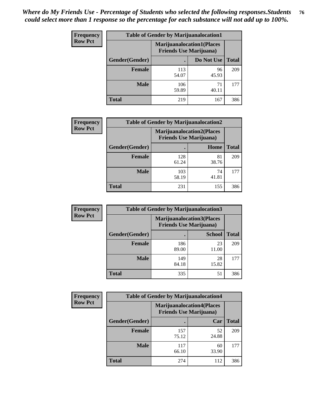| <b>Frequency</b> | <b>Table of Gender by Marijuanalocation1</b> |                                                                    |             |              |
|------------------|----------------------------------------------|--------------------------------------------------------------------|-------------|--------------|
| <b>Row Pct</b>   |                                              | <b>Marijuanalocation1(Places</b><br><b>Friends Use Marijuana</b> ) |             |              |
|                  | Gender(Gender)                               |                                                                    | Do Not Use  | <b>Total</b> |
|                  | <b>Female</b>                                | 113<br>54.07                                                       | 96<br>45.93 | 209          |
|                  | <b>Male</b>                                  | 106<br>59.89                                                       | 71<br>40.11 | 177          |
|                  | <b>Total</b>                                 | 219                                                                | 167         | 386          |

| <b>Frequency</b> | <b>Table of Gender by Marijuanalocation2</b> |                                                                    |             |              |
|------------------|----------------------------------------------|--------------------------------------------------------------------|-------------|--------------|
| <b>Row Pct</b>   |                                              | <b>Marijuanalocation2(Places</b><br><b>Friends Use Marijuana</b> ) |             |              |
|                  | Gender(Gender)                               |                                                                    | Home        | <b>Total</b> |
|                  | Female                                       | 128<br>61.24                                                       | 81<br>38.76 | 209          |
|                  | <b>Male</b>                                  | 103<br>58.19                                                       | 74<br>41.81 | 177          |
|                  | <b>Total</b>                                 | 231                                                                | 155         | 386          |

| Frequency      | <b>Table of Gender by Marijuanalocation3</b> |              |                                                                    |              |  |
|----------------|----------------------------------------------|--------------|--------------------------------------------------------------------|--------------|--|
| <b>Row Pct</b> |                                              |              | <b>Marijuanalocation3(Places</b><br><b>Friends Use Marijuana</b> ) |              |  |
|                | Gender(Gender)                               |              | <b>School</b>                                                      | <b>Total</b> |  |
|                | Female                                       | 186<br>89.00 | 23<br>11.00                                                        | 209          |  |
|                | <b>Male</b>                                  | 149<br>84.18 | 28<br>15.82                                                        | 177          |  |
|                | <b>Total</b>                                 | 335          | 51                                                                 | 386          |  |

| Frequency      | <b>Table of Gender by Marijuanalocation4</b> |                                |                                  |              |  |
|----------------|----------------------------------------------|--------------------------------|----------------------------------|--------------|--|
| <b>Row Pct</b> |                                              | <b>Friends Use Marijuana</b> ) | <b>Marijuanalocation4(Places</b> |              |  |
|                | <b>Gender</b> (Gender)                       |                                | Car                              | <b>Total</b> |  |
|                | <b>Female</b>                                | 157<br>75.12                   | 52<br>24.88                      | 209          |  |
|                | <b>Male</b>                                  | 117<br>66.10                   | 60<br>33.90                      | 177          |  |
|                | <b>Total</b>                                 | 274                            | 112                              | 386          |  |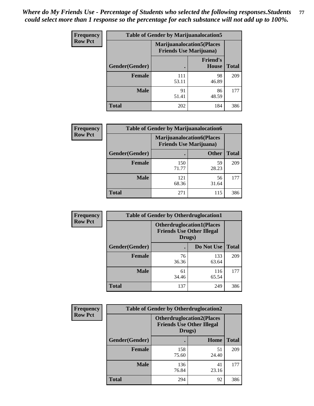| <b>Frequency</b> | <b>Table of Gender by Marijuanalocation5</b> |                                                                    |                                 |              |  |
|------------------|----------------------------------------------|--------------------------------------------------------------------|---------------------------------|--------------|--|
| <b>Row Pct</b>   |                                              | <b>Marijuanalocation5(Places</b><br><b>Friends Use Marijuana</b> ) |                                 |              |  |
|                  | Gender(Gender)                               |                                                                    | <b>Friend's</b><br><b>House</b> | <b>Total</b> |  |
|                  | <b>Female</b>                                | 111<br>53.11                                                       | 98<br>46.89                     | 209          |  |
|                  | <b>Male</b>                                  | 91<br>51.41                                                        | 86<br>48.59                     | 177          |  |
|                  | <b>Total</b>                                 | 202                                                                | 184                             | 386          |  |

| <b>Frequency</b> | <b>Table of Gender by Marijuanalocation6</b> |                                                                    |              |              |  |
|------------------|----------------------------------------------|--------------------------------------------------------------------|--------------|--------------|--|
| <b>Row Pct</b>   |                                              | <b>Marijuanalocation6(Places</b><br><b>Friends Use Marijuana</b> ) |              |              |  |
|                  | Gender(Gender)                               |                                                                    | <b>Other</b> | <b>Total</b> |  |
|                  | <b>Female</b>                                | 150<br>71.77                                                       | 59<br>28.23  | 209          |  |
|                  | <b>Male</b>                                  | 121<br>68.36                                                       | 56<br>31.64  | 177          |  |
|                  | <b>Total</b>                                 | 271                                                                | 115          | 386          |  |

| Frequency      | <b>Table of Gender by Otherdruglocation1</b> |                                                                                |              |              |
|----------------|----------------------------------------------|--------------------------------------------------------------------------------|--------------|--------------|
| <b>Row Pct</b> |                                              | <b>Otherdruglocation1(Places</b><br><b>Friends Use Other Illegal</b><br>Drugs) |              |              |
|                | Gender(Gender)                               |                                                                                | Do Not Use   | <b>Total</b> |
|                | <b>Female</b>                                | 76<br>36.36                                                                    | 133<br>63.64 | 209          |
|                | <b>Male</b>                                  | 61<br>34.46                                                                    | 116<br>65.54 | 177          |
|                | <b>Total</b>                                 | 137                                                                            | 249          | 386          |

| Frequency      | <b>Table of Gender by Otherdruglocation2</b> |                                                                                |             |              |
|----------------|----------------------------------------------|--------------------------------------------------------------------------------|-------------|--------------|
| <b>Row Pct</b> |                                              | <b>Otherdruglocation2(Places</b><br><b>Friends Use Other Illegal</b><br>Drugs) |             |              |
|                | Gender(Gender)                               |                                                                                | Home        | <b>Total</b> |
|                | <b>Female</b>                                | 158<br>75.60                                                                   | 51<br>24.40 | 209          |
|                | <b>Male</b>                                  | 136<br>76.84                                                                   | 41<br>23.16 | 177          |
|                | <b>Total</b>                                 | 294                                                                            | 92          | 386          |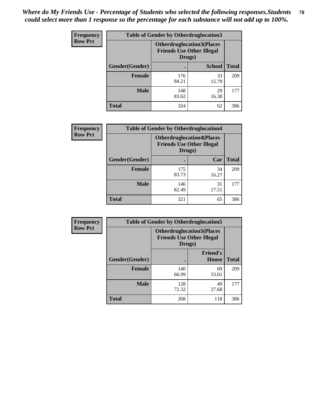| Frequency      | <b>Table of Gender by Otherdruglocation3</b> |                                                                                |               |              |
|----------------|----------------------------------------------|--------------------------------------------------------------------------------|---------------|--------------|
| <b>Row Pct</b> |                                              | <b>Otherdruglocation3(Places</b><br><b>Friends Use Other Illegal</b><br>Drugs) |               |              |
|                | Gender(Gender)                               |                                                                                | <b>School</b> | <b>Total</b> |
|                | Female                                       | 176<br>84.21                                                                   | 33<br>15.79   | 209          |
|                | <b>Male</b>                                  | 148<br>83.62                                                                   | 29<br>16.38   | 177          |
|                | <b>Total</b>                                 | 324                                                                            | 62            | 386          |

| Frequency      | <b>Table of Gender by Otherdruglocation4</b> |                                                                                |             |              |
|----------------|----------------------------------------------|--------------------------------------------------------------------------------|-------------|--------------|
| <b>Row Pct</b> |                                              | <b>Otherdruglocation4(Places</b><br><b>Friends Use Other Illegal</b><br>Drugs) |             |              |
|                | Gender(Gender)                               |                                                                                | Car         | <b>Total</b> |
|                | Female                                       | 175<br>83.73                                                                   | 34<br>16.27 | 209          |
|                | <b>Male</b>                                  | 146<br>82.49                                                                   | 31<br>17.51 | 177          |
|                | <b>Total</b>                                 | 321                                                                            | 65          | 386          |

| Frequency      | <b>Table of Gender by Otherdruglocation5</b> |                                                                                |                                 |              |
|----------------|----------------------------------------------|--------------------------------------------------------------------------------|---------------------------------|--------------|
| <b>Row Pct</b> |                                              | <b>Otherdruglocation5(Places</b><br><b>Friends Use Other Illegal</b><br>Drugs) |                                 |              |
|                | Gender(Gender)                               |                                                                                | <b>Friend's</b><br><b>House</b> | <b>Total</b> |
|                | <b>Female</b>                                | 140<br>66.99                                                                   | 69<br>33.01                     | 209          |
|                | <b>Male</b>                                  | 128<br>72.32                                                                   | 49<br>27.68                     | 177          |
|                | <b>Total</b>                                 | 268                                                                            | 118                             | 386          |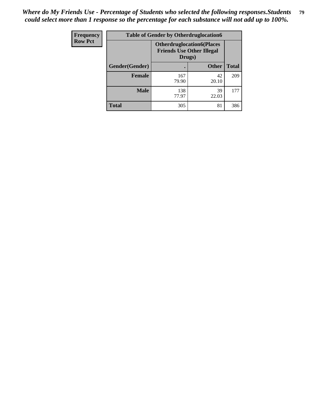| Frequency      | <b>Table of Gender by Otherdruglocation6</b> |                                            |                                  |              |
|----------------|----------------------------------------------|--------------------------------------------|----------------------------------|--------------|
| <b>Row Pct</b> |                                              | <b>Friends Use Other Illegal</b><br>Drugs) | <b>Otherdruglocation6(Places</b> |              |
|                | Gender(Gender)                               |                                            | <b>Other</b>                     | <b>Total</b> |
|                | <b>Female</b>                                | 167<br>79.90                               | 42<br>20.10                      | 209          |
|                | <b>Male</b>                                  | 138<br>77.97                               | 39<br>22.03                      | 177          |
|                | <b>Total</b>                                 | 305                                        | 81                               | 386          |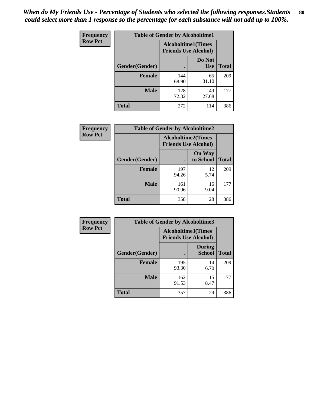| <b>Frequency</b> | <b>Table of Gender by Alcoholtime1</b> |                                                          |                      |              |
|------------------|----------------------------------------|----------------------------------------------------------|----------------------|--------------|
| <b>Row Pct</b>   |                                        | <b>Alcoholtime1(Times</b><br><b>Friends Use Alcohol)</b> |                      |              |
|                  | Gender(Gender)                         | c                                                        | Do Not<br><b>Use</b> | <b>Total</b> |
|                  | <b>Female</b>                          | 144<br>68.90                                             | 65<br>31.10          | 209          |
|                  | <b>Male</b>                            | 128<br>72.32                                             | 49<br>27.68          | 177          |
|                  | <b>Total</b>                           | 272                                                      | 114                  | 386          |

| Frequency      | <b>Table of Gender by Alcoholtime2</b> |                                                          |                            |              |
|----------------|----------------------------------------|----------------------------------------------------------|----------------------------|--------------|
| <b>Row Pct</b> |                                        | <b>Alcoholtime2(Times</b><br><b>Friends Use Alcohol)</b> |                            |              |
|                | Gender(Gender)                         |                                                          | <b>On Way</b><br>to School | <b>Total</b> |
|                | <b>Female</b>                          | 197<br>94.26                                             | 12<br>5.74                 | 209          |
|                | <b>Male</b>                            | 161<br>90.96                                             | 16<br>9.04                 | 177          |
|                | <b>Total</b>                           | 358                                                      | 28                         | 386          |

| <b>Frequency</b> | <b>Table of Gender by Alcoholtime3</b> |                                                   |                                |              |
|------------------|----------------------------------------|---------------------------------------------------|--------------------------------|--------------|
| <b>Row Pct</b>   |                                        | Alcoholtime3(Times<br><b>Friends Use Alcohol)</b> |                                |              |
|                  | Gender(Gender)                         |                                                   | <b>During</b><br><b>School</b> | <b>Total</b> |
|                  | Female                                 | 195<br>93.30                                      | 14<br>6.70                     | 209          |
|                  | <b>Male</b>                            | 162<br>91.53                                      | 15<br>8.47                     | 177          |
|                  | <b>Total</b>                           | 357                                               | 29                             | 386          |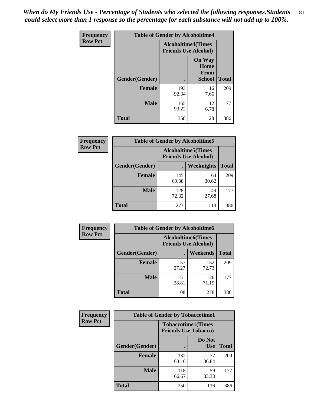*When do My Friends Use - Percentage of Students who selected the following responses.Students could select more than 1 response so the percentage for each substance will not add up to 100%.* **81**

| <b>Frequency</b> | <b>Table of Gender by Alcoholtime4</b> |                                                          |                                                |              |
|------------------|----------------------------------------|----------------------------------------------------------|------------------------------------------------|--------------|
| <b>Row Pct</b>   |                                        | <b>Alcoholtime4(Times</b><br><b>Friends Use Alcohol)</b> |                                                |              |
|                  | Gender(Gender)                         |                                                          | <b>On Way</b><br>Home<br>From<br><b>School</b> | <b>Total</b> |
|                  | <b>Female</b>                          | 193<br>92.34                                             | 16<br>7.66                                     | 209          |
|                  | <b>Male</b>                            | 165<br>93.22                                             | 12<br>6.78                                     | 177          |
|                  | <b>Total</b>                           | 358                                                      | 28                                             | 386          |

| <b>Frequency</b> | <b>Table of Gender by Alcoholtime5</b> |                                                           |             |              |
|------------------|----------------------------------------|-----------------------------------------------------------|-------------|--------------|
| <b>Row Pct</b>   |                                        | <b>Alcoholtime5</b> (Times<br><b>Friends Use Alcohol)</b> |             |              |
|                  | Gender(Gender)                         |                                                           | Weeknights  | <b>Total</b> |
|                  | <b>Female</b>                          | 145<br>69.38                                              | 64<br>30.62 | 209          |
|                  | <b>Male</b>                            | 128<br>72.32                                              | 49<br>27.68 | 177          |
|                  | <b>Total</b>                           | 273                                                       | 113         | 386          |

| <b>Frequency</b> | <b>Table of Gender by Alcoholtime6</b> |                                                           |              |              |
|------------------|----------------------------------------|-----------------------------------------------------------|--------------|--------------|
| <b>Row Pct</b>   |                                        | <b>Alcoholtime6</b> (Times<br><b>Friends Use Alcohol)</b> |              |              |
|                  | Gender(Gender)                         |                                                           | Weekends     | <b>Total</b> |
|                  | Female                                 | 57<br>27.27                                               | 152<br>72.73 | 209          |
|                  | <b>Male</b>                            | 51<br>28.81                                               | 126<br>71.19 | 177          |
|                  | Total                                  | 108                                                       | 278          | 386          |

| <b>Frequency</b> | <b>Table of Gender by Tobaccotime1</b> |                                                          |                      |              |
|------------------|----------------------------------------|----------------------------------------------------------|----------------------|--------------|
| <b>Row Pct</b>   |                                        | <b>Tobaccotime1(Times</b><br><b>Friends Use Tobacco)</b> |                      |              |
|                  | Gender(Gender)                         |                                                          | Do Not<br><b>Use</b> | <b>Total</b> |
|                  | <b>Female</b>                          | 132<br>63.16                                             | 77<br>36.84          | 209          |
|                  | <b>Male</b>                            | 118<br>66.67                                             | 59<br>33.33          | 177          |
|                  | <b>Total</b>                           | 250                                                      | 136                  | 386          |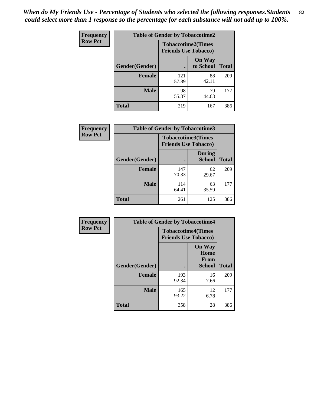*When do My Friends Use - Percentage of Students who selected the following responses.Students could select more than 1 response so the percentage for each substance will not add up to 100%.* **82**

| Frequency      | <b>Table of Gender by Tobaccotime2</b> |                                                          |                            |              |
|----------------|----------------------------------------|----------------------------------------------------------|----------------------------|--------------|
| <b>Row Pct</b> |                                        | <b>Tobaccotime2(Times</b><br><b>Friends Use Tobacco)</b> |                            |              |
|                | Gender(Gender)                         | $\bullet$                                                | <b>On Way</b><br>to School | <b>Total</b> |
|                | Female                                 | 121<br>57.89                                             | 88<br>42.11                | 209          |
|                | <b>Male</b>                            | 98<br>55.37                                              | 79<br>44.63                | 177          |
|                | Total                                  | 219                                                      | 167                        | 386          |

| Frequency      | <b>Table of Gender by Tobaccotime3</b> |                                                          |                                |              |
|----------------|----------------------------------------|----------------------------------------------------------|--------------------------------|--------------|
| <b>Row Pct</b> |                                        | <b>Tobaccotime3(Times</b><br><b>Friends Use Tobacco)</b> |                                |              |
|                | Gender(Gender)                         |                                                          | <b>During</b><br><b>School</b> | <b>Total</b> |
|                | <b>Female</b>                          | 147<br>70.33                                             | 62<br>29.67                    | 209          |
|                | <b>Male</b>                            | 114<br>64.41                                             | 63<br>35.59                    | 177          |
|                | <b>Total</b>                           | 261                                                      | 125                            | 386          |

| <b>Frequency</b> | <b>Table of Gender by Tobaccotime4</b> |                                                          |                                                       |              |
|------------------|----------------------------------------|----------------------------------------------------------|-------------------------------------------------------|--------------|
| <b>Row Pct</b>   |                                        | <b>Tobaccotime4(Times</b><br><b>Friends Use Tobacco)</b> |                                                       |              |
|                  | Gender(Gender)                         |                                                          | <b>On Way</b><br>Home<br><b>From</b><br><b>School</b> | <b>Total</b> |
|                  | <b>Female</b>                          | 193<br>92.34                                             | 16<br>7.66                                            | 209          |
|                  | <b>Male</b>                            | 165<br>93.22                                             | 12<br>6.78                                            | 177          |
|                  | <b>Total</b>                           | 358                                                      | 28                                                    | 386          |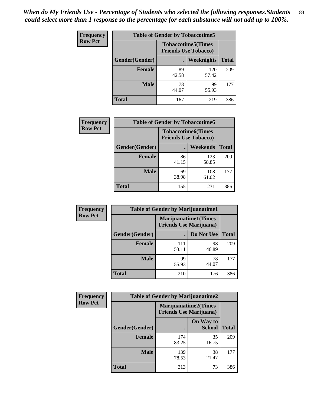| Frequency      | <b>Table of Gender by Tobaccotime5</b> |             |                                                          |              |
|----------------|----------------------------------------|-------------|----------------------------------------------------------|--------------|
| <b>Row Pct</b> |                                        |             | <b>Tobaccotime5(Times</b><br><b>Friends Use Tobacco)</b> |              |
|                | <b>Gender</b> (Gender)                 |             | Weeknights                                               | <b>Total</b> |
|                | <b>Female</b>                          | 89<br>42.58 | 120<br>57.42                                             | 209          |
|                | <b>Male</b>                            | 78<br>44.07 | 99<br>55.93                                              | 177          |
|                | <b>Total</b>                           | 167         | 219                                                      | 386          |

| <b>Frequency</b> | <b>Table of Gender by Tobaccotime6</b> |                             |                           |              |
|------------------|----------------------------------------|-----------------------------|---------------------------|--------------|
| <b>Row Pct</b>   |                                        | <b>Friends Use Tobacco)</b> | <b>Tobaccotime6(Times</b> |              |
|                  | Gender(Gender)                         |                             | Weekends                  | <b>Total</b> |
|                  | Female                                 | 86<br>41.15                 | 123<br>58.85              | 209          |
|                  | <b>Male</b>                            | 69<br>38.98                 | 108<br>61.02              | 177          |
|                  | <b>Total</b>                           | 155                         | 231                       | 386          |

| Frequency      | <b>Table of Gender by Marijuanatime1</b> |                                                               |             |              |
|----------------|------------------------------------------|---------------------------------------------------------------|-------------|--------------|
| <b>Row Pct</b> |                                          | <b>Marijuanatime1(Times</b><br><b>Friends Use Marijuana</b> ) |             |              |
|                | Gender(Gender)                           |                                                               | Do Not Use  | <b>Total</b> |
|                | <b>Female</b>                            | 111<br>53.11                                                  | 98<br>46.89 | 209          |
|                | <b>Male</b>                              | 99<br>55.93                                                   | 78<br>44.07 | 177          |
|                | <b>Total</b>                             | 210                                                           | 176         | 386          |

| <b>Frequency</b> | <b>Table of Gender by Marijuanatime2</b> |                                                               |                            |              |
|------------------|------------------------------------------|---------------------------------------------------------------|----------------------------|--------------|
| <b>Row Pct</b>   |                                          | <b>Marijuanatime2(Times</b><br><b>Friends Use Marijuana</b> ) |                            |              |
|                  | Gender(Gender)                           |                                                               | On Way to<br><b>School</b> | <b>Total</b> |
|                  | Female                                   | 174<br>83.25                                                  | 35<br>16.75                | 209          |
|                  | <b>Male</b>                              | 139<br>78.53                                                  | 38<br>21.47                | 177          |
|                  | <b>Total</b>                             | 313                                                           | 73                         | 386          |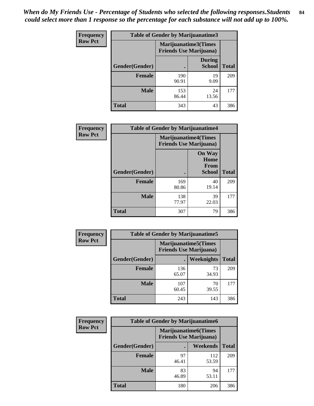*When do My Friends Use - Percentage of Students who selected the following responses.Students could select more than 1 response so the percentage for each substance will not add up to 100%.* **84**

| <b>Frequency</b> | Table of Gender by Marijuanatime3 |                                                        |                                |              |
|------------------|-----------------------------------|--------------------------------------------------------|--------------------------------|--------------|
| <b>Row Pct</b>   |                                   | Marijuanatime3(Times<br><b>Friends Use Marijuana</b> ) |                                |              |
|                  | Gender(Gender)                    |                                                        | <b>During</b><br><b>School</b> | <b>Total</b> |
|                  | <b>Female</b>                     | 190<br>90.91                                           | 19<br>9.09                     | 209          |
|                  | <b>Male</b>                       | 153<br>86.44                                           | 24<br>13.56                    | 177          |
|                  | <b>Total</b>                      | 343                                                    | 43                             | 386          |

| Frequency      | <b>Table of Gender by Marijuanatime4</b> |                                                               |                                                       |              |
|----------------|------------------------------------------|---------------------------------------------------------------|-------------------------------------------------------|--------------|
| <b>Row Pct</b> |                                          | <b>Marijuanatime4(Times</b><br><b>Friends Use Marijuana</b> ) |                                                       |              |
|                | Gender(Gender)                           |                                                               | <b>On Way</b><br>Home<br><b>From</b><br><b>School</b> | <b>Total</b> |
|                | <b>Female</b>                            | 169<br>80.86                                                  | 40<br>19.14                                           | 209          |
|                | <b>Male</b>                              | 138<br>77.97                                                  | 39<br>22.03                                           | 177          |
|                | <b>Total</b>                             | 307                                                           | 79                                                    | 386          |

| <b>Frequency</b> | <b>Table of Gender by Marijuanatime5</b> |              |                                                                |              |  |
|------------------|------------------------------------------|--------------|----------------------------------------------------------------|--------------|--|
| <b>Row Pct</b>   |                                          |              | <b>Marijuanatime5</b> (Times<br><b>Friends Use Marijuana</b> ) |              |  |
|                  | Gender(Gender)                           | ٠            | Weeknights                                                     | <b>Total</b> |  |
|                  | <b>Female</b>                            | 136<br>65.07 | 73<br>34.93                                                    | 209          |  |
|                  | <b>Male</b>                              | 107<br>60.45 | 70<br>39.55                                                    | 177          |  |
|                  | <b>Total</b>                             | 243          | 143                                                            | 386          |  |

| Frequency      | <b>Table of Gender by Marijuanatime6</b> |                                                               |                 |              |  |
|----------------|------------------------------------------|---------------------------------------------------------------|-----------------|--------------|--|
| <b>Row Pct</b> |                                          | <b>Marijuanatime6(Times</b><br><b>Friends Use Marijuana</b> ) |                 |              |  |
|                | Gender(Gender)                           |                                                               | <b>Weekends</b> | <b>Total</b> |  |
|                | <b>Female</b>                            | 97<br>46.41                                                   | 112<br>53.59    | 209          |  |
|                | <b>Male</b>                              | 83<br>46.89                                                   | 94<br>53.11     | 177          |  |
|                | <b>Total</b>                             | 180                                                           | 206             | 386          |  |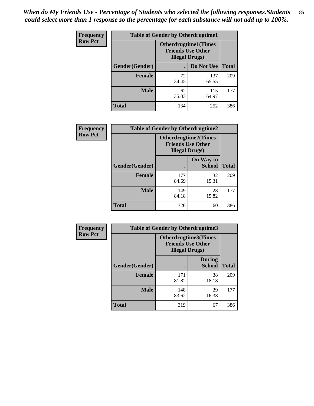*When do My Friends Use - Percentage of Students who selected the following responses.Students could select more than 1 response so the percentage for each substance will not add up to 100%.* **85**

| <b>Frequency</b> | <b>Table of Gender by Otherdrugtime1</b> |                                                    |                              |              |  |
|------------------|------------------------------------------|----------------------------------------------------|------------------------------|--------------|--|
| <b>Row Pct</b>   |                                          | <b>Friends Use Other</b><br><b>Illegal Drugs</b> ) | <b>Otherdrugtime1</b> (Times |              |  |
|                  | Gender(Gender)                           |                                                    | Do Not Use                   | <b>Total</b> |  |
|                  | <b>Female</b>                            | 72<br>34.45                                        | 137<br>65.55                 | 209          |  |
|                  | <b>Male</b>                              | 62<br>35.03                                        | 115<br>64.97                 | 177          |  |
|                  | <b>Total</b>                             | 134                                                | 252                          | 386          |  |

| Frequency      | <b>Table of Gender by Otherdrugtime2</b> |                                                                                   |                            |              |  |
|----------------|------------------------------------------|-----------------------------------------------------------------------------------|----------------------------|--------------|--|
| <b>Row Pct</b> |                                          | <b>Otherdrugtime2(Times</b><br><b>Friends Use Other</b><br><b>Illegal Drugs</b> ) |                            |              |  |
|                | Gender(Gender)                           |                                                                                   | On Way to<br><b>School</b> | <b>Total</b> |  |
|                | <b>Female</b>                            | 177<br>84.69                                                                      | 32<br>15.31                | 209          |  |
|                | <b>Male</b>                              | 149<br>84.18                                                                      | 28<br>15.82                | 177          |  |
|                | <b>Total</b>                             | 326                                                                               | 60                         | 386          |  |

| Frequency      | <b>Table of Gender by Otherdrugtime3</b> |                        |                                                         |              |
|----------------|------------------------------------------|------------------------|---------------------------------------------------------|--------------|
| <b>Row Pct</b> |                                          | <b>Illegal Drugs</b> ) | <b>Otherdrugtime3(Times</b><br><b>Friends Use Other</b> |              |
|                | Gender(Gender)                           |                        | <b>During</b><br><b>School</b>                          | <b>Total</b> |
|                | <b>Female</b>                            | 171<br>81.82           | 38<br>18.18                                             | 209          |
|                | <b>Male</b>                              | 148<br>83.62           | 29<br>16.38                                             | 177          |
|                | <b>Total</b>                             | 319                    | 67                                                      | 386          |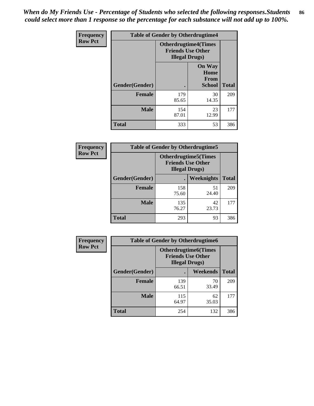*When do My Friends Use - Percentage of Students who selected the following responses.Students could select more than 1 response so the percentage for each substance will not add up to 100%.* **86**

| <b>Frequency</b> | <b>Table of Gender by Otherdrugtime4</b> |                                                                                   |                                                       |              |
|------------------|------------------------------------------|-----------------------------------------------------------------------------------|-------------------------------------------------------|--------------|
| <b>Row Pct</b>   |                                          | <b>Otherdrugtime4(Times</b><br><b>Friends Use Other</b><br><b>Illegal Drugs</b> ) |                                                       |              |
|                  | Gender(Gender)                           |                                                                                   | <b>On Way</b><br>Home<br><b>From</b><br><b>School</b> | <b>Total</b> |
|                  | Female                                   | 179<br>85.65                                                                      | 30<br>14.35                                           | 209          |
|                  | <b>Male</b>                              | 154<br>87.01                                                                      | 23<br>12.99                                           | 177          |
|                  | <b>Total</b>                             | 333                                                                               | 53                                                    | 386          |

| Frequency      | <b>Table of Gender by Otherdrugtime5</b> |                                                                                    |             |              |
|----------------|------------------------------------------|------------------------------------------------------------------------------------|-------------|--------------|
| <b>Row Pct</b> |                                          | <b>Otherdrugtime5</b> (Times<br><b>Friends Use Other</b><br><b>Illegal Drugs</b> ) |             |              |
|                | Gender(Gender)                           |                                                                                    | Weeknights  | <b>Total</b> |
|                | <b>Female</b>                            | 158<br>75.60                                                                       | 51<br>24.40 | 209          |
|                | <b>Male</b>                              | 135<br>76.27                                                                       | 42<br>23.73 | 177          |
|                | <b>Total</b>                             | 293                                                                                | 93          | 386          |

| <b>Frequency</b> | <b>Table of Gender by Otherdrugtime6</b> |                                                                                   |             |              |
|------------------|------------------------------------------|-----------------------------------------------------------------------------------|-------------|--------------|
| <b>Row Pct</b>   |                                          | <b>Otherdrugtime6(Times</b><br><b>Friends Use Other</b><br><b>Illegal Drugs</b> ) |             |              |
|                  | Gender(Gender)                           |                                                                                   | Weekends    | <b>Total</b> |
|                  | <b>Female</b>                            | 139<br>66.51                                                                      | 70<br>33.49 | 209          |
|                  | <b>Male</b>                              | 115<br>64.97                                                                      | 62<br>35.03 | 177          |
|                  | <b>Total</b>                             | 254                                                                               | 132         | 386          |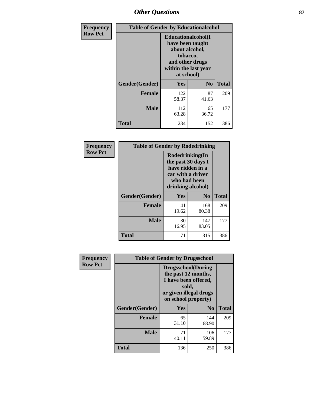# *Other Questions* **87**

| <b>Frequency</b> | <b>Table of Gender by Educationalcohol</b> |                                                                                                                                       |                |              |  |
|------------------|--------------------------------------------|---------------------------------------------------------------------------------------------------------------------------------------|----------------|--------------|--|
| <b>Row Pct</b>   |                                            | <b>Educationalcohol</b> (I<br>have been taught<br>about alcohol,<br>tobacco,<br>and other drugs<br>within the last year<br>at school) |                |              |  |
|                  | Gender(Gender)                             | Yes                                                                                                                                   | N <sub>0</sub> | <b>Total</b> |  |
|                  | <b>Female</b>                              | 122<br>58.37                                                                                                                          | 87<br>41.63    | 209          |  |
|                  | <b>Male</b>                                | 112<br>63.28                                                                                                                          | 65<br>36.72    | 177          |  |
|                  | <b>Total</b>                               | 234                                                                                                                                   | 152            | 386          |  |

| Frequency      | <b>Table of Gender by Rodedrinking</b> |                                                                                                                     |                |              |  |  |
|----------------|----------------------------------------|---------------------------------------------------------------------------------------------------------------------|----------------|--------------|--|--|
| <b>Row Pct</b> |                                        | Rodedrinking(In<br>the past 30 days I<br>have ridden in a<br>car with a driver<br>who had been<br>drinking alcohol) |                |              |  |  |
|                | Gender(Gender)                         | Yes                                                                                                                 | N <sub>0</sub> | <b>Total</b> |  |  |
|                | <b>Female</b>                          | 41<br>19.62                                                                                                         | 168<br>80.38   | 209          |  |  |
|                | <b>Male</b>                            | 30<br>16.95                                                                                                         | 147<br>83.05   | 177          |  |  |
|                | <b>Total</b>                           | 71                                                                                                                  | 315            | 386          |  |  |

| Frequency      | <b>Table of Gender by Drugsschool</b> |                                                                                                                                     |                |              |  |
|----------------|---------------------------------------|-------------------------------------------------------------------------------------------------------------------------------------|----------------|--------------|--|
| <b>Row Pct</b> |                                       | <b>Drugsschool</b> (During<br>the past 12 months,<br>I have been offered,<br>sold,<br>or given illegal drugs<br>on school property) |                |              |  |
|                | Gender(Gender)                        | <b>Yes</b>                                                                                                                          | N <sub>0</sub> | <b>Total</b> |  |
|                | <b>Female</b>                         | 65<br>31.10                                                                                                                         | 144<br>68.90   | 209          |  |
|                | <b>Male</b>                           | 71<br>40.11                                                                                                                         | 106<br>59.89   | 177          |  |
|                | <b>Total</b>                          | 136                                                                                                                                 | 250            | 386          |  |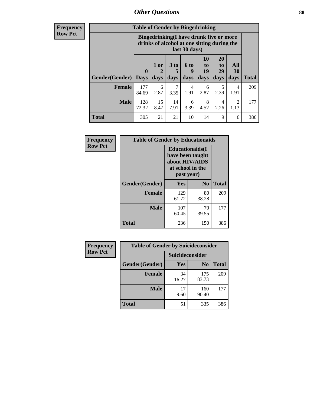## *Other Questions* **88**

**Frequency Row Pct**

| <b>Table of Gender by Bingedrinking</b> |                            |                                                                                                         |                   |                   |                               |                               |                        |              |
|-----------------------------------------|----------------------------|---------------------------------------------------------------------------------------------------------|-------------------|-------------------|-------------------------------|-------------------------------|------------------------|--------------|
|                                         |                            | Bingedrinking(I have drunk five or more<br>drinks of alcohol at one sitting during the<br>last 30 days) |                   |                   |                               |                               |                        |              |
| <b>Gender</b> (Gender)                  | $\mathbf 0$<br><b>Days</b> | 1 or<br>days                                                                                            | 3 to<br>5<br>days | 6 to<br>9<br>days | <b>10</b><br>to<br>19<br>days | <b>20</b><br>to<br>29<br>days | All<br>30<br>days      | <b>Total</b> |
| <b>Female</b>                           | 177<br>84.69               | 6<br>2.87                                                                                               | 7<br>3.35         | 4<br>1.91         | 6<br>2.87                     | 5<br>2.39                     | 4<br>1.91              | 209          |
| <b>Male</b>                             | 128<br>72.32               | 15<br>8.47                                                                                              | 14<br>7.91        | 6<br>3.39         | 8<br>4.52                     | 4<br>2.26                     | $\mathfrak{D}$<br>1.13 | 177          |
|                                         |                            |                                                                                                         |                   |                   |                               |                               |                        |              |

| Frequency      | <b>Table of Gender by Educationaids</b> |                                                                                                 |                |              |  |  |
|----------------|-----------------------------------------|-------------------------------------------------------------------------------------------------|----------------|--------------|--|--|
| <b>Row Pct</b> |                                         | <b>Educationaids</b> (I<br>have been taught<br>about HIV/AIDS<br>at school in the<br>past year) |                |              |  |  |
|                | Gender(Gender)                          | Yes                                                                                             | N <sub>0</sub> | <b>Total</b> |  |  |
|                | <b>Female</b>                           | 129<br>61.72                                                                                    | 80<br>38.28    | 209          |  |  |
|                | <b>Male</b>                             | 107<br>60.45                                                                                    | 70<br>39.55    | 177          |  |  |
|                | <b>Total</b>                            | 236                                                                                             | 150            | 386          |  |  |

| <b>Frequency</b> | <b>Table of Gender by Suicideconsider</b> |                 |                |              |  |
|------------------|-------------------------------------------|-----------------|----------------|--------------|--|
| <b>Row Pct</b>   |                                           | Suicideconsider |                |              |  |
|                  | Gender(Gender)                            | Yes             | N <sub>0</sub> | <b>Total</b> |  |
|                  | <b>Female</b>                             | 34<br>16.27     | 175<br>83.73   | 209          |  |
|                  | <b>Male</b>                               | 17<br>9.60      | 160<br>90.40   | 177          |  |
|                  | Total                                     | 51              | 335            | 386          |  |